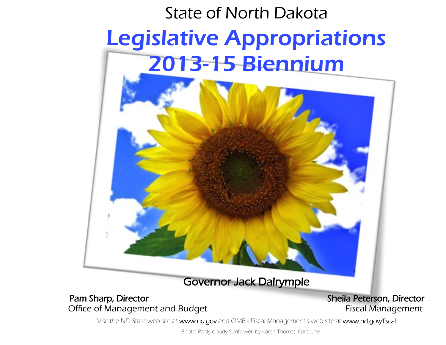

Office of Management and Budget **Fiscal Management** 

Visit the ND State web site at www.nd.gov and OMB - Fiscal Management's web site at www.nd.gov/fiscal

Photo: Partly cloudy Sunflower, by Karen Thomas, Karlsruhe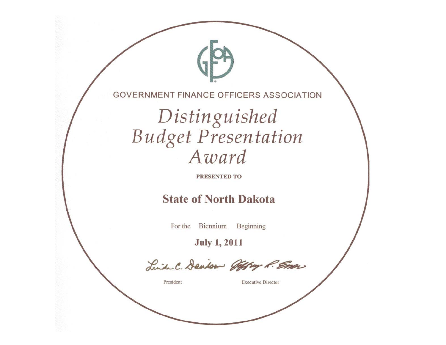**GOVERNMENT FINANCE OFFICERS ASSOCIATION** 

Distinguished **Budget Presentation** Award

**PRESENTED TO** 

# **State of North Dakota**

For the Biennium Beginning

**July 1, 2011** 

Linda C. Dandson Offrag P. Emer

President

**Executive Director**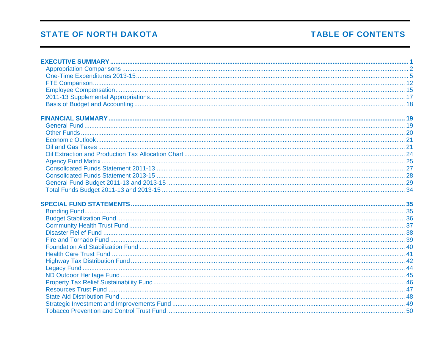# **TABLE OF CONTENTS**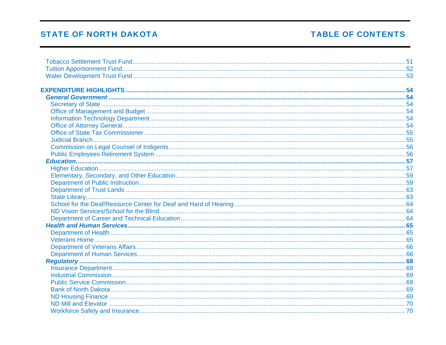# **TABLE OF CONTENTS**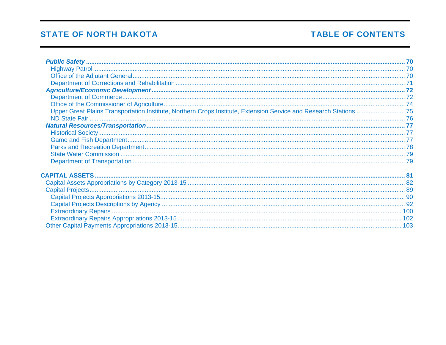# **TABLE OF CONTENTS**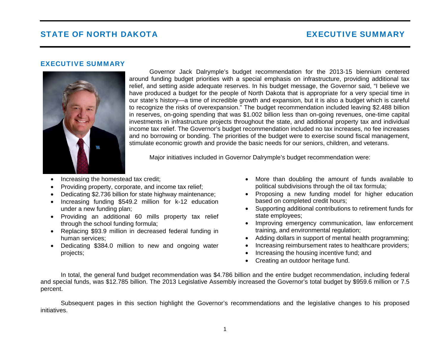#### <span id="page-5-0"></span>EXECUTIVE SUMMARY



Governor Jack Dalrymple's budget recommendation for the 2013-15 biennium centered around funding budget priorities with a special emphasis on infrastructure, providing additional tax relief, and setting aside adequate reserves. In his budget message, the Governor said, "I believe we have produced a budget for the people of North Dakota that is appropriate for a very special time in our state's history—a time of incredible growth and expansion, but it is also a budget which is careful to recognize the risks of overexpansion." The budget recommendation included leaving \$2.488 billion in reserves, on-going spending that was \$1.002 billion less than on-going revenues, one-time capital investments in infrastructure projects throughout the state, and additional property tax and individual income tax relief. The Governor's budget recommendation included no tax increases, no fee increases and no borrowing or bonding. The priorities of the budget were to exercise sound fiscal management, stimulate economic growth and provide the basic needs for our seniors, children, and veterans.

Major initiatives included in Governor Dalrymple's budget recommendation were:

- Increasing the homestead tax credit;
- Providing property, corporate, and income tax relief;
- Dedicating \$2.736 billion for state highway maintenance;
- Increasing funding \$549.2 million for k-12 education under a new funding plan;
- Providing an additional 60 mills property tax relief through the school funding formula;
- Replacing \$93.9 million in decreased federal funding in human services;
- Dedicating \$384.0 million to new and ongoing water projects;
- More than doubling the amount of funds available to political subdivisions through the oil tax formula;
- Proposing a new funding model for higher education based on completed credit hours;
- Supporting additional contributions to retirement funds for state employees;
- Improving emergency communication, law enforcement training, and environmental regulation;
- Adding dollars in support of mental health programming;
- Increasing reimbursement rates to healthcare providers;
- Increasing the housing incentive fund; and
- Creating an outdoor heritage fund.

In total, the general fund budget recommendation was \$4.786 billion and the entire budget recommendation, including federal and special funds, was \$12.785 billion. The 2013 Legislative Assembly increased the Governor's total budget by \$959.6 million or 7.5 percent.

Subsequent pages in this section highlight the Governor's recommendations and the legislative changes to his proposed initiatives.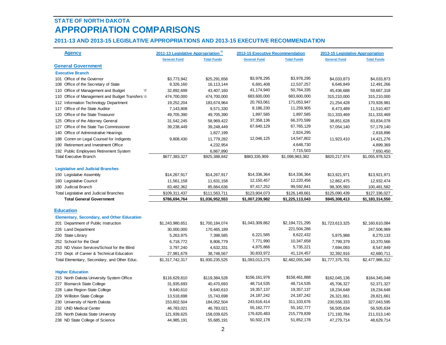## <span id="page-6-0"></span>**STATE OF NORTH DAKOTA APPROPRIATION COMPARISONS**

#### **2011-13 AND 2013-15 LEGISLATIVE APPROPRIATIONS AND 2013-15 EXECUTIVE RECOMMENDATION**

| <b>Agency</b>                                     | 2011-13 Legislative Appropriation <sup>11</sup> |                    | 2013-15 Executive Recommendation |                    | 2013-15 Legislative Appropriation |                    |
|---------------------------------------------------|-------------------------------------------------|--------------------|----------------------------------|--------------------|-----------------------------------|--------------------|
|                                                   | <b>General Fund</b>                             | <b>Total Funds</b> | <b>General Fund</b>              | <b>Total Funds</b> | <b>General Fund</b>               | <b>Total Funds</b> |
| <b>General Government</b>                         |                                                 |                    |                                  |                    |                                   |                    |
| <b>Executive Branch</b>                           |                                                 |                    |                                  |                    |                                   |                    |
| 101 Office of the Governor                        | \$3,773,942                                     | \$25,291,658       | \$3,978,295                      | \$3,978,295        | \$4,033,873                       | \$4,033,873        |
| 108 Office of the Secretary of State              | 9,326,160                                       | 16, 113, 144       | 6,691,408                        | 12,537,257         | 6,646,849                         | 12,491,266         |
| 110 Office of Management and Budget<br>$\sqrt{2}$ | 32,892,699                                      | 43,407,160         | 41,174,940                       | 50,764,335         | 45,436,688                        | 59,667,318         |
| 110 Office of Management and Budget Transfers \3  | 474,700,000                                     | 474,700,000        | 683,600,000                      | 683,600,000        | 315,210,000                       | 315,210,000        |
| 112 Information Technology Department             | 19,252,204                                      | 183,674,964        | 20,763,061                       | 171,053,947        | 21,254,428                        | 170,928,981        |
| 117 Office of the State Auditor                   | 7,143,808                                       | 9,571,330          | 8,186,230                        | 11,259,905         | 8,473,489                         | 11,510,407         |
| 120 Office of the State Treasurer                 | 49,705,390                                      | 49,705,390         | 1,897,585                        | 1,897,585          | 311,333,469                       | 311,333,469        |
| 125 Office of the Attorney General                | 31,542,245                                      | 58,969,422         | 37, 358, 136                     | 66,370,599         | 38,851,628                        | 83,834,078         |
| 127 Office of the State Tax Commissioner          | 39,238,449                                      | 39,248,449         | 67,640,129                       | 67,765,129         | 57,054,140                        | 57,179,140         |
| 140 Office of Administrative Hearings             |                                                 | 1,827,199          |                                  | 2,824,295          |                                   | 2,818,896          |
| 188 Comm on Legal Counsel for Indigents           | 9,808,430                                       | 11,779,282         | 12,046,125                       | 14,547,802         | 11,923,410                        | 14,421,276         |
| 190 Retirement and Investment Office              |                                                 | 4,232,954          |                                  | 4,648,730          |                                   | 4,899,369          |
| 192 Public Employees Retirement System            |                                                 | 6,867,890          |                                  | 7,715,503          |                                   | 7,650,450          |
| <b>Total Executive Branch</b>                     | \$677,383,327                                   | \$925,388,842      | \$883,335,909                    | \$1,098,963,382    | \$820,217,974                     | \$1,055,978,523    |
|                                                   |                                                 |                    |                                  |                    |                                   |                    |
| <b>Legislative and Judicial Branches</b>          |                                                 |                    |                                  |                    |                                   |                    |
| 150 Legislative Assembly                          | \$14,267,917                                    | \$14,267,917       | \$14,336,364                     | \$14,336,364       | \$13,921,971                      | \$13,921,971       |
| 160 Legislative Council                           | 11,561,158                                      | 11,631,158         | 12, 150, 457                     | 12,220,456         | 12,862,475                        | 12,932,474         |
| 180 Judicial Branch                               | 83,482,362                                      | 85,664,636         | 97,417,252                       | 99,592,841         | 98,305,993                        | 100,481,582        |
| Total Legislative and Judicial Branches           | \$109,311,437                                   | \$111,563,711      | \$123,904,073                    | \$126,149,661      | \$125,090,439                     | \$127,336,027      |
| <b>Total General Government</b>                   | \$786,694,764                                   | \$1,036,952,553    | \$1,007,239,982                  | \$1,225,113,043    | \$945,308,413                     | \$1,183,314,550    |
|                                                   |                                                 |                    |                                  |                    |                                   |                    |
| <b>Education</b>                                  |                                                 |                    |                                  |                    |                                   |                    |
| <b>Elementary, Secondary, and Other Education</b> |                                                 |                    |                                  |                    |                                   |                    |
| 201 Department of Public Instruction              | \$1,243,980,651                                 | \$1,700,184,074    | \$1,043,309,862                  | \$2,194,721,295    | \$1,723,613,325                   | \$2,160,610,084    |
| 226 Land Department                               | 30,000,000                                      | 170,465,189        |                                  | 221,504,286        |                                   | 247,506,969        |
| 250 State Library                                 | 5,263,975                                       | 7,398,585          | 6,221,585                        | 8,622,432          | 5,875,988                         | 8,270,133          |
| 252 School for the Deaf                           | 6,718,772                                       | 8,806,779          | 7,771,990                        | 10,347,658         | 7,799,379                         | 10,370,566         |
| 253 ND Vision Services/School for the Blind       | 3,797,240                                       | 4,632,331          | 4,875,866                        | 5,735,221          | 7,694,093                         | 8,547,849          |
| 270 Dept. of Career & Technical Education         | 27,981,679                                      | 38,748,567         | 30,833,972                       | 41, 124, 457       | 32,392,916                        | 42,680,711         |
| Total Elementary, Secondary, and Other Educ.      | \$1,317,742,317                                 | \$1,930,235,525    | \$1,093,013,275                  | \$2,482,055,349    | \$1,777,375,701                   | \$2,477,986,312    |
|                                                   |                                                 |                    |                                  |                    |                                   |                    |
| <b>Higher Education</b>                           |                                                 |                    |                                  |                    |                                   |                    |
| 215 North Dakota University System Office         | \$116,629,810                                   | \$119,384,528      | \$156,161,976                    | \$158,461,888      | \$162,045,136                     | \$164,345,048      |
| 227 Bismarck State College                        | 31,935,693                                      | 40,470,693         | 48,714,535                       | 48,714,535         | 45,706,327                        | 52,371,327         |
| 228 Lake Region State College                     | 9,640,610                                       | 9,640,610          | 19,357,137                       | 19,357,137         | 18,234,648                        | 18,234,648         |
| 229 Williston State College                       | 13,518,698                                      | 15,743,698         | 24, 187, 242                     | 24, 187, 242       | 26,321,661                        | 28,821,661         |
| 230 University of North Dakota                    | 153,602,504                                     | 184,052,504        | 243,616,414                      | 311,103,676        | 230,556,333                       | 327,043,595        |
| 232 UND Medical Center                            | 46,783,021                                      | 46,783,021         | 55, 162, 777                     | 55, 162, 777       | 56,505,634                        | 56,505,634         |
| 235 North Dakota State University                 | 121,939,625                                     | 158,039,625        | 176,620,483                      | 215,779,839        | 171,193,784                       | 211,013,140        |
| 238 ND State College of Science                   | 44,985,191                                      | 55,685,191         | 50,502,178                       | 51,852,178         | 47,279,714                        | 48,629,714         |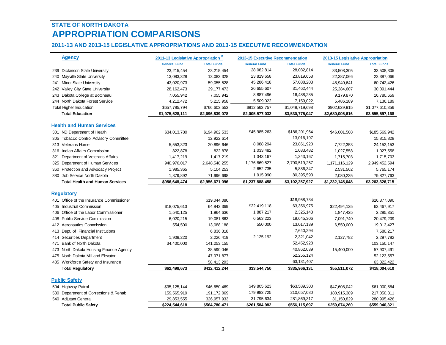# **STATE OF NORTH DAKOTAAPPROPRIATION COMPARISONS**

### **2011-13 AND 2013-15 LEGISLATIVE APPROPRIATIONS AND 2013-15 EXECUTIVE RECOMMENDATION**

| <b>Agency</b>                 |                                          | 2011-13 Legislative Appropriation 11 |                    | <b>2013-15 Executive Recommendation</b> |                    | 2013-15 Legislative Appropriation |                    |
|-------------------------------|------------------------------------------|--------------------------------------|--------------------|-----------------------------------------|--------------------|-----------------------------------|--------------------|
|                               |                                          | <b>General Fund</b>                  | <b>Total Funds</b> | <b>General Fund</b>                     | <b>Total Funds</b> | <b>General Fund</b>               | <b>Total Funds</b> |
|                               | 239 Dickinson State University           | 23,215,454                           | 23,215,454         | 28,082,814                              | 28,082,814         | 33,508,305                        | 33,508,305         |
| 240 Mayville State University |                                          | 13,083,328                           | 13,083,328         | 23,819,658                              | 23,819,658         | 22,387,066                        | 22,387,066         |
| 241 Minot State University    |                                          | 43,020,973                           | 59,055,528         | 45,286,418                              | 57,088,203         | 48,940,641                        | 60,742,426         |
|                               | 242 Valley City State University         | 28, 162, 473                         | 29, 177, 473       | 26,655,607                              | 31,462,444         | 25,284,607                        | 30,091,444         |
|                               | 243 Dakota College at Bottineau          | 7,055,942                            | 7,055,942          | 8,887,496                               | 16,488,285         | 9,179,870                         | 16,780,659         |
|                               | 244 North Dakota Forest Service          | 4,212,472                            | 5,215,958          | 5,509,022                               | 7,159,022          | 5,486,189                         | 7,136,189          |
| <b>Total Higher Education</b> |                                          | \$657,785,794                        | \$766,603,553      | \$912,563,757                           | \$1,048,719,698    | \$902,629,915                     | \$1,077,610,856    |
| <b>Total Education</b>        |                                          | \$1,975,528,111                      | \$2,696,839,078    | \$2,005,577,032                         | \$3,530,775,047    | \$2,680,005,616                   | \$3,555,597,168    |
|                               | <b>Health and Human Services</b>         |                                      |                    |                                         |                    |                                   |                    |
| 301 ND Department of Health   |                                          | \$34,013,780                         | \$194,962,533      | \$45,985,263                            | \$186,201,964      | \$46,001,508                      | \$185,569,942      |
|                               | 305 Tobacco Control Advisory Committee   |                                      | 12,922,614         |                                         | 13,016,197         |                                   | 15,815,828         |
| 313 Veterans Home             |                                          | 5,553,323                            | 20,896,646         | 8,088,294                               | 23,861,920         | 7,722,353                         | 24, 152, 153       |
|                               | 316 Indian Affairs Commission            | 822,878                              | 822,878            | 1,033,482                               | 1,033,482          | 1,027,558                         | 1,027,558          |
|                               | 321 Department of Veterans Affairs       | 1,417,219                            | 1,417,219          | 1,343,167                               | 1,343,167          | 1,715,703                         | 1,715,703          |
|                               | 325 Department of Human Services         | 940,976,017                          | 2,648,548,255      | 1,176,869,527                           | 2,790,519,257      | 1,171,116,129                     | 2,949,452,594      |
|                               | 360 Protection and Advocacy Project      | 1,985,365                            | 5,104,253          | 2,652,735                               | 5,886,347          | 2,531,562                         | 5,765,174          |
| 380 Job Service North Dakota  |                                          | 1,879,892                            | 71,996,698         | 1,915,990                               | 80,395,593         | 2,030,235                         | 79,827,763         |
|                               | <b>Total Health and Human Services</b>   | \$986,648,474                        | \$2,956,671,096    | \$1,237,888,458                         | \$3,102,257,927    | \$1,232,145,048                   | \$3,263,326,715    |
|                               |                                          |                                      |                    |                                         |                    |                                   |                    |
| <b>Regulatory</b>             |                                          |                                      |                    |                                         |                    |                                   |                    |
|                               | 401 Office of the Insurance Commissioner |                                      | \$19,044,080       |                                         | \$18,958,734       |                                   | \$26,377,090       |
| 405 Industrial Commission     |                                          | \$18,075,613                         | 64,842,369         | \$22,419,118                            | 63,356,975         | \$22,494,125                      | 63,467,917         |
|                               | 406 Office of the Labor Commissioner     | 1,540,125                            | 1,964,636          | 1,887,217                               | 2,325,143          | 1,847,425                         | 2,285,351          |
|                               | 408 Public Service Commission            | 6,020,215                            | 19,081,863         | 6,563,223                               | 19,645,306         | 7,091,740                         | 20,479,209         |
| 412 Aeronautics Commission    |                                          | 554,500                              | 13,088,188         | 550,000                                 | 13,017,139         | 6,550,000                         | 19,013,427         |
|                               | 413 Dept. of Financial Institutions      |                                      | 6,836,318          |                                         | 7,640,294          |                                   | 7,580,217          |
| 414 Securities Department     |                                          | 1,909,220                            | 2,226,419          | 2,125,192                               | 2,321,042          | 2,127,782                         | 2,297,782          |
| 471 Bank of North Dakota      |                                          | 34,400,000                           | 141,253,155        |                                         | 52,452,928         |                                   | 103,150,147        |
|                               | 473 North Dakota Housing Finance Agency  |                                      | 38,590,046         |                                         | 40,862,039         | 15,400,000                        | 57,907,491         |
|                               | 475 North Dakota Mill and Elevator       |                                      | 47,071,877         |                                         | 52,255,124         |                                   | 52, 123, 557       |
|                               | 485 Workforce Safety and Insurance       |                                      | 58,413,293         |                                         | 63,131,407         |                                   | 63,322,422         |
| <b>Total Regulatory</b>       |                                          | \$62,499,673                         | \$412,412,244      | \$33,544,750                            | \$335,966,131      | \$55,511,072                      | \$418,004,610      |
| <b>Public Safety</b>          |                                          |                                      |                    |                                         |                    |                                   |                    |
| 504 Highway Patrol            |                                          | \$35,125,144                         | \$46,650,469       | \$49,805,623                            | \$63,589,300       | \$47,608,042                      | \$61,000,584       |
|                               | 530 Department of Corrections & Rehab    | 159,565,919                          | 191, 172, 069      | 179,983,725                             | 210,657,080        | 180,915,389                       | 217,050,311        |
| 540 Adjutant General          |                                          | 29,853,555                           | 326,957,933        | 31,795,634                              | 281,869,317        | 31,150,829                        | 280,995,426        |
| <b>Total Public Safety</b>    |                                          | \$224,544,618                        | \$564,780,471      | \$261,584,982                           | \$556,115,697      | \$259,674,260                     | \$559,046,321      |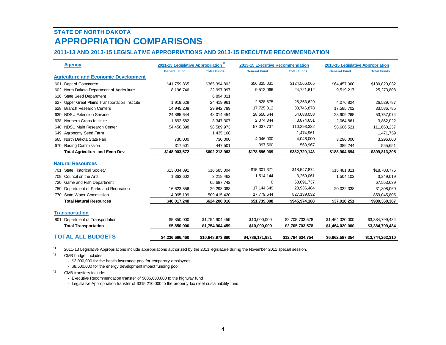# **STATE OF NORTH DAKOTAAPPROPRIATION COMPARISONS**

#### **2011-13 AND 2013-15 LEGISLATIVE APPROPRIATIONS AND 2013-15 EXECUTIVE RECOMMENDATION**

| <b>Agency</b>                                      | 2011-13 Legislative Appropriation 11 |                    | 2013-15 Executive Recommendation |                    | 2013-15 Legislative Appropriation |                    |
|----------------------------------------------------|--------------------------------------|--------------------|----------------------------------|--------------------|-----------------------------------|--------------------|
|                                                    | <b>General Fund</b>                  | <b>Total Funds</b> | <b>General Fund</b>              | <b>Total Funds</b> | <b>General Fund</b>               | <b>Total Funds</b> |
| <b>Agriculture and Economic Development</b>        |                                      |                    |                                  |                    |                                   |                    |
| 601 Dept of Commerce                               | \$41,759,865                         | \$365,394,802      | \$56,325,031                     | \$124,566,065      | \$64,457,060                      | \$139,820,082      |
| 602 North Dakota Department of Agriculture         | 8,196,746                            | 22,997,997         | 9,512,066                        | 24,721,612         | 9,519,217                         | 25,273,808         |
| 616 State Seed Department                          |                                      | 6.894.011          |                                  |                    |                                   |                    |
| Upper Great Plains Transportation Institute<br>627 | 1,919,628                            | 24,419,961         | 2,828,575                        | 25,353,629         | 4,076,824                         | 26,529,787         |
| 628 Branch Research Centers                        | 14,945,208                           | 29,942,789         | 17,725,012                       | 33,746,878         | 17,585,702                        | 33,586,785         |
| 630 NDSU Extension Service                         | 24,885,644                           | 48,014,454         | 28,650,644                       | 54,088,058         | 28,909,265                        | 53,757,074         |
| 638 Northern Crops Institute                       | 1,692,582                            | 3,347,307          | 2,074,344                        | 3,874,651          | 2,064,861                         | 3,862,022          |
| 640 NDSU Main Research Center                      | 54,456,398                           | 98,589,973         | 57,037,737                       | 110,293,322        | 58,606,521                        | 111,660,237        |
| 649 Agronomy Seed Farm                             |                                      | 1,435,168          |                                  | 1,474,961          |                                   | 1,471,759          |
| 665 North Dakota State Fair                        | 730,000                              | 730,000            | 4,046,000                        | 4,046,000          | 3,296,000                         | 3,296,000          |
| 670 Racing Commission                              | 317,501                              | 447,501            | 397,560                          | 563,967            | 389,244                           | 555,651            |
| <b>Total Agriculture and Econ Dev</b>              | \$148,903,572                        | \$602,213,963      | \$178,596,969                    | \$382,729,143      | \$188,904,694                     | \$399,813,205      |
|                                                    |                                      |                    |                                  |                    |                                   |                    |
| <b>Natural Resources</b>                           |                                      |                    |                                  |                    |                                   |                    |
| 701 State Historical Society                       | \$13,034,891                         | \$16,585,304       | \$15,301,371                     | \$18,547,874       | \$15,481,811                      | \$18,703,775       |
| 709 Council on the Arts                            | 1,363,602                            | 3,218,462          | 1,514,144                        | 3,259,061          | 1,504,102                         | 3,249,019          |
| 720 Game and Fish Department                       |                                      | 65,687,742         | $\Omega$                         | 68,091,737         |                                   | 67,553,639         |
| 750 Department of Parks and Recreation             | 16,623,556                           | 29,293,088         | 17, 144, 649                     | 28,936,484         | 20,032,338                        | 31,808,069         |
| 770 State Water Commission                         | 14,995,199                           | 509,415,420        | 17,779,644                       | 827,139,032        |                                   | 859,045,805        |
| <b>Total Natural Resources</b>                     | \$46,017,248                         | \$624,200,016      | \$51,739,808                     | \$945,974,188      | \$37,018,251                      | \$980,360,307      |
| <b>Transportation</b>                              |                                      |                    |                                  |                    |                                   |                    |
| 801 Department of Transportation                   | \$5,850,000                          | \$1,754,904,459    | \$10,000,000                     | \$2,705,703,578    | \$1,464,020,000                   | \$3,384,799,434    |
| <b>Total Transportation</b>                        | \$5,850,000                          | \$1,754,904,459    | \$10,000,000                     | \$2,705,703,578    | \$1,464,020,000                   | \$3,384,799,434    |
| <b>TOTAL ALL BUDGETS</b>                           | \$4,236,686,460                      | \$10,648,973,880   | \$4,786,171,981                  | \$12,784,634,754   | \$6,862,587,354                   | \$13,744,262,310   |

\1 2011-13 Legislative Appropriations include appropriations authorized by the 2011 legislature during the November 2011 special session.

<sup>12</sup> OMB budget includes:

- \$2,000,000 for the health insurance pool for temporary employees

- \$8,500,000 for the energy development impact funding pool

\3<sup>3</sup> OMB transfers include:

- Executive Recommendation transfer of \$686,600,000 to the highway fund

- Legislative Appropriation transfer of \$315,210,000 to the property tax relief sustainability fund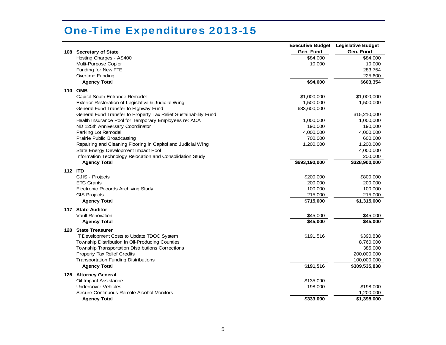<span id="page-9-0"></span>

|         |                                                                                                      | <b>Executive Budget</b><br>Gen. Fund | <b>Legislative Budget</b><br>Gen. Fund |
|---------|------------------------------------------------------------------------------------------------------|--------------------------------------|----------------------------------------|
| 108     | <b>Secretary of State</b><br>Hosting Charges - AS400                                                 | \$84,000                             | \$84,000                               |
|         | Multi-Purpose Copier                                                                                 | 10,000                               | 10,000                                 |
|         | Funding for New FTE                                                                                  |                                      | 283,754                                |
|         | Overtime Funding                                                                                     |                                      | 225,600                                |
|         | <b>Agency Total</b>                                                                                  | \$94,000                             | \$603,354                              |
|         | <b>110 OMB</b>                                                                                       |                                      |                                        |
|         | Capitol South Entrance Remodel                                                                       | \$1,000,000                          | \$1,000,000                            |
|         | Exterior Restoration of Legislative & Judicial Wing                                                  | 1,500,000                            | 1,500,000                              |
|         | General Fund Transfer to Highway Fund                                                                | 683,600,000                          |                                        |
|         | General Fund Transfer to Property Tax Relief Sustainability Fund                                     |                                      | 315,210,000                            |
|         | Health Insurance Pool for Temporary Employees re: ACA                                                | 1,000,000                            | 1,000,000                              |
|         | ND 125th Anniversary Coordinator                                                                     | 190,000                              | 190,000                                |
|         | Parking Lot Remodel                                                                                  | 4,000,000                            | 4,000,000                              |
|         | <b>Prairie Public Broadcasting</b>                                                                   | 700,000                              | 600,000                                |
|         | Repairing and Cleaning Flooring in Capitol and Judicial Wing                                         | 1,200,000                            | 1,200,000                              |
|         | State Energy Development Impact Pool                                                                 |                                      | 4,000,000                              |
|         | Information Technology Relocation and Consolidation Study                                            |                                      | 200,000                                |
|         | <b>Agency Total</b>                                                                                  | \$693,190,000                        | \$328,900,000                          |
| 112 ITD |                                                                                                      |                                      |                                        |
|         | CJIS - Projects                                                                                      | \$200,000                            | \$800,000                              |
|         | <b>ETC Grants</b>                                                                                    | 200,000                              | 200,000                                |
|         | Electronic Records Archiving Study                                                                   | 100,000                              | 100,000                                |
|         | <b>GIS Projects</b>                                                                                  | 215,000                              | 215,000                                |
|         | <b>Agency Total</b>                                                                                  | \$715,000                            | \$1,315,000                            |
|         | 117 State Auditor                                                                                    |                                      |                                        |
|         | <b>Vault Renovation</b>                                                                              | \$45,000                             | \$45,000                               |
|         | <b>Agency Total</b>                                                                                  | \$45,000                             | \$45,000                               |
| 120     | <b>State Treasurer</b>                                                                               |                                      |                                        |
|         | IT Development Costs to Update TDOC System                                                           | \$191,516                            | \$390,838                              |
|         | Township Distribution in Oil-Producing Counties<br>Township Transportation Distributions Corrections |                                      | 8,760,000<br>385,000                   |
|         | <b>Property Tax Relief Credits</b>                                                                   |                                      | 200,000,000                            |
|         | <b>Transportation Funding Distributions</b>                                                          |                                      | 100,000,000                            |
|         | <b>Agency Total</b>                                                                                  | \$191,516                            | \$309,535,838                          |
|         |                                                                                                      |                                      |                                        |
|         | 125 Attorney General                                                                                 |                                      |                                        |
|         | Oil Impact Assistance<br><b>Undercover Vehicles</b>                                                  | \$135,090                            |                                        |
|         | Secure Continuous Remote Alcohol Monitors                                                            | 198,000                              | \$198,000<br>1,200,000                 |
|         | <b>Agency Total</b>                                                                                  | \$333,090                            | \$1,398,000                            |
|         |                                                                                                      |                                      |                                        |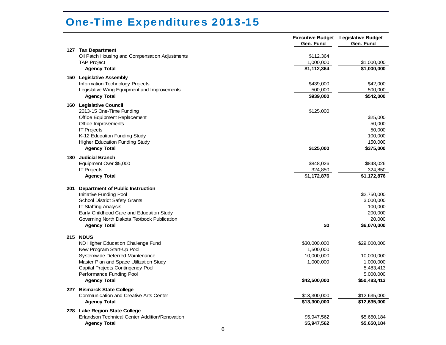|     |                                                |              | <b>Executive Budget</b> Legislative Budget |
|-----|------------------------------------------------|--------------|--------------------------------------------|
|     |                                                | Gen. Fund    | Gen. Fund                                  |
|     | 127 Tax Department                             |              |                                            |
|     | Oil Patch Housing and Compensation Adjustments | \$112,364    |                                            |
|     | <b>TAP Project</b>                             | 1,000,000    | \$1,000,000                                |
|     | <b>Agency Total</b>                            | \$1,112,364  | \$1,000,000                                |
|     | 150 Legislative Assembly                       |              |                                            |
|     | Information Technology Projects                | \$439,000    | \$42,000                                   |
|     | Legislative Wing Equipment and Improvements    | 500,000      | 500,000                                    |
|     | <b>Agency Total</b>                            | \$939,000    | \$542,000                                  |
|     | 160 Legislative Council                        |              |                                            |
|     | 2013-15 One-Time Funding                       | \$125,000    |                                            |
|     | Office Equipment Replacement                   |              | \$25,000                                   |
|     | Office Improvements                            |              | 50,000                                     |
|     | <b>IT Projects</b>                             |              | 50,000                                     |
|     | K-12 Education Funding Study                   |              | 100,000                                    |
|     | <b>Higher Education Funding Study</b>          |              | 150,000                                    |
|     | <b>Agency Total</b>                            | \$125,000    | \$375,000                                  |
| 180 | <b>Judicial Branch</b>                         |              |                                            |
|     | Equipment Over \$5,000                         | \$848,026    | \$848,026                                  |
|     | <b>IT Projects</b>                             | 324,850      | 324,850                                    |
|     | <b>Agency Total</b>                            | \$1,172,876  | \$1,172,876                                |
|     |                                                |              |                                            |
| 201 | <b>Department of Public Instruction</b>        |              |                                            |
|     | Initiative Funding Pool                        |              | \$2,750,000                                |
|     | <b>School District Safety Grants</b>           |              | 3,000,000                                  |
|     | <b>IT Staffing Analysis</b>                    |              | 100,000                                    |
|     | Early Childhood Care and Education Study       |              | 200,000                                    |
|     | Governing North Dakota Textbook Publication    |              | 20,000                                     |
|     | <b>Agency Total</b>                            | \$0          | \$6,070,000                                |
|     | 215 NDUS                                       |              |                                            |
|     | ND Higher Education Challenge Fund             | \$30,000,000 | \$29,000,000                               |
|     | New Program Start-Up Pool                      | 1,500,000    |                                            |
|     | Systemwide Deferred Maintenance                | 10,000,000   | 10,000,000                                 |
|     | Master Plan and Space Utilization Study        | 1,000,000    | 1,000,000                                  |
|     | Capital Projects Contingency Pool              |              | 5,483,413                                  |
|     | Performance Funding Pool                       |              | 5,000,000                                  |
|     | <b>Agency Total</b>                            | \$42,500,000 | \$50,483,413                               |
|     | 227 Bismarck State College                     |              |                                            |
|     | Communication and Creative Arts Center         | \$13,300,000 | \$12,635,000                               |
|     | <b>Agency Total</b>                            | \$13,300,000 | \$12,635,000                               |
|     | 228 Lake Region State College                  |              |                                            |
|     | Erlandson Technical Center Addition/Renovation | \$5,947,562  | \$5,650,184                                |
|     | <b>Agency Total</b>                            | \$5,947,562  | \$5,650,184                                |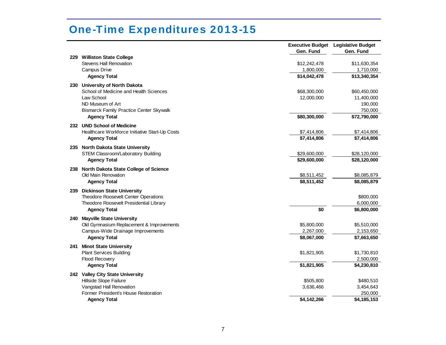| <b>Williston State College</b><br>229<br>Stevens Hall Renovation<br>\$12,242,478<br>\$11,630,354<br>Campus Drive<br>1,710,000<br>1,800,000<br>\$14,042,478<br>\$13,340,354<br><b>Agency Total</b><br>230 University of North Dakota<br>School of Medicine and Health Sciences<br>\$68,300,000<br>\$60,450,000<br>Law School<br>12,000,000<br>11,400,000<br>ND Museum of Art<br>190,000<br><b>Bismarck Family Practice Center Skywalk</b><br>750,000<br>\$80,300,000<br><b>Agency Total</b><br>\$72,790,000<br>232 UND School of Medicine<br>Healthcare Workforce Initiative Start-Up Costs<br>\$7,414,806<br>\$7,414,806<br>\$7,414,806<br>\$7,414,806<br><b>Agency Total</b><br>235 North Dakota State University<br>STEM Classroom/Laboratory Building<br>\$29,600,000<br>\$28,120,000<br>\$29,600,000<br>\$28,120,000<br><b>Agency Total</b><br>238 North Dakota State College of Science<br>Old Main Renovation<br>\$8,511,452<br>\$8,085,879<br>\$8,511,452<br>\$8,085,879<br><b>Agency Total</b><br><b>Dickinson State University</b><br>239<br>Theodore Roosevelt Center Operations<br>\$800,000<br>Theodore Roosevelt Presidential Library<br>6,000,000<br>\$0<br>\$6,800,000<br><b>Agency Total</b><br><b>Mayville State University</b><br>240<br>Old Gymnasium Replacement & Improvements<br>\$5,800,000<br>\$5,510,000<br>Campus-Wide Drainage Improvements<br>2,267,000<br>2,153,650<br><b>Agency Total</b><br>\$8,067,000<br>\$7,663,650<br><b>Minot State University</b><br>241<br><b>Plant Services Building</b><br>\$1,730,810<br>\$1,821,905<br>Flood Recovery<br>2,500,000<br><b>Agency Total</b><br>\$1,821,905<br>\$4,230,810<br>242 Valley City State University<br>Hillside Slope Failure<br>\$505,800<br>\$480,510<br>Vangstad Hall Renovation<br>3,636,466<br>3,454,643<br>Former President's House Restoration<br>250,000<br>\$4,142,266<br>\$4,185,153<br><b>Agency Total</b> |  | Gen. Fund | <b>Executive Budget</b> Legislative Budget<br>Gen. Fund |
|---------------------------------------------------------------------------------------------------------------------------------------------------------------------------------------------------------------------------------------------------------------------------------------------------------------------------------------------------------------------------------------------------------------------------------------------------------------------------------------------------------------------------------------------------------------------------------------------------------------------------------------------------------------------------------------------------------------------------------------------------------------------------------------------------------------------------------------------------------------------------------------------------------------------------------------------------------------------------------------------------------------------------------------------------------------------------------------------------------------------------------------------------------------------------------------------------------------------------------------------------------------------------------------------------------------------------------------------------------------------------------------------------------------------------------------------------------------------------------------------------------------------------------------------------------------------------------------------------------------------------------------------------------------------------------------------------------------------------------------------------------------------------------------------------------------------------------------------------------------------------------------------------------|--|-----------|---------------------------------------------------------|
|                                                                                                                                                                                                                                                                                                                                                                                                                                                                                                                                                                                                                                                                                                                                                                                                                                                                                                                                                                                                                                                                                                                                                                                                                                                                                                                                                                                                                                                                                                                                                                                                                                                                                                                                                                                                                                                                                                         |  |           |                                                         |
|                                                                                                                                                                                                                                                                                                                                                                                                                                                                                                                                                                                                                                                                                                                                                                                                                                                                                                                                                                                                                                                                                                                                                                                                                                                                                                                                                                                                                                                                                                                                                                                                                                                                                                                                                                                                                                                                                                         |  |           |                                                         |
|                                                                                                                                                                                                                                                                                                                                                                                                                                                                                                                                                                                                                                                                                                                                                                                                                                                                                                                                                                                                                                                                                                                                                                                                                                                                                                                                                                                                                                                                                                                                                                                                                                                                                                                                                                                                                                                                                                         |  |           |                                                         |
|                                                                                                                                                                                                                                                                                                                                                                                                                                                                                                                                                                                                                                                                                                                                                                                                                                                                                                                                                                                                                                                                                                                                                                                                                                                                                                                                                                                                                                                                                                                                                                                                                                                                                                                                                                                                                                                                                                         |  |           |                                                         |
|                                                                                                                                                                                                                                                                                                                                                                                                                                                                                                                                                                                                                                                                                                                                                                                                                                                                                                                                                                                                                                                                                                                                                                                                                                                                                                                                                                                                                                                                                                                                                                                                                                                                                                                                                                                                                                                                                                         |  |           |                                                         |
|                                                                                                                                                                                                                                                                                                                                                                                                                                                                                                                                                                                                                                                                                                                                                                                                                                                                                                                                                                                                                                                                                                                                                                                                                                                                                                                                                                                                                                                                                                                                                                                                                                                                                                                                                                                                                                                                                                         |  |           |                                                         |
|                                                                                                                                                                                                                                                                                                                                                                                                                                                                                                                                                                                                                                                                                                                                                                                                                                                                                                                                                                                                                                                                                                                                                                                                                                                                                                                                                                                                                                                                                                                                                                                                                                                                                                                                                                                                                                                                                                         |  |           |                                                         |
|                                                                                                                                                                                                                                                                                                                                                                                                                                                                                                                                                                                                                                                                                                                                                                                                                                                                                                                                                                                                                                                                                                                                                                                                                                                                                                                                                                                                                                                                                                                                                                                                                                                                                                                                                                                                                                                                                                         |  |           |                                                         |
|                                                                                                                                                                                                                                                                                                                                                                                                                                                                                                                                                                                                                                                                                                                                                                                                                                                                                                                                                                                                                                                                                                                                                                                                                                                                                                                                                                                                                                                                                                                                                                                                                                                                                                                                                                                                                                                                                                         |  |           |                                                         |
|                                                                                                                                                                                                                                                                                                                                                                                                                                                                                                                                                                                                                                                                                                                                                                                                                                                                                                                                                                                                                                                                                                                                                                                                                                                                                                                                                                                                                                                                                                                                                                                                                                                                                                                                                                                                                                                                                                         |  |           |                                                         |
|                                                                                                                                                                                                                                                                                                                                                                                                                                                                                                                                                                                                                                                                                                                                                                                                                                                                                                                                                                                                                                                                                                                                                                                                                                                                                                                                                                                                                                                                                                                                                                                                                                                                                                                                                                                                                                                                                                         |  |           |                                                         |
|                                                                                                                                                                                                                                                                                                                                                                                                                                                                                                                                                                                                                                                                                                                                                                                                                                                                                                                                                                                                                                                                                                                                                                                                                                                                                                                                                                                                                                                                                                                                                                                                                                                                                                                                                                                                                                                                                                         |  |           |                                                         |
|                                                                                                                                                                                                                                                                                                                                                                                                                                                                                                                                                                                                                                                                                                                                                                                                                                                                                                                                                                                                                                                                                                                                                                                                                                                                                                                                                                                                                                                                                                                                                                                                                                                                                                                                                                                                                                                                                                         |  |           |                                                         |
|                                                                                                                                                                                                                                                                                                                                                                                                                                                                                                                                                                                                                                                                                                                                                                                                                                                                                                                                                                                                                                                                                                                                                                                                                                                                                                                                                                                                                                                                                                                                                                                                                                                                                                                                                                                                                                                                                                         |  |           |                                                         |
|                                                                                                                                                                                                                                                                                                                                                                                                                                                                                                                                                                                                                                                                                                                                                                                                                                                                                                                                                                                                                                                                                                                                                                                                                                                                                                                                                                                                                                                                                                                                                                                                                                                                                                                                                                                                                                                                                                         |  |           |                                                         |
|                                                                                                                                                                                                                                                                                                                                                                                                                                                                                                                                                                                                                                                                                                                                                                                                                                                                                                                                                                                                                                                                                                                                                                                                                                                                                                                                                                                                                                                                                                                                                                                                                                                                                                                                                                                                                                                                                                         |  |           |                                                         |
|                                                                                                                                                                                                                                                                                                                                                                                                                                                                                                                                                                                                                                                                                                                                                                                                                                                                                                                                                                                                                                                                                                                                                                                                                                                                                                                                                                                                                                                                                                                                                                                                                                                                                                                                                                                                                                                                                                         |  |           |                                                         |
|                                                                                                                                                                                                                                                                                                                                                                                                                                                                                                                                                                                                                                                                                                                                                                                                                                                                                                                                                                                                                                                                                                                                                                                                                                                                                                                                                                                                                                                                                                                                                                                                                                                                                                                                                                                                                                                                                                         |  |           |                                                         |
|                                                                                                                                                                                                                                                                                                                                                                                                                                                                                                                                                                                                                                                                                                                                                                                                                                                                                                                                                                                                                                                                                                                                                                                                                                                                                                                                                                                                                                                                                                                                                                                                                                                                                                                                                                                                                                                                                                         |  |           |                                                         |
|                                                                                                                                                                                                                                                                                                                                                                                                                                                                                                                                                                                                                                                                                                                                                                                                                                                                                                                                                                                                                                                                                                                                                                                                                                                                                                                                                                                                                                                                                                                                                                                                                                                                                                                                                                                                                                                                                                         |  |           |                                                         |
|                                                                                                                                                                                                                                                                                                                                                                                                                                                                                                                                                                                                                                                                                                                                                                                                                                                                                                                                                                                                                                                                                                                                                                                                                                                                                                                                                                                                                                                                                                                                                                                                                                                                                                                                                                                                                                                                                                         |  |           |                                                         |
|                                                                                                                                                                                                                                                                                                                                                                                                                                                                                                                                                                                                                                                                                                                                                                                                                                                                                                                                                                                                                                                                                                                                                                                                                                                                                                                                                                                                                                                                                                                                                                                                                                                                                                                                                                                                                                                                                                         |  |           |                                                         |
|                                                                                                                                                                                                                                                                                                                                                                                                                                                                                                                                                                                                                                                                                                                                                                                                                                                                                                                                                                                                                                                                                                                                                                                                                                                                                                                                                                                                                                                                                                                                                                                                                                                                                                                                                                                                                                                                                                         |  |           |                                                         |
|                                                                                                                                                                                                                                                                                                                                                                                                                                                                                                                                                                                                                                                                                                                                                                                                                                                                                                                                                                                                                                                                                                                                                                                                                                                                                                                                                                                                                                                                                                                                                                                                                                                                                                                                                                                                                                                                                                         |  |           |                                                         |
|                                                                                                                                                                                                                                                                                                                                                                                                                                                                                                                                                                                                                                                                                                                                                                                                                                                                                                                                                                                                                                                                                                                                                                                                                                                                                                                                                                                                                                                                                                                                                                                                                                                                                                                                                                                                                                                                                                         |  |           |                                                         |
|                                                                                                                                                                                                                                                                                                                                                                                                                                                                                                                                                                                                                                                                                                                                                                                                                                                                                                                                                                                                                                                                                                                                                                                                                                                                                                                                                                                                                                                                                                                                                                                                                                                                                                                                                                                                                                                                                                         |  |           |                                                         |
|                                                                                                                                                                                                                                                                                                                                                                                                                                                                                                                                                                                                                                                                                                                                                                                                                                                                                                                                                                                                                                                                                                                                                                                                                                                                                                                                                                                                                                                                                                                                                                                                                                                                                                                                                                                                                                                                                                         |  |           |                                                         |
|                                                                                                                                                                                                                                                                                                                                                                                                                                                                                                                                                                                                                                                                                                                                                                                                                                                                                                                                                                                                                                                                                                                                                                                                                                                                                                                                                                                                                                                                                                                                                                                                                                                                                                                                                                                                                                                                                                         |  |           |                                                         |
|                                                                                                                                                                                                                                                                                                                                                                                                                                                                                                                                                                                                                                                                                                                                                                                                                                                                                                                                                                                                                                                                                                                                                                                                                                                                                                                                                                                                                                                                                                                                                                                                                                                                                                                                                                                                                                                                                                         |  |           |                                                         |
|                                                                                                                                                                                                                                                                                                                                                                                                                                                                                                                                                                                                                                                                                                                                                                                                                                                                                                                                                                                                                                                                                                                                                                                                                                                                                                                                                                                                                                                                                                                                                                                                                                                                                                                                                                                                                                                                                                         |  |           |                                                         |
|                                                                                                                                                                                                                                                                                                                                                                                                                                                                                                                                                                                                                                                                                                                                                                                                                                                                                                                                                                                                                                                                                                                                                                                                                                                                                                                                                                                                                                                                                                                                                                                                                                                                                                                                                                                                                                                                                                         |  |           |                                                         |
|                                                                                                                                                                                                                                                                                                                                                                                                                                                                                                                                                                                                                                                                                                                                                                                                                                                                                                                                                                                                                                                                                                                                                                                                                                                                                                                                                                                                                                                                                                                                                                                                                                                                                                                                                                                                                                                                                                         |  |           |                                                         |
|                                                                                                                                                                                                                                                                                                                                                                                                                                                                                                                                                                                                                                                                                                                                                                                                                                                                                                                                                                                                                                                                                                                                                                                                                                                                                                                                                                                                                                                                                                                                                                                                                                                                                                                                                                                                                                                                                                         |  |           |                                                         |
|                                                                                                                                                                                                                                                                                                                                                                                                                                                                                                                                                                                                                                                                                                                                                                                                                                                                                                                                                                                                                                                                                                                                                                                                                                                                                                                                                                                                                                                                                                                                                                                                                                                                                                                                                                                                                                                                                                         |  |           |                                                         |
|                                                                                                                                                                                                                                                                                                                                                                                                                                                                                                                                                                                                                                                                                                                                                                                                                                                                                                                                                                                                                                                                                                                                                                                                                                                                                                                                                                                                                                                                                                                                                                                                                                                                                                                                                                                                                                                                                                         |  |           |                                                         |
|                                                                                                                                                                                                                                                                                                                                                                                                                                                                                                                                                                                                                                                                                                                                                                                                                                                                                                                                                                                                                                                                                                                                                                                                                                                                                                                                                                                                                                                                                                                                                                                                                                                                                                                                                                                                                                                                                                         |  |           |                                                         |
|                                                                                                                                                                                                                                                                                                                                                                                                                                                                                                                                                                                                                                                                                                                                                                                                                                                                                                                                                                                                                                                                                                                                                                                                                                                                                                                                                                                                                                                                                                                                                                                                                                                                                                                                                                                                                                                                                                         |  |           |                                                         |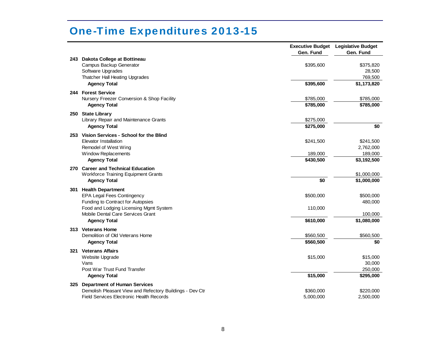|     |                                                                                                                                          | <b>Executive Budget</b><br>Gen. Fund | <b>Legislative Budget</b><br>Gen. Fund        |
|-----|------------------------------------------------------------------------------------------------------------------------------------------|--------------------------------------|-----------------------------------------------|
|     | 243 Dakota College at Bottineau<br>Campus Backup Generator<br>Software Upgrades<br>Thatcher Hall Heating Upgrades<br><b>Agency Total</b> | \$395,600<br>\$395,600               | \$375,820<br>28,500<br>769,500<br>\$1,173,820 |
|     |                                                                                                                                          |                                      |                                               |
|     | 244 Forest Service<br>Nursery Freezer Conversion & Shop Facility                                                                         | \$785,000                            | \$785,000                                     |
|     | <b>Agency Total</b>                                                                                                                      | \$785,000                            | \$785,000                                     |
|     |                                                                                                                                          |                                      |                                               |
|     | 250 State Library<br>Library Repair and Maintenance Grants                                                                               | \$275,000                            |                                               |
|     | <b>Agency Total</b>                                                                                                                      | \$275,000                            | \$0                                           |
|     |                                                                                                                                          |                                      |                                               |
|     | 253 Vision Services - School for the Blind<br>Elevator Installation                                                                      | \$241,500                            | \$241,500                                     |
|     | Remodel of West Wing                                                                                                                     |                                      | 2,762,000                                     |
|     | <b>Window Replacements</b>                                                                                                               | 189,000                              | 189,000                                       |
|     | <b>Agency Total</b>                                                                                                                      | \$430,500                            | \$3,192,500                                   |
|     | 270 Career and Technical Education                                                                                                       |                                      |                                               |
|     | <b>Workforce Training Equipment Grants</b>                                                                                               |                                      | \$1,000,000                                   |
|     | <b>Agency Total</b>                                                                                                                      | \$0                                  | \$1,000,000                                   |
|     | 301 Health Department                                                                                                                    |                                      |                                               |
|     | EPA Legal Fees Contingency                                                                                                               | \$500,000                            | \$500,000                                     |
|     | Funding to Contract for Autopsies                                                                                                        |                                      | 480,000                                       |
|     | Food and Lodging Licensing Mgmt System                                                                                                   | 110,000                              |                                               |
|     | Mobile Dental Care Services Grant                                                                                                        |                                      | 100,000                                       |
|     | <b>Agency Total</b>                                                                                                                      | \$610,000                            | \$1,080,000                                   |
|     | 313 Veterans Home                                                                                                                        |                                      |                                               |
|     | Demolition of Old Veterans Home                                                                                                          | \$560,500                            | \$560,500                                     |
|     | <b>Agency Total</b>                                                                                                                      | \$560,500                            | \$0                                           |
|     | 321 Veterans Affairs                                                                                                                     |                                      |                                               |
|     | Website Upgrade                                                                                                                          | \$15,000                             | \$15,000                                      |
|     | Vans                                                                                                                                     |                                      | 30,000                                        |
|     | Post War Trust Fund Transfer                                                                                                             |                                      | 250,000                                       |
|     | <b>Agency Total</b>                                                                                                                      | \$15,000                             | \$295,000                                     |
| 325 | <b>Department of Human Services</b>                                                                                                      |                                      |                                               |
|     | Demolish Pleasant View and Refectory Buildings - Dev Ctr                                                                                 | \$360,000                            | \$220,000                                     |
|     | <b>Field Services Electronic Health Records</b>                                                                                          | 5,000,000                            | 2,500,000                                     |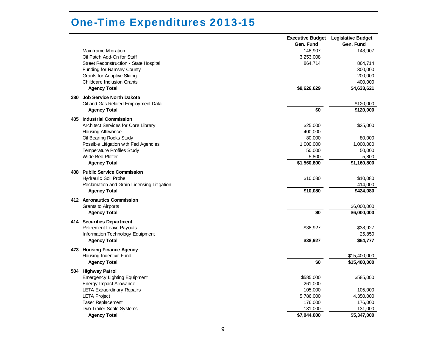| Gen. Fund<br>Gen. Fund<br>148,907<br>148,907<br>Mainframe Migration<br>3,253,008<br>Oil Patch Add-On for Staff<br>864,714<br>Street Reconstruction - State Hospital<br>864,714<br>Funding for Ramsey County<br>300,000<br>Grants for Adaptive Skiing<br>200,000<br><b>Childcare Inclusion Grants</b><br>400,000<br>\$9,626,629<br>\$4,633,621<br><b>Agency Total</b><br>380 Job Service North Dakota<br>Oil and Gas Related Employment Data<br>\$120,000<br>\$0<br><b>Agency Total</b><br>\$120,000<br>405 Industrial Commission<br><b>Architect Services for Core Library</b><br>\$25,000<br>\$25,000<br>400,000<br>Housing Allowance<br>80,000<br>Oil Bearing Rocks Study<br>80,000<br>Possible Litigation with Fed Agencies<br>1,000,000<br>1,000,000<br>Temperature Profiles Study<br>50,000<br>50,000<br>Wide Bed Plotter<br>5,800<br>5,800<br>\$1,560,800<br>\$1,160,800<br><b>Agency Total</b><br>408 Public Service Commission<br><b>Hydraulic Soil Probe</b><br>\$10,080<br>\$10,080<br>414,000<br>Reclamation and Grain Licensing Litigation<br>\$10,080<br>\$424,080<br><b>Agency Total</b> |  | <b>Executive Budget</b> | <b>Legislative Budget</b> |
|--------------------------------------------------------------------------------------------------------------------------------------------------------------------------------------------------------------------------------------------------------------------------------------------------------------------------------------------------------------------------------------------------------------------------------------------------------------------------------------------------------------------------------------------------------------------------------------------------------------------------------------------------------------------------------------------------------------------------------------------------------------------------------------------------------------------------------------------------------------------------------------------------------------------------------------------------------------------------------------------------------------------------------------------------------------------------------------------------------|--|-------------------------|---------------------------|
|                                                                                                                                                                                                                                                                                                                                                                                                                                                                                                                                                                                                                                                                                                                                                                                                                                                                                                                                                                                                                                                                                                        |  |                         |                           |
|                                                                                                                                                                                                                                                                                                                                                                                                                                                                                                                                                                                                                                                                                                                                                                                                                                                                                                                                                                                                                                                                                                        |  |                         |                           |
|                                                                                                                                                                                                                                                                                                                                                                                                                                                                                                                                                                                                                                                                                                                                                                                                                                                                                                                                                                                                                                                                                                        |  |                         |                           |
|                                                                                                                                                                                                                                                                                                                                                                                                                                                                                                                                                                                                                                                                                                                                                                                                                                                                                                                                                                                                                                                                                                        |  |                         |                           |
|                                                                                                                                                                                                                                                                                                                                                                                                                                                                                                                                                                                                                                                                                                                                                                                                                                                                                                                                                                                                                                                                                                        |  |                         |                           |
|                                                                                                                                                                                                                                                                                                                                                                                                                                                                                                                                                                                                                                                                                                                                                                                                                                                                                                                                                                                                                                                                                                        |  |                         |                           |
|                                                                                                                                                                                                                                                                                                                                                                                                                                                                                                                                                                                                                                                                                                                                                                                                                                                                                                                                                                                                                                                                                                        |  |                         |                           |
|                                                                                                                                                                                                                                                                                                                                                                                                                                                                                                                                                                                                                                                                                                                                                                                                                                                                                                                                                                                                                                                                                                        |  |                         |                           |
|                                                                                                                                                                                                                                                                                                                                                                                                                                                                                                                                                                                                                                                                                                                                                                                                                                                                                                                                                                                                                                                                                                        |  |                         |                           |
|                                                                                                                                                                                                                                                                                                                                                                                                                                                                                                                                                                                                                                                                                                                                                                                                                                                                                                                                                                                                                                                                                                        |  |                         |                           |
|                                                                                                                                                                                                                                                                                                                                                                                                                                                                                                                                                                                                                                                                                                                                                                                                                                                                                                                                                                                                                                                                                                        |  |                         |                           |
|                                                                                                                                                                                                                                                                                                                                                                                                                                                                                                                                                                                                                                                                                                                                                                                                                                                                                                                                                                                                                                                                                                        |  |                         |                           |
|                                                                                                                                                                                                                                                                                                                                                                                                                                                                                                                                                                                                                                                                                                                                                                                                                                                                                                                                                                                                                                                                                                        |  |                         |                           |
|                                                                                                                                                                                                                                                                                                                                                                                                                                                                                                                                                                                                                                                                                                                                                                                                                                                                                                                                                                                                                                                                                                        |  |                         |                           |
|                                                                                                                                                                                                                                                                                                                                                                                                                                                                                                                                                                                                                                                                                                                                                                                                                                                                                                                                                                                                                                                                                                        |  |                         |                           |
|                                                                                                                                                                                                                                                                                                                                                                                                                                                                                                                                                                                                                                                                                                                                                                                                                                                                                                                                                                                                                                                                                                        |  |                         |                           |
|                                                                                                                                                                                                                                                                                                                                                                                                                                                                                                                                                                                                                                                                                                                                                                                                                                                                                                                                                                                                                                                                                                        |  |                         |                           |
|                                                                                                                                                                                                                                                                                                                                                                                                                                                                                                                                                                                                                                                                                                                                                                                                                                                                                                                                                                                                                                                                                                        |  |                         |                           |
|                                                                                                                                                                                                                                                                                                                                                                                                                                                                                                                                                                                                                                                                                                                                                                                                                                                                                                                                                                                                                                                                                                        |  |                         |                           |
|                                                                                                                                                                                                                                                                                                                                                                                                                                                                                                                                                                                                                                                                                                                                                                                                                                                                                                                                                                                                                                                                                                        |  |                         |                           |
|                                                                                                                                                                                                                                                                                                                                                                                                                                                                                                                                                                                                                                                                                                                                                                                                                                                                                                                                                                                                                                                                                                        |  |                         |                           |
|                                                                                                                                                                                                                                                                                                                                                                                                                                                                                                                                                                                                                                                                                                                                                                                                                                                                                                                                                                                                                                                                                                        |  |                         |                           |
|                                                                                                                                                                                                                                                                                                                                                                                                                                                                                                                                                                                                                                                                                                                                                                                                                                                                                                                                                                                                                                                                                                        |  |                         |                           |
| 412 Aeronautics Commission                                                                                                                                                                                                                                                                                                                                                                                                                                                                                                                                                                                                                                                                                                                                                                                                                                                                                                                                                                                                                                                                             |  |                         |                           |
| \$6,000,000<br>Grants to Airports                                                                                                                                                                                                                                                                                                                                                                                                                                                                                                                                                                                                                                                                                                                                                                                                                                                                                                                                                                                                                                                                      |  |                         |                           |
| \$0<br><b>Agency Total</b><br>\$6,000,000                                                                                                                                                                                                                                                                                                                                                                                                                                                                                                                                                                                                                                                                                                                                                                                                                                                                                                                                                                                                                                                              |  |                         |                           |
| 414 Securities Department                                                                                                                                                                                                                                                                                                                                                                                                                                                                                                                                                                                                                                                                                                                                                                                                                                                                                                                                                                                                                                                                              |  |                         |                           |
| Retirement Leave Payouts<br>\$38,927<br>\$38,927                                                                                                                                                                                                                                                                                                                                                                                                                                                                                                                                                                                                                                                                                                                                                                                                                                                                                                                                                                                                                                                       |  |                         |                           |
| 25,850<br>Information Technology Equipment                                                                                                                                                                                                                                                                                                                                                                                                                                                                                                                                                                                                                                                                                                                                                                                                                                                                                                                                                                                                                                                             |  |                         |                           |
| \$64,777<br><b>Agency Total</b><br>\$38,927                                                                                                                                                                                                                                                                                                                                                                                                                                                                                                                                                                                                                                                                                                                                                                                                                                                                                                                                                                                                                                                            |  |                         |                           |
| 473 Housing Finance Agency                                                                                                                                                                                                                                                                                                                                                                                                                                                                                                                                                                                                                                                                                                                                                                                                                                                                                                                                                                                                                                                                             |  |                         |                           |
| Housing Incentive Fund<br>\$15,400,000                                                                                                                                                                                                                                                                                                                                                                                                                                                                                                                                                                                                                                                                                                                                                                                                                                                                                                                                                                                                                                                                 |  |                         |                           |
| \$0<br><b>Agency Total</b><br>\$15,400,000                                                                                                                                                                                                                                                                                                                                                                                                                                                                                                                                                                                                                                                                                                                                                                                                                                                                                                                                                                                                                                                             |  |                         |                           |
| 504 Highway Patrol                                                                                                                                                                                                                                                                                                                                                                                                                                                                                                                                                                                                                                                                                                                                                                                                                                                                                                                                                                                                                                                                                     |  |                         |                           |
| \$585,000<br><b>Emergency Lighting Equipment</b><br>\$585,000                                                                                                                                                                                                                                                                                                                                                                                                                                                                                                                                                                                                                                                                                                                                                                                                                                                                                                                                                                                                                                          |  |                         |                           |
| Energy Impact Allowance<br>261,000                                                                                                                                                                                                                                                                                                                                                                                                                                                                                                                                                                                                                                                                                                                                                                                                                                                                                                                                                                                                                                                                     |  |                         |                           |
| <b>LETA Extraordinary Repairs</b><br>105,000<br>105,000                                                                                                                                                                                                                                                                                                                                                                                                                                                                                                                                                                                                                                                                                                                                                                                                                                                                                                                                                                                                                                                |  |                         |                           |
| <b>LETA Project</b><br>4,350,000<br>5,786,000                                                                                                                                                                                                                                                                                                                                                                                                                                                                                                                                                                                                                                                                                                                                                                                                                                                                                                                                                                                                                                                          |  |                         |                           |
| Taser Replacement<br>176,000<br>176,000                                                                                                                                                                                                                                                                                                                                                                                                                                                                                                                                                                                                                                                                                                                                                                                                                                                                                                                                                                                                                                                                |  |                         |                           |
| Two Trailer Scale Systems<br>131,000<br>131,000                                                                                                                                                                                                                                                                                                                                                                                                                                                                                                                                                                                                                                                                                                                                                                                                                                                                                                                                                                                                                                                        |  |                         |                           |
| \$7,044,000<br>\$5,347,000<br><b>Agency Total</b>                                                                                                                                                                                                                                                                                                                                                                                                                                                                                                                                                                                                                                                                                                                                                                                                                                                                                                                                                                                                                                                      |  |                         |                           |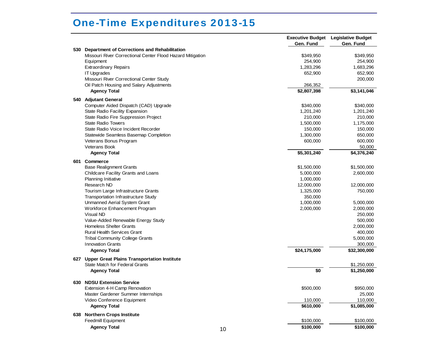|     |                                                            |    |              | <b>Executive Budget</b> Legislative Budget |
|-----|------------------------------------------------------------|----|--------------|--------------------------------------------|
|     |                                                            |    | Gen. Fund    | Gen. Fund                                  |
|     | 530 Department of Corrections and Rehabilitation           |    |              |                                            |
|     | Missouri River Correctional Center Flood Hazard Mitigation |    | \$349,950    | \$349,950                                  |
|     | Equipment                                                  |    | 254,900      | 254,900                                    |
|     | <b>Extraordinary Repairs</b>                               |    | 1,283,296    | 1,683,296                                  |
|     | <b>IT Upgrades</b>                                         |    | 652,900      | 652,900                                    |
|     | Missouri River Correctional Center Study                   |    |              | 200,000                                    |
|     | Oil Patch Housing and Salary Adjustments                   |    | 266,352      |                                            |
|     | <b>Agency Total</b>                                        |    | \$2,807,398  | \$3,141,046                                |
|     | 540 Adjutant General                                       |    |              |                                            |
|     | Computer Aided Dispatch (CAD) Upgrade                      |    | \$340,000    | \$340,000                                  |
|     | State Radio Facility Expansion                             |    | 1,201,240    | 1,201,240                                  |
|     | State Radio Fire Suppression Project                       |    | 210,000      | 210,000                                    |
|     | <b>State Radio Towers</b>                                  |    | 1,500,000    | 1,175,000                                  |
|     | State Radio Voice Incident Recorder                        |    | 150,000      | 150,000                                    |
|     | Statewide Seamless Basemap Completion                      |    | 1,300,000    | 650,000                                    |
|     | Veterans Bonus Program                                     |    | 600,000      | 600,000                                    |
|     | <b>Veterans Book</b>                                       |    |              | 50,000                                     |
|     | <b>Agency Total</b>                                        |    | \$5,301,240  | \$4,376,240                                |
|     |                                                            |    |              |                                            |
| 601 | Commerce                                                   |    |              |                                            |
|     | <b>Base Realignment Grants</b>                             |    | \$1,500,000  | \$1,500,000                                |
|     | Childcare Facility Grants and Loans                        |    | 5,000,000    | 2,600,000                                  |
|     | Planning Initiative                                        |    | 1,000,000    |                                            |
|     | Research ND                                                |    | 12,000,000   | 12,000,000                                 |
|     | Tourism Large Infrastructure Grants                        |    | 1,325,000    | 750,000                                    |
|     | <b>Transportation Infrastructure Study</b>                 |    | 350,000      |                                            |
|     | Unmanned Aerial System Grant                               |    | 1,000,000    | 5,000,000                                  |
|     | Workforce Enhancement Program                              |    | 2,000,000    | 2,000,000                                  |
|     | <b>Visual ND</b>                                           |    |              | 250,000                                    |
|     | Value-Added Renewable Energy Study                         |    |              | 500,000                                    |
|     | <b>Homeless Shelter Grants</b>                             |    |              | 2,000,000                                  |
|     | <b>Rural Health Services Grant</b>                         |    |              | 400,000                                    |
|     | <b>Tribal Community College Grants</b>                     |    |              | 5,000,000                                  |
|     | <b>Innovation Grants</b>                                   |    |              | 300,000                                    |
|     | <b>Agency Total</b>                                        |    | \$24,175,000 | \$32,300,000                               |
| 627 | <b>Upper Great Plains Transportation Institute</b>         |    |              |                                            |
|     | State Match for Federal Grants                             |    |              | \$1,250,000                                |
|     | <b>Agency Total</b>                                        |    | \$0          | \$1,250,000                                |
|     |                                                            |    |              |                                            |
| 630 | <b>NDSU Extension Service</b>                              |    |              |                                            |
|     | Extension 4-H Camp Renovation                              |    | \$500,000    | \$950,000                                  |
|     | Master Gardener Summer Internships                         |    |              | 25,000                                     |
|     | Video Conference Equipment                                 |    | 110,000      | 110,000                                    |
|     | <b>Agency Total</b>                                        |    | \$610,000    | \$1,085,000                                |
| 638 | <b>Northern Crops Institute</b>                            |    |              |                                            |
|     | Feedmill Equipment                                         |    | \$100,000    | \$100,000                                  |
|     |                                                            |    | \$100,000    | \$100,000                                  |
|     | <b>Agency Total</b>                                        | 10 |              |                                            |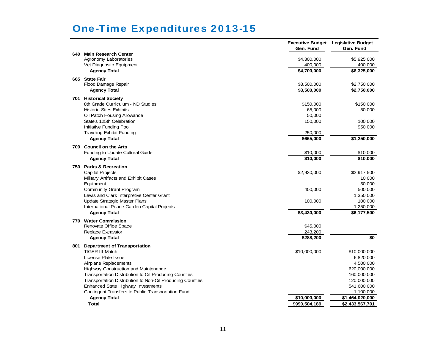|     |                                                           | Gen. Fund              | <b>Executive Budget</b> Legislative Budget<br>Gen. Fund |
|-----|-----------------------------------------------------------|------------------------|---------------------------------------------------------|
|     | 640 Main Research Center                                  |                        |                                                         |
|     | Agronomy Laboratories                                     | \$4,300,000            | \$5,925,000                                             |
|     | Vet Diagnostic Equipment                                  | 400,000<br>\$4,700,000 | 400,000<br>\$6,325,000                                  |
|     | <b>Agency Total</b>                                       |                        |                                                         |
|     | 665 State Fair                                            |                        |                                                         |
|     | Flood Damage Repair                                       | \$3,500,000            | \$2,750,000                                             |
|     | <b>Agency Total</b>                                       | \$3,500,000            | \$2,750,000                                             |
|     | 701 Historical Society                                    |                        |                                                         |
|     | 8th Grade Curriculum - ND Studies                         | \$150,000              | \$150,000                                               |
|     | <b>Historic Sites Exhibits</b>                            | 65,000                 | 50,000                                                  |
|     | Oil Patch Housing Allowance                               | 50,000                 |                                                         |
|     | State's 125th Celebration                                 | 150,000                | 100,000                                                 |
|     | Initiative Funding Pool                                   |                        | 950,000                                                 |
|     | <b>Traveling Exhibit Funding</b>                          | 250,000                |                                                         |
|     | <b>Agency Total</b>                                       | \$665,000              | \$1,250,000                                             |
| 709 | <b>Council on the Arts</b>                                |                        |                                                         |
|     | Funding to Update Cultural Guide                          | \$10,000               | \$10,000                                                |
|     | <b>Agency Total</b>                                       | \$10,000               | \$10,000                                                |
|     | 750 Parks & Recreation                                    |                        |                                                         |
|     | <b>Capital Projects</b>                                   | \$2,930,000            | \$2,917,500                                             |
|     | Military Artifacts and Exhibit Cases                      |                        | 10,000                                                  |
|     | Equipment                                                 |                        | 50,000                                                  |
|     | <b>Community Grant Program</b>                            | 400,000                | 500,000                                                 |
|     | Lewis and Clark Interpretive Center Grant                 |                        | 1,350,000                                               |
|     | <b>Update Strategic Master Plans</b>                      | 100,000                | 100,000                                                 |
|     | International Peace Garden Capital Projects               |                        | 1,250,000                                               |
|     | <b>Agency Total</b>                                       | \$3,430,000            | \$6,177,500                                             |
|     |                                                           |                        |                                                         |
|     | 770 Water Commission<br>Renovate Office Space             | \$45,000               |                                                         |
|     | Replace Excavator                                         | 243,200                |                                                         |
|     | <b>Agency Total</b>                                       | \$288,200              | \$0                                                     |
|     |                                                           |                        |                                                         |
|     | 801 Department of Transportation                          |                        |                                                         |
|     | <b>TIGER III Match</b>                                    | \$10,000,000           | \$10,000,000                                            |
|     | License Plate Issue                                       |                        | 6,820,000                                               |
|     | Airplane Replacements                                     |                        | 4,500,000                                               |
|     | <b>Highway Construction and Maintenance</b>               |                        | 620,000,000                                             |
|     | Transportation Distribution to Oil Producing Counties     |                        | 160,000,000                                             |
|     | Transportation Distribution to Non-Oil Producing Counties |                        | 120,000,000                                             |
|     | <b>Enhanced State Highway Investments</b>                 |                        | 541,600,000                                             |
|     | Contingent Transfers to Public Transportation Fund        |                        | 1,100,000                                               |
|     | <b>Agency Total</b>                                       | \$10,000,000           | \$1,464,020,000                                         |
|     | <b>Total</b>                                              | \$990,504,189          | \$2,433,567,701                                         |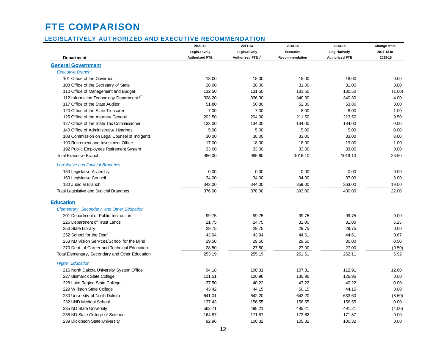# <span id="page-16-0"></span>FTE COMPARISON

#### LEGISLATIVELY AUTHORIZED AND EXECUTIVE RECOMMENDATION

|                                                 | 2009-11               | 2011-13                       | 2013-15          | 2013-15               | Change from |
|-------------------------------------------------|-----------------------|-------------------------------|------------------|-----------------------|-------------|
|                                                 | Legislatively         | Legislatively                 | <b>Executive</b> | Legislatively         | 2011-13 to  |
| Department                                      | <b>Authorized FTE</b> | Authorized FTE \ <sup>1</sup> | Recommendation   | <b>Authorized FTE</b> | 2013-15     |
| <b>General Government</b>                       |                       |                               |                  |                       |             |
| <b>Executive Branch</b>                         |                       |                               |                  |                       |             |
| 101 Office of the Governor                      | 18.00                 | 18.00                         | 18.00            | 18.00                 | 0.00        |
| 108 Office of the Secretary of State            | 28.00                 | 28.00                         | 31.00            | 31.00                 | 3.00        |
| 110 Office of Management and Budget             | 132.50                | 131.50                        | 131.50           | 130.50                | (1.00)      |
| 112 Information Technology Department \         | 328.20                | 336.30                        | 340.30           | 340.30                | 4.00        |
| 117 Office of the State Auditor                 | 51.80                 | 50.80                         | 52.80            | 53.80                 | 3.00        |
| 120 Office of the State Treasurer               | 7.00                  | 7.00                          | 8.00             | 8.00                  | 1.00        |
| 125 Office of the Attorney General              | 202.50                | 204.00                        | 211.50           | 213.50                | 9.50        |
| 127 Office of the State Tax Commissioner        | 133.00                | 134.00                        | 134.00           | 134.00                | 0.00        |
| 140 Office of Administrative Hearings           | 5.00                  | 5.00                          | 5.00             | 5.00                  | 0.00        |
| 188 Commission on Legal Counsel of Indigents    | 30.00                 | 30.00                         | 33.00            | 33.00                 | 3.00        |
| 190 Retirement and Investment Office            | 17.00                 | 18.00                         | 18.00            | 19.00                 | 1.00        |
| 192 Public Employees Retirement System          | 33.00                 | 33.00                         | 33.00            | 33.00                 | 0.00        |
| <b>Total Executive Branch</b>                   | 986.00                | 995.60                        | 1016.10          | 1019.10               | 23.50       |
| <b>Legislative and Judicial Branches</b>        |                       |                               |                  |                       |             |
| 150 Legislative Assembly                        | 0.00                  | 0.00                          | 0.00             | 0.00                  | 0.00        |
| 160 Legislative Council                         | 34.00                 | 34.00                         | 34.00            | 37.00                 | 3.00        |
| 180 Judicial Branch                             | 342.00                | 344.00                        | 359.00           | 363.00                | 19.00       |
| Total Legislative and Judicial Branches         | 376.00                | 378.00                        | 393.00           | 400.00                | 22.00       |
| <b>Education</b>                                |                       |                               |                  |                       |             |
| Elementary, Secondary, and Other Education      |                       |                               |                  |                       |             |
| 201 Department of Public Instruction            | 99.75                 | 99.75                         | 99.75            | 99.75                 | 0.00        |
| 226 Department of Trust Lands                   | 21.75                 | 24.75                         | 31.00            | 31.00                 | 6.25        |
| 250 State Library                               | 29.75                 | 29.75                         | 29.75            | 29.75                 | 0.00        |
| 252 School for the Deaf                         | 43.94                 | 43.94                         | 44.61            | 44.61                 | 0.67        |
| 253 ND Vision Services/School for the Blind     | 29.50                 | 29.50                         | 29.50            | 30.00                 | 0.50        |
| 270 Dept. of Career and Technical Education     | 28.50                 | 27.50                         | 27.00            | 27.00                 | (0.50)      |
| Total Elementary, Secondary and Other Education | 253.19                | 255.19                        | 261.61           | 262.11                | 6.92        |
| <b>Higher Education</b>                         |                       |                               |                  |                       |             |
| 215 North Dakota University System Office       | 94.18                 | 100.31                        | 107.31           | 112.91                | 12.60       |
| 227 Bismarck State College                      | 111.51                | 126.96                        | 130.96           | 126.96                | 0.00        |
| 228 Lake Region State College                   | 37.50                 | 40.22                         | 43.22            | 40.22                 | 0.00        |
| 229 Williston State College                     | 43.42                 | 44.15                         | 50.15            | 44.15                 | 0.00        |
| 230 University of North Dakota                  | 641.01                | 642.20                        | 642.20           | 633.60                | (8.60)      |
| 232 UND Medical School                          | 137.43                | 156.55                        | 156.55           | 156.55                | 0.00        |
| 235 ND State University                         | 562.71                | 495.21                        | 495.21           | 491.21                | (4.00)      |
| 238 ND State College of Science                 | 164.87                | 171.87                        | 173.62           | 171.87                | 0.00        |
| 239 Dickinson State University                  | 92.96                 | 100.32                        | 105.32           | 100.32                | 0.00        |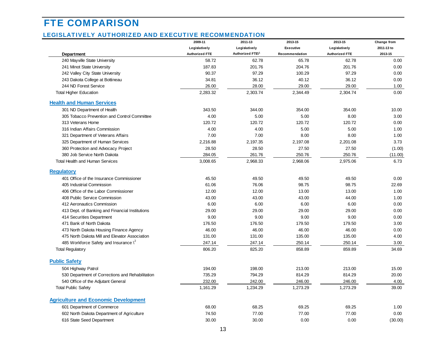# FTE COMPARISON

#### LEGISLATIVELY AUTHORIZED AND EXECUTIVE RECOMMENDATION

|                                                   | 2009-11               | 2011-13          | 2013-15        | 2013-15               | Change from |
|---------------------------------------------------|-----------------------|------------------|----------------|-----------------------|-------------|
|                                                   | Legislatively         | Legislatively    | Executive      | Legislatively         | 2011-13 to  |
| Department                                        | <b>Authorized FTE</b> | Authorized FTE\1 | Recommendation | <b>Authorized FTE</b> | 2013-15     |
| 240 Mayville State University                     | 58.72                 | 62.78            | 65.78          | 62.78                 | 0.00        |
| 241 Minot State University                        | 187.83                | 201.76           | 204.76         | 201.76                | 0.00        |
| 242 Valley City State University                  | 90.37                 | 97.29            | 100.29         | 97.29                 | 0.00        |
| 243 Dakota College at Bottineau                   | 34.81                 | 36.12            | 40.12          | 36.12                 | 0.00        |
| 244 ND Forest Service                             | 26.00                 | 28.00            | 29.00          | 29.00                 | 1.00        |
| <b>Total Higher Education</b>                     | 2,283.32              | 2,303.74         | 2,344.49       | 2,304.74              | 0.00        |
| <b>Health and Human Services</b>                  |                       |                  |                |                       |             |
| 301 ND Department of Health                       | 343.50                | 344.00           | 354.00         | 354.00                | 10.00       |
| 305 Tobacco Prevention and Control Committee      | 4.00                  | 5.00             | 5.00           | 8.00                  | 3.00        |
| 313 Veterans Home                                 | 120.72                | 120.72           | 120.72         | 120.72                | 0.00        |
| 316 Indian Affairs Commission                     | 4.00                  | 4.00             | 5.00           | 5.00                  | 1.00        |
| 321 Department of Veterans Affairs                | 7.00                  | 7.00             | 8.00           | 8.00                  | 1.00        |
| 325 Department of Human Services                  | 2,216.88              | 2,197.35         | 2,197.08       | 2,201.08              | 3.73        |
| 360 Protection and Advocacy Project               | 28.50                 | 28.50            | 27.50          | 27.50                 | (1.00)      |
| 380 Job Service North Dakota                      | 284.05                | 261.76           | 250.76         | 250.76                | (11.00)     |
| Total Health and Human Services                   | 3,008.65              | 2,968.33         | 2,968.06       | 2,975.06              | 6.73        |
| <b>Regulatory</b>                                 |                       |                  |                |                       |             |
| 401 Office of the Insurance Commissioner          | 45.50                 | 49.50            | 49.50          | 49.50                 | 0.00        |
| 405 Industrial Commission                         | 61.06                 | 76.06            | 98.75          | 98.75                 | 22.69       |
| 406 Office of the Labor Commissioner              | 12.00                 | 12.00            | 13.00          | 13.00                 | 1.00        |
| 408 Public Service Commission                     | 43.00                 | 43.00            | 43.00          | 44.00                 | 1.00        |
| 412 Aeronautics Commission                        | 6.00                  | 6.00             | 6.00           | 6.00                  | 0.00        |
| 413 Dept. of Banking and Financial Institutions   | 29.00                 | 29.00            | 29.00          | 29.00                 | 0.00        |
| 414 Securities Department                         | 9.00                  | 9.00             | 9.00           | 9.00                  | 0.00        |
| 471 Bank of North Dakota                          | 176.50                | 176.50           | 179.50         | 179.50                | 3.00        |
| 473 North Dakota Housing Finance Agency           | 46.00                 | 46.00            | 46.00          | 46.00                 | 0.00        |
| 475 North Dakota Mill and Elevator Association    | 131.00                | 131.00           | 135.00         | 135.00                | 4.00        |
| 485 Workforce Safety and Insurance $\binom{6}{5}$ | 247.14                | 247.14           | 250.14         | 250.14                | 3.00        |
| <b>Total Regulatory</b>                           | 806.20                | 825.20           | 858.89         | 859.89                | 34.69       |
| <b>Public Safety</b>                              |                       |                  |                |                       |             |
| 504 Highway Patrol                                | 194.00                | 198.00           | 213.00         | 213.00                | 15.00       |
| 530 Department of Corrections and Rehabilitation  | 735.29                | 794.29           | 814.29         | 814.29                | 20.00       |
| 540 Office of the Adjutant General                | 232.00                | 242.00           | 246.00         | 246.00                | 4.00        |
| <b>Total Public Safety</b>                        | 1,161.29              | 1,234.29         | 1,273.29       | 1,273.29              | 39.00       |
|                                                   |                       |                  |                |                       |             |
| <b>Agriculture and Economic Development</b>       |                       |                  |                |                       |             |
| 601 Department of Commerce                        | 68.00                 | 68.25            | 69.25          | 69.25                 | 1.00        |
| 602 North Dakota Department of Agriculture        | 74.50                 | 77.00            | 77.00          | 77.00                 | 0.00        |
| 616 State Seed Department                         | 30.00                 | 30.00            | 0.00           | 0.00                  | (30.00)     |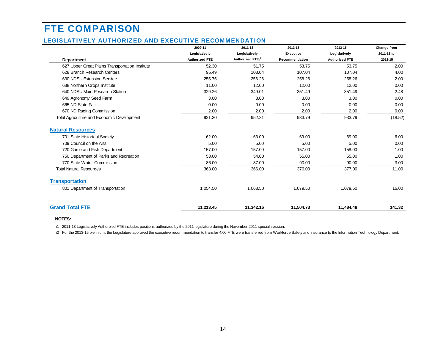# FTE COMPARISON

#### LEGISLATIVELY AUTHORIZED AND EXECUTIVE RECOMMENDATION

|                                                 | 2009-11               | 2011-13          | 2013-15        | 2013-15               | Change from |
|-------------------------------------------------|-----------------------|------------------|----------------|-----------------------|-------------|
|                                                 | Legislatively         | Legislatively    | Executive      | Legislatively         | 2011-13 to  |
| Department                                      | <b>Authorized FTE</b> | Authorized FTE\1 | Recommendation | <b>Authorized FTE</b> | 2013-15     |
| 627 Upper Great Plains Transportation Institute | 52.30                 | 51.75            | 53.75          | 53.75                 | 2.00        |
| 628 Branch Research Centers                     | 95.49                 | 103.04           | 107.04         | 107.04                | 4.00        |
| 630 NDSU Extension Service                      | 255.75                | 256.26           | 258.26         | 258.26                | 2.00        |
| 638 Northern Crops Institute                    | 11.00                 | 12.00            | 12.00          | 12.00                 | 0.00        |
| 640 NDSU Main Research Station                  | 329.26                | 349.01           | 351.49         | 351.49                | 2.48        |
| 649 Agronomy Seed Farm                          | 3.00                  | 3.00             | 3.00           | 3.00                  | 0.00        |
| 665 ND State Fair                               | 0.00                  | 0.00             | 0.00           | 0.00                  | 0.00        |
| 670 ND Racing Commission                        | 2.00                  | 2.00             | 2.00           | 2.00                  | 0.00        |
| Total Agriculture and Economic Development      | 921.30                | 952.31           | 933.79         | 933.79                | (18.52)     |
| <b>Natural Resources</b>                        |                       |                  |                |                       |             |
| 701 State Historical Society                    | 62.00                 | 63.00            | 69.00          | 69.00                 | 6.00        |
| 709 Council on the Arts                         | 5.00                  | 5.00             | 5.00           | 5.00                  | 0.00        |
| 720 Game and Fish Department                    | 157.00                | 157.00           | 157.00         | 158.00                | 1.00        |
| 750 Department of Parks and Recreation          | 53.00                 | 54.00            | 55.00          | 55.00                 | 1.00        |
| 770 State Water Commission                      | 86.00                 | 87.00            | 90.00          | 90.00                 | 3.00        |
| <b>Total Natural Resources</b>                  | 363.00                | 366.00           | 376.00         | 377.00                | 11.00       |
| <b>Transportation</b>                           |                       |                  |                |                       |             |
| 801 Department of Transportation                | 1,054.50              | 1,063.50         | 1,079.50       | 1,079.50              | 16.00       |
| <b>Grand Total FTE</b>                          | 11,213.45             | 11,342.16        | 11,504.73      | 11,484.48             | 141.32      |

#### **NOTES:**

\1 2011-13 Legislatively Authorized FTE includes positions authorized by the 2011 legislature during the November 2011 special session.

\2 For the 2013-15 biennium, the Legislature approved the executive recommendation to transfer 4.00 FTE were transferred from Workforce Safety and Insurance to the Information Technology Department.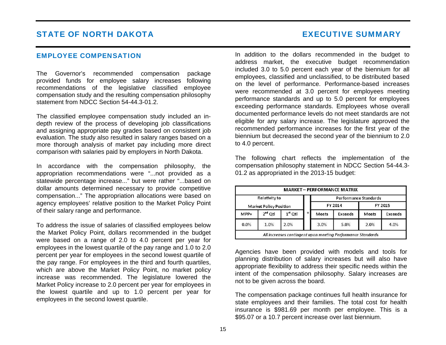### <span id="page-19-0"></span>EMPLOYEE COMPENSATION

The Governor's recommended compensation package provided funds for employee salary increases following recommendations of the legislative classified employee compensation study and the resulting compensation philosophy statement from NDCC Section 54-44.3-01.2.

The classified employee compensation study included an indepth review of the process of developing job classifications and assigning appropriate pay grades based on consistent job evaluation. The study also resulted in salary ranges based on a more thorough analysis of market pay including more direct comparison with salaries paid by employers in North Dakota.

In accordance with the compensation philosophy, the appropriation recommendations were "...not provided as a statewide percentage increase..." but were rather "...based on dollar amounts determined necessary to provide competitive compensation..." The appropriation allocations were based on agency employees' relative position to the Market Policy Point of their salary range and performance.

To address the issue of salaries of classified employees below the Market Policy Point, dollars recommended in the budget were based on a range of 2.0 to 4.0 percent per year for employees in the lowest quartile of the pay range and 1.0 to 2.0 percent per year for employees in the second lowest quartile of the pay range. For employees in the third and fourth quartiles, which are above the Market Policy Point, no market policy increase was recommended. The legislature lowered the Market Policy increase to 2.0 percent per year for employees in the lowest quartile and up to 1.0 percent per year for employees in the second lowest quartile.

In addition to the dollars recommended in the budget to address market, the executive budget recommendation included 3.0 to 5.0 percent each year of the biennium for all employees, classified and unclassified, to be distributed based on the level of performance. Performance-based increases were recommended at 3.0 percent for employees meeting performance standards and up to 5.0 percent for employees exceeding performance standards. Employees whose overall documented performance levels do not meet standards are not eligible for any salary increase. The legislature approved the recommended performance increases for the first year of the biennium but decreased the second year of the biennium to 2.0 to 4.0 percent.

The following chart reflects the implementation of the compensation philosophy statement in NDCC Section 54-44.3- 01.2 as appropriated in the 2013-15 budget:

|      | Relativity to                 |           |       | Performance Standards |         |                |  |
|------|-------------------------------|-----------|-------|-----------------------|---------|----------------|--|
|      | <b>Market Policy Position</b> |           |       | FY 2014               | FY 2015 |                |  |
| MPP+ | $2^{nd}$ Qtl                  | $1st$ Qtl | Meets | <b>Exceeds</b>        | Meets   | <b>Exceeds</b> |  |
| 0.0% | 1.0%                          | 2.0%      | 3.0%  | 5.0%                  | 2.0%    | 4.0%           |  |

Agencies have been provided with models and tools for planning distribution of salary increases but will also have appropriate flexibility to address their specific needs within the intent of the compensation philosophy. Salary increases are not to be given across the board.

The compensation package continues full health insurance for state employees and their families. The total cost for health insurance is \$981.69 per month per employee. This is a \$95.07 or a 10.7 percent increase over last biennium.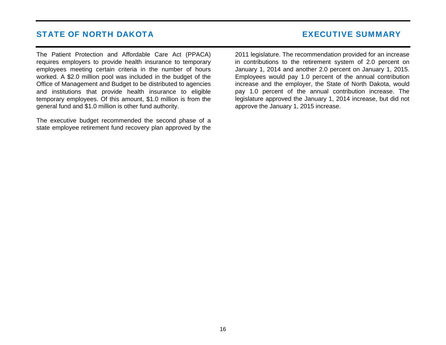The Patient Protection and Affordable Care Act (PPACA) requires employers to provide health insurance to temporary employees meeting certain criteria in the number of hours worked. A \$2.0 million pool was included in the budget of the Office of Management and Budget to be distributed to agencies and institutions that provide health insurance to eligible temporary employees. Of this amount, \$1.0 million is from the general fund and \$1.0 million is other fund authority.

The executive budget recommended the second phase of a state employee retirement fund recovery plan approved by the

2011 legislature. The recommendation provided for an increase in contributions to the retirement system of 2.0 percent on January 1, 2014 and another 2.0 percent on January 1, 2015. Employees would pay 1.0 percent of the annual contribution increase and the employer, the State of North Dakota, would pay 1.0 percent of the annual contribution increase. The legislature approved the January 1, 2014 increase, but did not approve the January 1, 2015 increase.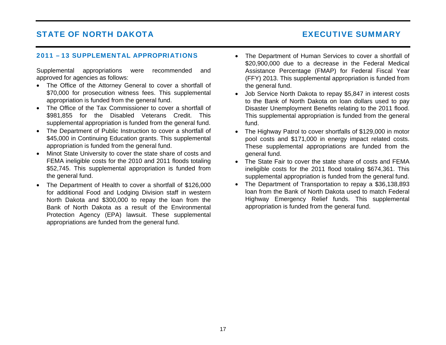### <span id="page-21-0"></span>2011 – 13 SUPPLEMENTAL APPROPRIATIONS

Supplemental appropriations were recommended and approved for agencies as follows:

- The Office of the Attorney General to cover a shortfall of \$70,000 for prosecution witness fees. This supplemental appropriation is funded from the general fund.
- The Office of the Tax Commissioner to cover a shortfall of \$981,855 for the Disabled Veterans Credit. This supplemental appropriation is funded from the general fund.
- The Department of Public Instruction to cover a shortfall of \$45,000 in Continuing Education grants. This supplemental appropriation is funded from the general fund.
- Minot State University to cover the state share of costs and FEMA ineligible costs for the 2010 and 2011 floods totaling \$52,745. This supplemental appropriation is funded from the general fund.
- The Department of Health to cover a shortfall of \$126,000 for additional Food and Lodging Division staff in western North Dakota and \$300,000 to repay the loan from the Bank of North Dakota as a result of the Environmental Protection Agency (EPA) lawsuit. These supplemental appropriations are funded from the general fund.
- The Department of Human Services to cover a shortfall of \$20,900,000 due to a decrease in the Federal Medical Assistance Percentage (FMAP) for Federal Fiscal Year (FFY) 2013. This supplemental appropriation is funded from the general fund.
- Job Service North Dakota to repay \$5,847 in interest costs to the Bank of North Dakota on loan dollars used to pay Disaster Unemployment Benefits relating to the 2011 flood. This supplemental appropriation is funded from the general fund.
- The Highway Patrol to cover shortfalls of \$129,000 in motor pool costs and \$171,000 in energy impact related costs. These supplemental appropriations are funded from the general fund.
- The State Fair to cover the state share of costs and FEMA ineligible costs for the 2011 flood totaling \$674,361. This supplemental appropriation is funded from the general fund.
- The Department of Transportation to repay a \$36,138,893 loan from the Bank of North Dakota used to match Federal Highway Emergency Relief funds. This supplemental appropriation is funded from the general fund.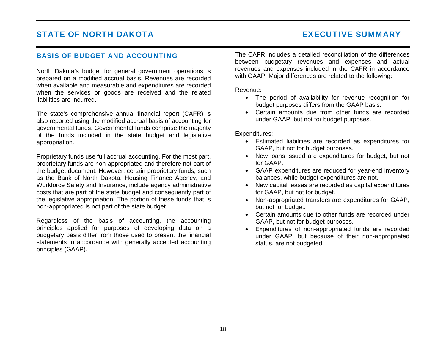### <span id="page-22-0"></span>BASIS OF BUDGET AND ACCOUNTING

North Dakota's budget for general government operations is prepared on a modified accrual basis. Revenues are recorded when available and measurable and expenditures are recorded when the services or goods are received and the related liabilities are incurred.

The state's comprehensive annual financial report (CAFR) is also reported using the modified accrual basis of accounting for governmental funds. Governmental funds comprise the majority of the funds included in the state budget and legislative appropriation.

Proprietary funds use full accrual accounting. For the most part, proprietary funds are non-appropriated and therefore not part of the budget document. However, certain proprietary funds, such as the Bank of North Dakota, Housing Finance Agency, and Workforce Safety and Insurance, include agency administrative costs that are part of the state budget and consequently part of the legislative appropriation. The portion of these funds that is non-appropriated is not part of the state budget.

Regardless of the basis of accounting, the accounting principles applied for purposes of developing data on a budgetary basis differ from those used to present the financial statements in accordance with generally accepted accounting principles (GAAP).

The CAFR includes a detailed reconciliation of the differences between budgetary revenues and expenses and actual revenues and expenses included in the CAFR in accordance with GAAP. Major differences are related to the following:

Revenue:

- The period of availability for revenue recognition for budget purposes differs from the GAAP basis.
- Certain amounts due from other funds are recorded under GAAP, but not for budget purposes.

Expenditures:

- Estimated liabilities are recorded as expenditures for GAAP, but not for budget purposes.
- New loans issued are expenditures for budget, but not for GAAP.
- GAAP expenditures are reduced for year-end inventory balances, while budget expenditures are not.
- New capital leases are recorded as capital expenditures for GAAP, but not for budget.
- Non-appropriated transfers are expenditures for GAAP, but not for budget.
- Certain amounts due to other funds are recorded under GAAP, but not for budget purposes.
- Expenditures of non-appropriated funds are recorded under GAAP, but because of their non-appropriated status, are not budgeted.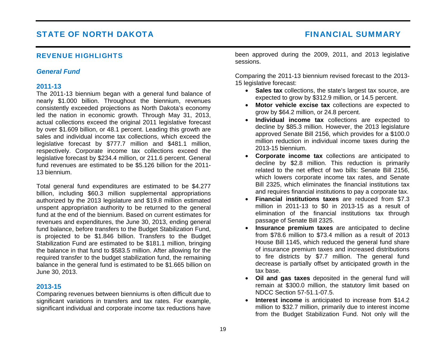### <span id="page-23-0"></span>REVENUE HIGHLIGHTS

### *General Fund*

### **2011-13**

The 2011-13 biennium began with a general fund balance of nearly \$1.000 billion. Throughout the biennium, revenues consistently exceeded projections as North Dakota's economy led the nation in economic growth. Through May 31, 2013, actual collections exceed the original 2011 legislative forecast by over \$1.609 billion, or 48.1 percent. Leading this growth are sales and individual income tax collections, which exceed the legislative forecast by \$777.7 million and \$481.1 million, respectively. Corporate income tax collections exceed the legislative forecast by \$234.4 million, or 211.6 percent. General fund revenues are estimated to be \$5.126 billion for the 2011- 13 biennium.

Total general fund expenditures are estimated to be \$4.277 billion, including \$60.3 million supplemental appropriations authorized by the 2013 legislature and \$19.8 million estimated unspent appropriation authority to be returned to the general fund at the end of the biennium. Based on current estimates for revenues and expenditures, the June 30, 2013, ending general fund balance, before transfers to the Budget Stabilization Fund, is projected to be \$1.846 billion. Transfers to the Budget Stabilization Fund are estimated to be \$181.1 million, bringing the balance in that fund to \$583.5 million. After allowing for the required transfer to the budget stabilization fund, the remaining balance in the general fund is estimated to be \$1.665 billion on June 30, 2013.

### **2013-15**

Comparing revenues between bienniums is often difficult due to significant variations in transfers and tax rates. For example, significant individual and corporate income tax reductions have been approved during the 2009, 2011, and 2013 legislative sessions.

Comparing the 2011-13 biennium revised forecast to the 2013- 15 legislative forecast:

- **Sales tax** collections, the state's largest tax source, are expected to grow by \$312.9 million, or 14.5 percent.
- **Motor vehicle excise tax** collections are expected to grow by \$64.2 million, or 24.8 percent.
- **Individual income tax** collections are expected to decline by \$85.3 million. However, the 2013 legislature approved Senate Bill 2156, which provides for a \$100.0 million reduction in individual income taxes during the 2013-15 biennium.
- **Corporate income tax** collections are anticipated to decline by \$2.8 million. This reduction is primarily related to the net effect of two bills: Senate Bill 2156, which lowers corporate income tax rates, and Senate Bill 2325, which eliminates the financial institutions tax and requires financial institutions to pay a corporate tax.
- **Financial institutions taxes** are reduced from \$7.3 million in 2011-13 to \$0 in 2013-15 as a result of elimination of the financial institutions tax through passage of Senate Bill 2325.
- **Insurance premium taxes** are anticipated to decline from \$78.6 million to \$73.4 million as a result of 2013 House Bill 1145, which reduced the general fund share of insurance premium taxes and increased distributions to fire districts by \$7.7 million. The general fund decrease is partially offset by anticipated growth in the tax base.
- **Oil and gas taxes** deposited in the general fund will remain at \$300.0 million, the statutory limit based on NDCC Section 57-51.1-07.5.
- **Interest income** is anticipated to increase from \$14.2 million to \$32.7 million, primarily due to interest income from the Budget Stabilization Fund. Not only will the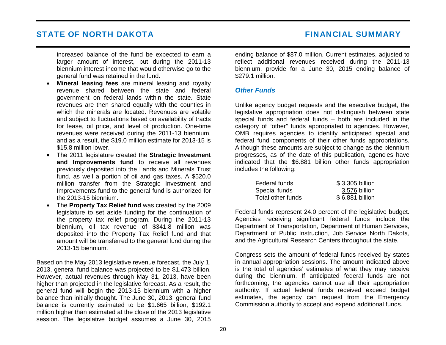<span id="page-24-0"></span>increased balance of the fund be expected to earn a larger amount of interest, but during the 2011-13 biennium interest income that would otherwise go to the general fund was retained in the fund.

- • **Mineral leasing fees** are mineral leasing and royalty revenue shared between the state and federal government on federal lands within the state. State revenues are then shared equally with the counties in which the minerals are located. Revenues are volatile and subject to fluctuations based on availability of tracts for lease, oil price, and level of production. One-time revenues were received during the 2011-13 biennium, and as a result, the \$19.0 million estimate for 2013-15 is \$15.8 million lower.
- The 2011 legislature created the **Strategic Investment and Improvements fund** to receive all revenues previously deposited into the Lands and Minerals Trust fund, as well a portion of oil and gas taxes. A \$520.0 million transfer from the Strategic Investment and Improvements fund to the general fund is authorized for the 2013-15 biennium.
- The **Property Tax Relief fund** was created by the 2009 legislature to set aside funding for the continuation of the property tax relief program. During the 2011-13 biennium, oil tax revenue of \$341.8 million was deposited into the Property Tax Relief fund and that amount will be transferred to the general fund during the 2013-15 biennium.

Based on the May 2013 legislative revenue forecast, the July 1, 2013, general fund balance was projected to be \$1,473 billion. However, actual revenues through May 31, 2013, have been higher than projected in the legislative forecast. As a result, the general fund will begin the 2013-15 biennium with a higher balance than initially thought. The June 30, 2013, general fund balance is currently estimated to be \$1.665 billion, \$192.1 million higher than estimated at the close of the 2013 legislative session. The legislative budget assumes a June 30, 2015

ending balance of \$87.0 million. Current estimates, adjusted to reflect additional revenues received during the 2011-13 biennium, provide for a June 30, 2015 ending balance of \$279.1 million.

#### *Other Funds*

Unlike agency budget requests and the executive budget, the legislative appropriation does not distinguish between state special funds and federal funds – both are included in the category of "other" funds appropriated to agencies. However, OMB requires agencies to identify anticipated special and federal fund components of their other funds appropriations. Although these amounts are subject to change as the biennium progresses, as of the date of this publication, agencies have indicated that the \$6.881 billion other funds appropriation includes the following:

| Federal funds     | \$3.305 billion |
|-------------------|-----------------|
| Special funds     | 3.576 billion   |
| Total other funds | \$6.881 billion |

Federal funds represent 24.0 percent of the legislative budget. Agencies receiving significant federal funds include the Department of Transportation, Department of Human Services, Department of Public Instruction, Job Service North Dakota, and the Agricultural Research Centers throughout the state.

Congress sets the amount of federal funds received by states in annual appropriation sessions. The amount indicated above is the total of agencies' estimates of what they may receive during the biennium. If anticipated federal funds are not forthcoming, the agencies cannot use all their appropriation authority. If actual federal funds received exceed budget estimates, the agency can request from the Emergency Commission authority to accept and expend additional funds.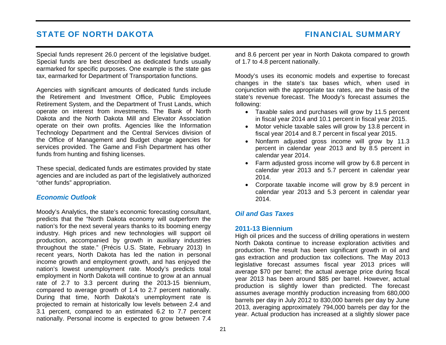<span id="page-25-0"></span>Special funds represent 26.0 percent of the legislative budget. Special funds are best described as dedicated funds usually earmarked for specific purposes. One example is the state gas tax, earmarked for Department of Transportation functions.

Agencies with significant amounts of dedicated funds include the Retirement and Investment Office, Public Employees Retirement System, and the Department of Trust Lands, which operate on interest from investments. The Bank of North Dakota and the North Dakota Mill and Elevator Association operate on their own profits. Agencies like the Information Technology Department and the Central Services division of the Office of Management and Budget charge agencies for services provided. The Game and Fish Department has other funds from hunting and fishing licenses.

These special, dedicated funds are estimates provided by state agencies and are included as part of the legislatively authorized "other funds" appropriation.

#### *Economic Outlook*

Moody's Analytics, the state's economic forecasting consultant, predicts that the "North Dakota economy will outperform the nation's for the next several years thanks to its booming energy industry. High prices and new technologies will support oil production, accompanied by growth in auxiliary industries throughout the state." (Précis U.S. State, February 2013) In recent years, North Dakota has led the nation in personal income growth and employment growth, and has enjoyed the nation's lowest unemployment rate. Moody's predicts total employment in North Dakota will continue to grow at an annual rate of 2.7 to 3.3 percent during the 2013-15 biennium, compared to average growth of 1.4 to 2.7 percent nationally. During that time, North Dakota's unemployment rate is projected to remain at historically low levels between 2.4 and 3.1 percent, compared to an estimated 6.2 to 7.7 percent nationally. Personal income is expected to grow between 7.4

and 8.6 percent per year in North Dakota compared to growth of 1.7 to 4.8 percent nationally.

Moody's uses its economic models and expertise to forecast changes in the state's tax bases which, when used in conjunction with the appropriate tax rates, are the basis of the state's revenue forecast. The Moody's forecast assumes the following:

- Taxable sales and purchases will grow by 11.5 percent in fiscal year 2014 and 10.1 percent in fiscal year 2015.
- Motor vehicle taxable sales will grow by 13.8 percent in fiscal year 2014 and 8.7 percent in fiscal year 2015.
- Nonfarm adjusted gross income will grow by 11.3 percent in calendar year 2013 and by 8.5 percent in calendar year 2014.
- Farm adjusted gross income will grow by 6.8 percent in calendar year 2013 and 5.7 percent in calendar year 2014.
- Corporate taxable income will grow by 8.9 percent in calendar year 2013 and 5.3 percent in calendar year 2014.

### *Oil and Gas Taxes*

### **2011-13 Biennium**

High oil prices and the success of drilling operations in western North Dakota continue to increase exploration activities and production. The result has been significant growth in oil and gas extraction and production tax collections. The May 2013 legislative forecast assumes fiscal year 2013 prices will average \$70 per barrel; the actual average price during fiscal year 2013 has been around \$85 per barrel. However, actual production is slightly lower than predicted. The forecast assumes average monthly production increasing from 680,000 barrels per day in July 2012 to 830,000 barrels per day by June 2013, averaging approximately 794,000 barrels per day for the year. Actual production has increased at a slightly slower pace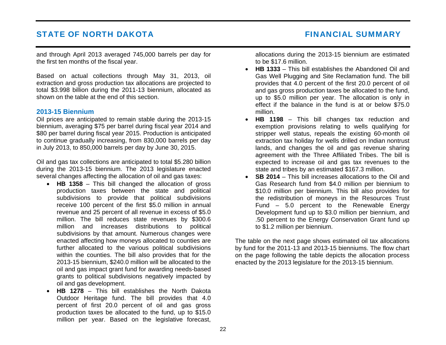and through April 2013 averaged 745,000 barrels per day for the first ten months of the fiscal year.

Based on actual collections through May 31, 2013, oil extraction and gross production tax allocations are projected to total \$3.998 billion during the 2011-13 biennium, allocated as shown on the table at the end of this section.

#### **2013-15 Biennium**

Oil prices are anticipated to remain stable during the 2013-15 biennium, averaging \$75 per barrel during fiscal year 2014 and \$80 per barrel during fiscal year 2015. Production is anticipated to continue gradually increasing, from 830,000 barrels per day in July 2013, to 850,000 barrels per day by June 30, 2015.

Oil and gas tax collections are anticipated to total \$5.280 billion during the 2013-15 biennium. The 2013 legislature enacted several changes affecting the allocation of oil and gas taxes:

- **HB 1358** This bill changed the allocation of gross production taxes between the state and political subdivisions to provide that political subdivisions receive 100 percent of the first \$5.0 million in annual revenue and 25 percent of all revenue in excess of \$5.0 million. The bill reduces state revenues by \$300.6 million and increases distributions to political subdivisions by that amount. Numerous changes were enacted affecting how moneys allocated to counties are further allocated to the various political subdivisions within the counties. The bill also provides that for the 2013-15 biennium, \$240.0 million will be allocated to the oil and gas impact grant fund for awarding needs-based grants to political subdivisions negatively impacted by oil and gas development.
- **HB 1278** This bill establishes the North Dakota Outdoor Heritage fund. The bill provides that 4.0 percent of first 20.0 percent of oil and gas gross production taxes be allocated to the fund, up to \$15.0 million per year. Based on the legislative forecast,

allocations during the 2013-15 biennium are estimated to be \$17.6 million.

- **HB 1333** This bill establishes the Abandoned Oil and Gas Well Plugging and Site Reclamation fund. The bill provides that 4.0 percent of the first 20.0 percent of oil and gas gross production taxes be allocated to the fund, up to \$5.0 million per year. The allocation is only in effect if the balance in the fund is at or below \$75.0 million.
- • **HB 1198** – This bill changes tax reduction and exemption provisions relating to wells qualifying for stripper well status, repeals the existing 60-month oil extraction tax holiday for wells drilled on Indian nontrust lands, and changes the oil and gas revenue sharing agreement with the Three Affiliated Tribes. The bill is expected to increase oil and gas tax revenues to the state and tribes by an estimated \$167.3 million.
- **SB 2014** This bill increases allocations to the Oil and Gas Research fund from \$4.0 million per biennium to \$10.0 million per biennium. This bill also provides for the redistribution of moneys in the Resources Trust Fund – 5.0 percent to the Renewable Energy Development fund up to \$3.0 million per biennium, and .50 percent to the Energy Conservation Grant fund up to \$1.2 million per biennium.

The table on the next page shows estimated oil tax allocations by fund for the 2011-13 and 2013-15 bienniums. The flow chart on the page following the table depicts the allocation process enacted by the 2013 legislature for the 2013-15 biennium.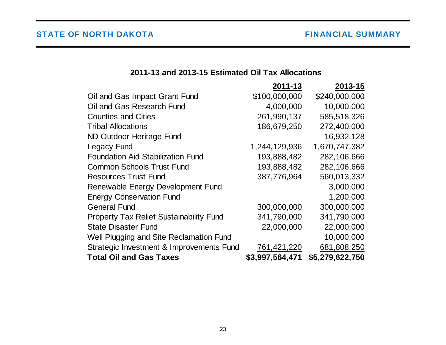# **2011-13 and 2013-15 Estimated Oil Tax Allocations**

<span id="page-27-0"></span>

|                                                | 2011-13         | 2013-15         |
|------------------------------------------------|-----------------|-----------------|
| Oil and Gas Impact Grant Fund                  | \$100,000,000   | \$240,000,000   |
| Oil and Gas Research Fund                      | 4,000,000       | 10,000,000      |
| <b>Counties and Cities</b>                     | 261,990,137     | 585,518,326     |
| <b>Tribal Allocations</b>                      | 186,679,250     | 272,400,000     |
| ND Outdoor Heritage Fund                       |                 | 16,932,128      |
| <b>Legacy Fund</b>                             | 1,244,129,936   | 1,670,747,382   |
| <b>Foundation Aid Stabilization Fund</b>       | 193,888,482     | 282,106,666     |
| <b>Common Schools Trust Fund</b>               | 193,888,482     | 282,106,666     |
| <b>Resources Trust Fund</b>                    | 387,776,964     | 560,013,332     |
| Renewable Energy Development Fund              |                 | 3,000,000       |
| <b>Energy Conservation Fund</b>                |                 | 1,200,000       |
| <b>General Fund</b>                            | 300,000,000     | 300,000,000     |
| <b>Property Tax Relief Sustainability Fund</b> | 341,790,000     | 341,790,000     |
| <b>State Disaster Fund</b>                     | 22,000,000      | 22,000,000      |
| Well Plugging and Site Reclamation Fund        |                 | 10,000,000      |
| Strategic Investment & Improvements Fund       | 761,421,220     | 681,808,250     |
| <b>Total Oil and Gas Taxes</b>                 | \$3,997,564,471 | \$5,279,622,750 |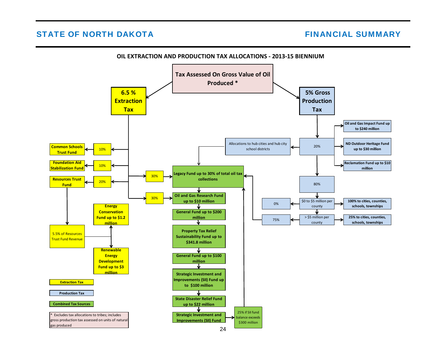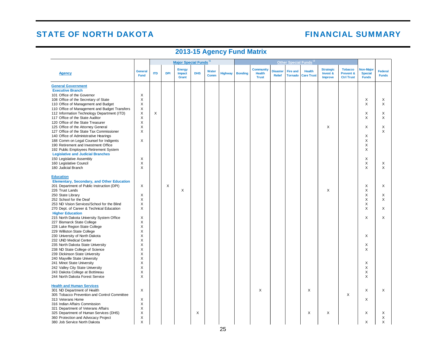# **FINANCIAL SUMMARY**

# **2013-15 Agency Fund Matrix**

<span id="page-29-0"></span>

|                                               |                               |            |            | Major Special Funds 11           |            |               |                | Other Special Funds <sup>12</sup> |                                                   |                                  |                                   |                                    |                                                |                                                  |                                             |                                |
|-----------------------------------------------|-------------------------------|------------|------------|----------------------------------|------------|---------------|----------------|-----------------------------------|---------------------------------------------------|----------------------------------|-----------------------------------|------------------------------------|------------------------------------------------|--------------------------------------------------|---------------------------------------------|--------------------------------|
| <b>Agency</b>                                 | <b>General</b><br><b>Fund</b> | <b>ITD</b> | <b>DPI</b> | <b>Energy</b><br>Impact<br>Grant | <b>DHS</b> | Water<br>Comm | <b>Highway</b> | <b>Bonding</b>                    | <b>Community</b><br><b>Health</b><br><b>Trust</b> | <b>Disaster</b><br><b>Relief</b> | <b>Fire and</b><br><b>Tornado</b> | <b>Health</b><br><b>Care Trust</b> | <b>Strategic</b><br>Invest &<br><b>Improve</b> | <b>Tobacco</b><br>Prevent &<br><b>Ctrl Trust</b> | Non-Major<br><b>Special</b><br><b>Funds</b> | <b>Federal</b><br><b>Funds</b> |
| <b>General Government</b>                     |                               |            |            |                                  |            |               |                |                                   |                                                   |                                  |                                   |                                    |                                                |                                                  |                                             |                                |
| <b>Executive Branch</b>                       |                               |            |            |                                  |            |               |                |                                   |                                                   |                                  |                                   |                                    |                                                |                                                  |                                             |                                |
| 101 Office of the Governor                    | X                             |            |            |                                  |            |               |                |                                   |                                                   |                                  |                                   |                                    |                                                |                                                  |                                             |                                |
| 108 Office of the Secretary of State          | X                             |            |            |                                  |            |               |                |                                   |                                                   |                                  |                                   |                                    |                                                |                                                  | Χ                                           | X                              |
| 110 Office of Management and Budget           | X                             |            |            |                                  |            |               |                |                                   |                                                   |                                  |                                   |                                    |                                                |                                                  | X                                           | X                              |
| 110 Office of Management and Budget Transfers | X                             |            |            |                                  |            |               |                |                                   |                                                   |                                  |                                   |                                    |                                                |                                                  |                                             |                                |
| 112 Information Technology Department (ITD)   | $\times$                      | $\times$   |            |                                  |            |               |                |                                   |                                                   |                                  |                                   |                                    |                                                |                                                  | X                                           | X                              |
| 117 Office of the State Auditor               | Χ                             |            |            |                                  |            |               |                |                                   |                                                   |                                  |                                   |                                    |                                                |                                                  | X                                           | X                              |
| 120 Office of the State Treasurer             | X                             |            |            |                                  |            |               |                |                                   |                                                   |                                  |                                   |                                    |                                                |                                                  |                                             |                                |
| 125 Office of the Attorney General            | X                             |            |            |                                  |            |               |                |                                   |                                                   |                                  |                                   |                                    | X                                              |                                                  | X                                           | X                              |
| 127 Office of the State Tax Commissioner      | Χ                             |            |            |                                  |            |               |                |                                   |                                                   |                                  |                                   |                                    |                                                |                                                  |                                             | X                              |
| 140 Office of Administrative Hearings         |                               |            |            |                                  |            |               |                |                                   |                                                   |                                  |                                   |                                    |                                                |                                                  | X                                           |                                |
| 188 Comm on Legal Counsel for Indigents       | Χ                             |            |            |                                  |            |               |                |                                   |                                                   |                                  |                                   |                                    |                                                |                                                  | X                                           |                                |
| 190 Retirement and Investment Office          |                               |            |            |                                  |            |               |                |                                   |                                                   |                                  |                                   |                                    |                                                |                                                  | X                                           |                                |
| 192 Public Employees Retirement System        |                               |            |            |                                  |            |               |                |                                   |                                                   |                                  |                                   |                                    |                                                |                                                  | X                                           |                                |
| <b>Legislative and Judicial Branches</b>      |                               |            |            |                                  |            |               |                |                                   |                                                   |                                  |                                   |                                    |                                                |                                                  |                                             |                                |
| 150 Legislative Assembly                      | X                             |            |            |                                  |            |               |                |                                   |                                                   |                                  |                                   |                                    |                                                |                                                  | X                                           |                                |
| 160 Legislative Council                       | X                             |            |            |                                  |            |               |                |                                   |                                                   |                                  |                                   |                                    |                                                |                                                  | X                                           | X                              |
| 180 Judicial Branch                           | X                             |            |            |                                  |            |               |                |                                   |                                                   |                                  |                                   |                                    |                                                |                                                  | X                                           | X                              |
| <b>Education</b>                              |                               |            |            |                                  |            |               |                |                                   |                                                   |                                  |                                   |                                    |                                                |                                                  |                                             |                                |
|                                               |                               |            |            |                                  |            |               |                |                                   |                                                   |                                  |                                   |                                    |                                                |                                                  |                                             |                                |
| Elementary, Secondary, and Other Education    |                               |            |            |                                  |            |               |                |                                   |                                                   |                                  |                                   |                                    |                                                |                                                  |                                             | X                              |
| 201 Department of Public Instruction (DPI)    | X                             |            | X          | X                                |            |               |                |                                   |                                                   |                                  |                                   |                                    | X                                              |                                                  | X<br>X                                      |                                |
| 226 Trust Lands<br>250 State Library          | X                             |            |            |                                  |            |               |                |                                   |                                                   |                                  |                                   |                                    |                                                |                                                  | X                                           | X                              |
| 252 School for the Deaf                       | X                             |            |            |                                  |            |               |                |                                   |                                                   |                                  |                                   |                                    |                                                |                                                  | X                                           | X                              |
| 253 ND Vision Services/School for the Blind   | Χ                             |            |            |                                  |            |               |                |                                   |                                                   |                                  |                                   |                                    |                                                |                                                  | X                                           |                                |
| 270 Dept. of Career & Technical Education     | Χ                             |            |            |                                  |            |               |                |                                   |                                                   |                                  |                                   |                                    |                                                |                                                  | X                                           | X                              |
| <b>Higher Education</b>                       |                               |            |            |                                  |            |               |                |                                   |                                                   |                                  |                                   |                                    |                                                |                                                  |                                             |                                |
| 215 North Dakota University System Office     | Χ                             |            |            |                                  |            |               |                |                                   |                                                   |                                  |                                   |                                    |                                                |                                                  | $\mathsf{X}$                                | X                              |
| 227 Bismarck State College                    | X                             |            |            |                                  |            |               |                |                                   |                                                   |                                  |                                   |                                    |                                                |                                                  |                                             |                                |
| 228 Lake Region State College                 | X                             |            |            |                                  |            |               |                |                                   |                                                   |                                  |                                   |                                    |                                                |                                                  |                                             |                                |
| 229 Williston State College                   | X                             |            |            |                                  |            |               |                |                                   |                                                   |                                  |                                   |                                    |                                                |                                                  |                                             |                                |
| 230 University of North Dakota                | Χ                             |            |            |                                  |            |               |                |                                   |                                                   |                                  |                                   |                                    |                                                |                                                  | X                                           |                                |
| 232 UND Medical Center                        | X                             |            |            |                                  |            |               |                |                                   |                                                   |                                  |                                   |                                    |                                                |                                                  |                                             |                                |
| 235 North Dakota State University             | X                             |            |            |                                  |            |               |                |                                   |                                                   |                                  |                                   |                                    |                                                |                                                  | X                                           |                                |
| 238 ND State College of Science               | X                             |            |            |                                  |            |               |                |                                   |                                                   |                                  |                                   |                                    |                                                |                                                  | X                                           |                                |
| 239 Dickinson State University                | X                             |            |            |                                  |            |               |                |                                   |                                                   |                                  |                                   |                                    |                                                |                                                  |                                             |                                |
| 240 Mayville State University                 | х                             |            |            |                                  |            |               |                |                                   |                                                   |                                  |                                   |                                    |                                                |                                                  |                                             |                                |
| 241 Minot State University                    | X                             |            |            |                                  |            |               |                |                                   |                                                   |                                  |                                   |                                    |                                                |                                                  | X                                           |                                |
| 242 Valley City State University              | Χ                             |            |            |                                  |            |               |                |                                   |                                                   |                                  |                                   |                                    |                                                |                                                  | X                                           |                                |
| 243 Dakota College at Bottineau               | X                             |            |            |                                  |            |               |                |                                   |                                                   |                                  |                                   |                                    |                                                |                                                  | X                                           |                                |
| 244 North Dakota Forest Service               | X                             |            |            |                                  |            |               |                |                                   |                                                   |                                  |                                   |                                    |                                                |                                                  | X                                           |                                |
|                                               |                               |            |            |                                  |            |               |                |                                   |                                                   |                                  |                                   |                                    |                                                |                                                  |                                             |                                |
| <b>Health and Human Services</b>              |                               |            |            |                                  |            |               |                |                                   |                                                   |                                  |                                   |                                    |                                                |                                                  |                                             |                                |
| 301 ND Department of Health                   | X                             |            |            |                                  |            |               |                |                                   | X                                                 |                                  |                                   | X                                  |                                                |                                                  | X                                           | X                              |
| 305 Tobacco Prevention and Control Committee  |                               |            |            |                                  |            |               |                |                                   |                                                   |                                  |                                   |                                    |                                                | X                                                |                                             |                                |
| 313 Veterans Home                             | Χ                             |            |            |                                  |            |               |                |                                   |                                                   |                                  |                                   |                                    |                                                |                                                  | X                                           |                                |
| 316 Indian Affairs Commission                 | X                             |            |            |                                  |            |               |                |                                   |                                                   |                                  |                                   |                                    |                                                |                                                  |                                             |                                |
| 321 Department of Veterans Affairs            | X                             |            |            |                                  |            |               |                |                                   |                                                   |                                  |                                   |                                    |                                                |                                                  |                                             |                                |
| 325 Department of Human Services (DHS)        | X                             |            |            |                                  | X          |               |                |                                   |                                                   |                                  |                                   | X                                  | X                                              |                                                  | X                                           | X                              |
| 360 Protection and Advocacy Project           | Χ                             |            |            |                                  |            |               |                |                                   |                                                   |                                  |                                   |                                    |                                                |                                                  |                                             | $\mathsf X$                    |
| 380 Job Service North Dakota                  | X                             |            |            |                                  |            |               |                |                                   |                                                   |                                  |                                   |                                    |                                                |                                                  | X                                           | X                              |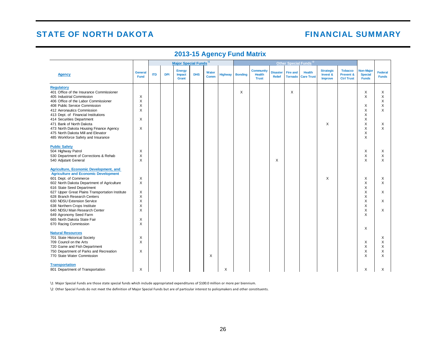## **FINANCIAL SUMMARY**

|                                                                                       |                               |            | Major Special Funds 11 |                                  |            |                      | Other Special Funds <sup>12</sup> |                |                                                   |                                  |                                   |                                    |                                         |                                                  |                                                    |                                |
|---------------------------------------------------------------------------------------|-------------------------------|------------|------------------------|----------------------------------|------------|----------------------|-----------------------------------|----------------|---------------------------------------------------|----------------------------------|-----------------------------------|------------------------------------|-----------------------------------------|--------------------------------------------------|----------------------------------------------------|--------------------------------|
| <b>Agency</b>                                                                         | <b>General</b><br><b>Fund</b> | <b>ITD</b> | <b>DPI</b>             | <b>Energy</b><br>Impact<br>Grant | <b>DHS</b> | Water<br><b>Comm</b> | <b>Highway</b>                    | <b>Bonding</b> | <b>Community</b><br><b>Health</b><br><b>Trust</b> | <b>Disaster</b><br><b>Relief</b> | <b>Fire and</b><br><b>Tornado</b> | <b>Health</b><br><b>Care Trust</b> | <b>Strategic</b><br>Invest &<br>Improve | <b>Tobacco</b><br>Prevent &<br><b>Ctrl Trust</b> | <b>Non-Major</b><br><b>Special</b><br><b>Funds</b> | <b>Federal</b><br><b>Funds</b> |
| <b>Regulatory</b>                                                                     |                               |            |                        |                                  |            |                      |                                   |                |                                                   |                                  |                                   |                                    |                                         |                                                  |                                                    |                                |
| 401 Office of the Insurance Commissioner                                              |                               |            |                        |                                  |            |                      |                                   | X              |                                                   |                                  | X                                 |                                    |                                         |                                                  | X                                                  | X                              |
| 405 Industrial Commission                                                             | X                             |            |                        |                                  |            |                      |                                   |                |                                                   |                                  |                                   |                                    |                                         |                                                  | X                                                  | X                              |
| 406 Office of the Labor Commissioner                                                  | Χ                             |            |                        |                                  |            |                      |                                   |                |                                                   |                                  |                                   |                                    |                                         |                                                  |                                                    | X                              |
| 408 Public Service Commission                                                         | Χ                             |            |                        |                                  |            |                      |                                   |                |                                                   |                                  |                                   |                                    |                                         |                                                  | X                                                  | X                              |
| 412 Aeronautics Commission                                                            | X                             |            |                        |                                  |            |                      |                                   |                |                                                   |                                  |                                   |                                    |                                         |                                                  | X                                                  | X                              |
| 413 Dept. of Financial Institutions                                                   |                               |            |                        |                                  |            |                      |                                   |                |                                                   |                                  |                                   |                                    |                                         |                                                  | X                                                  |                                |
| 414 Securities Department                                                             | X                             |            |                        |                                  |            |                      |                                   |                |                                                   |                                  |                                   |                                    |                                         |                                                  | X                                                  |                                |
| 471 Bank of North Dakota                                                              | X                             |            |                        |                                  |            |                      |                                   |                |                                                   |                                  |                                   |                                    | X                                       |                                                  | X<br>X                                             | X<br>$\times$                  |
| 473 North Dakota Housing Finance Agency                                               |                               |            |                        |                                  |            |                      |                                   |                |                                                   |                                  |                                   |                                    |                                         |                                                  |                                                    |                                |
| 475 North Dakota Mill and Elevator                                                    |                               |            |                        |                                  |            |                      |                                   |                |                                                   |                                  |                                   |                                    |                                         |                                                  | X<br>X                                             |                                |
| 485 Workforce Safety and Insurance                                                    |                               |            |                        |                                  |            |                      |                                   |                |                                                   |                                  |                                   |                                    |                                         |                                                  |                                                    |                                |
| <b>Public Safety</b>                                                                  |                               |            |                        |                                  |            |                      |                                   |                |                                                   |                                  |                                   |                                    |                                         |                                                  |                                                    |                                |
| 504 Highway Patrol                                                                    | X                             |            |                        |                                  |            |                      |                                   |                |                                                   |                                  |                                   |                                    |                                         |                                                  | X                                                  | X                              |
| 530 Department of Corrections & Rehab                                                 | Χ                             |            |                        |                                  |            |                      |                                   |                |                                                   |                                  |                                   |                                    |                                         |                                                  | X                                                  | X                              |
| 540 Adjutant General                                                                  | Χ                             |            |                        |                                  |            |                      |                                   |                |                                                   | X                                |                                   |                                    |                                         |                                                  | X                                                  | X                              |
|                                                                                       |                               |            |                        |                                  |            |                      |                                   |                |                                                   |                                  |                                   |                                    |                                         |                                                  |                                                    |                                |
| Agriculture, Economic Development, and<br><b>Agriculture and Economic Development</b> |                               |            |                        |                                  |            |                      |                                   |                |                                                   |                                  |                                   |                                    |                                         |                                                  |                                                    |                                |
| 601 Dept. of Commerce                                                                 | Χ                             |            |                        |                                  |            |                      |                                   |                |                                                   |                                  |                                   |                                    | X                                       |                                                  | X                                                  | X                              |
| 602 North Dakota Department of Agriculture                                            | Χ                             |            |                        |                                  |            |                      |                                   |                |                                                   |                                  |                                   |                                    |                                         |                                                  | Χ                                                  | X                              |
| 616 State Seed Department                                                             |                               |            |                        |                                  |            |                      |                                   |                |                                                   |                                  |                                   |                                    |                                         |                                                  | X                                                  |                                |
| 627 Upper Great Plains Transportation Institute                                       | Χ                             |            |                        |                                  |            |                      |                                   |                |                                                   |                                  |                                   |                                    |                                         |                                                  | X                                                  | X                              |
| 628 Branch Research Centers                                                           | Χ                             |            |                        |                                  |            |                      |                                   |                |                                                   |                                  |                                   |                                    |                                         |                                                  | X                                                  |                                |
| 630 NDSU Extension Service                                                            | Χ                             |            |                        |                                  |            |                      |                                   |                |                                                   |                                  |                                   |                                    |                                         |                                                  | X                                                  | X                              |
| 638 Northern Crops Institute                                                          | Χ                             |            |                        |                                  |            |                      |                                   |                |                                                   |                                  |                                   |                                    |                                         |                                                  | X                                                  |                                |
| 640 NDSU Main Research Center                                                         | Χ                             |            |                        |                                  |            |                      |                                   |                |                                                   |                                  |                                   |                                    |                                         |                                                  | X                                                  | X                              |
| 649 Agronomy Seed Farm                                                                |                               |            |                        |                                  |            |                      |                                   |                |                                                   |                                  |                                   |                                    |                                         |                                                  | X                                                  |                                |
| 665 North Dakota State Fair                                                           | X                             |            |                        |                                  |            |                      |                                   |                |                                                   |                                  |                                   |                                    |                                         |                                                  |                                                    |                                |
| 670 Racing Commission                                                                 | X                             |            |                        |                                  |            |                      |                                   |                |                                                   |                                  |                                   |                                    |                                         |                                                  |                                                    |                                |
|                                                                                       |                               |            |                        |                                  |            |                      |                                   |                |                                                   |                                  |                                   |                                    |                                         |                                                  | X                                                  |                                |
| <b>Natural Resources</b>                                                              |                               |            |                        |                                  |            |                      |                                   |                |                                                   |                                  |                                   |                                    |                                         |                                                  |                                                    |                                |
| 701 State Historical Society                                                          | х                             |            |                        |                                  |            |                      |                                   |                |                                                   |                                  |                                   |                                    |                                         |                                                  |                                                    | Х                              |
| 709 Council on the Arts                                                               | X                             |            |                        |                                  |            |                      |                                   |                |                                                   |                                  |                                   |                                    |                                         |                                                  | X                                                  | X                              |
| 720 Game and Fish Department                                                          |                               |            |                        |                                  |            |                      |                                   |                |                                                   |                                  |                                   |                                    |                                         |                                                  | X                                                  | X                              |
| 750 Department of Parks and Recreation                                                | X                             |            |                        |                                  |            |                      |                                   |                |                                                   |                                  |                                   |                                    |                                         |                                                  | Χ                                                  | Χ                              |
| 770 State Water Commission                                                            |                               |            |                        |                                  |            | X                    |                                   |                |                                                   |                                  |                                   |                                    |                                         |                                                  | X                                                  | X                              |
| <b>Transportation</b>                                                                 |                               |            |                        |                                  |            |                      |                                   |                |                                                   |                                  |                                   |                                    |                                         |                                                  |                                                    |                                |
| 801 Department of Transportation                                                      | Χ                             |            |                        |                                  |            |                      | X                                 |                |                                                   |                                  |                                   |                                    |                                         |                                                  | X                                                  | X                              |

### **2013-15 Agency Fund Matrix**

\1 Major Special Funds are those state special funds which include appropriated expenditures of \$100.0 million or more per biennium.

\2 Other Special Funds do not meet the definition of Major Special Funds but are of particular interest to policymakers and other constituents.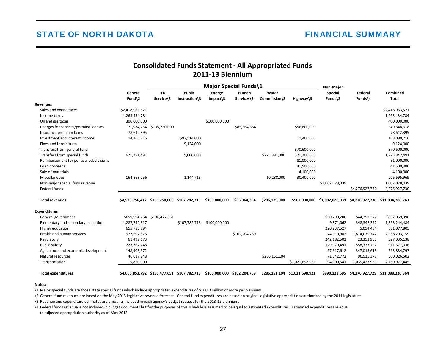## **Consolidated Funds Statement - All Appropriated Funds 2011-13 Biennium**

<span id="page-31-0"></span>

|                                          |                               |                          |                         |                              | Major Special Funds\1 |                       |                 | Non-Major          |                    |                          |
|------------------------------------------|-------------------------------|--------------------------|-------------------------|------------------------------|-----------------------|-----------------------|-----------------|--------------------|--------------------|--------------------------|
|                                          | General<br>Fund $\2$          | <b>ITD</b><br>Service\3  | Public<br>Instruction\3 | <b>Energy</b><br>$Impack\$ 3 | Human<br>Services\3   | Water<br>Commission\3 | Highway\3       | Special<br>Funds\3 | Federal<br>Funds\4 | Combined<br><b>Total</b> |
| <b>Revenues</b>                          |                               |                          |                         |                              |                       |                       |                 |                    |                    |                          |
| Sales and excise taxes                   | \$2,418,963,521               |                          |                         |                              |                       |                       |                 |                    |                    | \$2,418,963,521          |
| Income taxes                             | 1,263,434,784                 |                          |                         |                              |                       |                       |                 |                    |                    | 1,263,434,784            |
| Oil and gas taxes                        | 300,000,000                   |                          |                         | \$100,000,000                |                       |                       |                 |                    |                    | 400,000,000              |
| Charges for services/permits/licenses    |                               | 71,934,254 \$135,750,000 |                         |                              | \$85,364,364          |                       | \$56,800,000    |                    |                    | 349,848,618              |
| Insurance premium taxes                  | 78,642,395                    |                          |                         |                              |                       |                       |                 |                    |                    | 78,642,395               |
| Investment and interest income           | 14,166,716                    |                          | \$92,514,000            |                              |                       |                       | 1,400,000       |                    |                    | 108,080,716              |
| Fines and forefeitures                   |                               |                          | 9,124,000               |                              |                       |                       |                 |                    |                    | 9,124,000                |
| Transfers from general fund              |                               |                          |                         |                              |                       |                       | 370,600,000     |                    |                    | 370,600,000              |
| Transfers from special funds             | 621,751,491                   |                          | 5,000,000               |                              |                       | \$275,891,000         | 321,200,000     |                    |                    | 1,223,842,491            |
| Reimbursement for political subdivisions |                               |                          |                         |                              |                       |                       | 81,000,000      |                    |                    | 81,000,000               |
| Loan proceeds                            |                               |                          |                         |                              |                       |                       | 41,500,000      |                    |                    | 41,500,000               |
| Sale of materials                        |                               |                          |                         |                              |                       |                       | 4,100,000       |                    |                    | 4,100,000                |
| Miscellaneous                            | 164,863,256                   |                          | 1,144,713               |                              |                       | 10,288,000            | 30,400,000      |                    |                    | 206,695,969              |
| Non-major special fund revenue           |                               |                          |                         |                              |                       |                       |                 | \$1,002,028,039    |                    | 1,002,028,039            |
| Federal funds                            |                               |                          |                         |                              |                       |                       |                 |                    | \$4,276,927,730    | 4,276,927,730            |
| <b>Total revenues</b>                    | \$4,933,756,417 \$135,750,000 |                          | \$107,782,713           | \$100,000,000                | \$85,364,364          | \$286,179,000         | \$907,000,000   | \$1,002,028,039    | \$4,276,927,730    | \$11,834,788,263         |
| <b>Expenditures</b>                      |                               |                          |                         |                              |                       |                       |                 |                    |                    |                          |
| General government                       | \$659,994,764                 | \$136,477,651            |                         |                              |                       |                       |                 | \$50,790,206       | \$44,797,377       | \$892,059,998            |
| Elementary and secondary education       | 1,287,742,317                 |                          | \$107,782,713           | \$100,000,000                |                       |                       |                 | 9,371,062          | 348,348,392        | 1,853,244,484            |
| Higher education                         | 655,785,794                   |                          |                         |                              |                       |                       |                 | 220,237,527        | 5,054,484          | 881,077,805              |
| Health and human services                | 977,697,676                   |                          |                         |                              | \$102,204,759         |                       |                 | 74,310,982         | 1,814,079,742      | 2,968,293,159            |
| Regulatory                               | 61,499,673                    |                          |                         |                              |                       |                       |                 | 242,182,502        | 23,352,963         | 327,035,138              |
| Public safety                            | 223,362,748                   |                          |                         |                              |                       |                       |                 | 129,970,491        | 558,337,797        | 911,671,036              |
| Agriculture and economic development     | 148,903,572                   |                          |                         |                              |                       |                       |                 | 97,917,612         | 347,013,613        | 593,834,797              |
| Natural resources                        | 46,017,248                    |                          |                         |                              |                       | \$286,151,104         |                 | 71,342,772         | 96,515,378         | 500,026,502              |
| Transportation                           | 5,850,000                     |                          |                         |                              |                       |                       | \$1,021,698,921 | 94,000,541         | 1,039,427,983      | 2,160,977,445            |

Total expenditures 54,066,853,792 \$136,477,651 \$107,782,713 \$100,000,000 \$102,204,759 \$286,151,104 \$1,021,698,921 \$990,123,695 \$4,276,927,729 \$11,088,220,364

#### **Notes:**

\1 Major special funds are those state special funds which include appropriated expenditures of \$100.0 million or more per biennium.

\2 General fund revenues are based on the May 2013 legislative revenue forecast. General fund expenditures are based on original legislative appropriations authorized by the 2011 legislature.

\3 Revenue and expenditure estimates are amounts included in each agency's budget request for the 2013-15 biennium.

\4 Federal funds revenue is not included in budget documents but for the purposes of this schedule is assumed to be equal to estimated expenditures. Estimated expenditures are equal

to adjusted appropriation authority as of May 2013.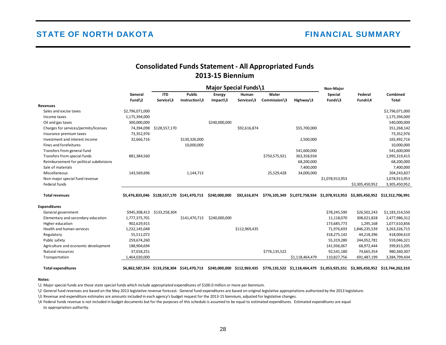## **Consolidated Funds Statement - All Appropriated Funds 2013-15 Biennium**

<span id="page-32-0"></span>

|                                          |                 |               |               | Major Special Funds\1 |              |               |                 | Non-Major       |                 |                  |
|------------------------------------------|-----------------|---------------|---------------|-----------------------|--------------|---------------|-----------------|-----------------|-----------------|------------------|
|                                          | General         | <b>ITD</b>    | <b>Public</b> | Energy                | Human        | Water         |                 | Special         | Federal         | Combined         |
|                                          | $Fund\2$        | Service\3     | Instruction\3 | $Impack\$             | Services\3   | Commission\3  | Highway\3       | Funds\3         | Funds\4         | <b>Total</b>     |
| <b>Revenues</b>                          |                 |               |               |                       |              |               |                 |                 |                 |                  |
| Sales and excise taxes                   | \$2,796,071,000 |               |               |                       |              |               |                 |                 |                 | \$2,796,071,000  |
| Income taxes                             | 1,175,394,000   |               |               |                       |              |               |                 |                 |                 | 1,175,394,000    |
| Oil and gas taxes                        | 300,000,000     |               |               | \$240,000,000         |              |               |                 |                 |                 | 540,000,000      |
| Charges for services/permits/licenses    | 74,394,098      | \$128,557,170 |               |                       | \$92,616,874 |               | \$55,700,000    |                 |                 | 351,268,142      |
| Insurance premium taxes                  | 73,352,976      |               |               |                       |              |               |                 |                 |                 | 73,352,976       |
| Investment and interest income           | 32,666,716      |               | \$130,326,000 |                       |              |               | 2,500,000       |                 |                 | 165,492,716      |
| Fines and forefeitures                   |                 |               | 10,000,000    |                       |              |               |                 |                 |                 | 10,000,000       |
| Transfers from general fund              |                 |               |               |                       |              |               | 541,600,000     |                 |                 | 541,600,000      |
| Transfers from special funds             | 881,384,560     |               |               |                       |              | \$750,575,921 | 363,358,934     |                 |                 | 1,995,319,415    |
| Reimbursement for political subdivisions |                 |               |               |                       |              |               | 68,200,000      |                 |                 | 68,200,000       |
| Sale of materials                        |                 |               |               |                       |              |               | 7,400,000       |                 |                 | 7,400,000        |
| Miscellaneous                            | 143,569,696     |               | 1,144,713     |                       |              | 25,529,428    | 34,000,000      |                 |                 | 204,243,837      |
| Non-major special fund revenue           |                 |               |               |                       |              |               |                 | \$1,078,913,953 |                 | 1,078,913,953    |
| Federal funds                            |                 |               |               |                       |              |               |                 |                 | \$3,305,450,952 | 3,305,450,952    |
| <b>Total revenues</b>                    | \$5.476.833.046 | \$128.557.170 | \$141,470,713 | \$240,000,000         | \$92.616.874 | \$776.105.349 | \$1.072.758.934 | \$1,078,913,953 | \$3,305,450,952 | \$12,312,706,991 |
|                                          |                 |               |               |                       |              |               |                 |                 |                 |                  |
| <b>Expenditures</b>                      |                 |               |               |                       |              |               |                 |                 |                 |                  |
| General government                       | \$945,308,413   | \$133,258,304 |               |                       |              |               |                 | \$78,245,590    | \$26,502,243    | \$1,183,314,550  |
| Elementary and secondary education       | 1,777,375,701   |               | \$141,470,713 | \$240,000,000         |              |               |                 | 11,118,070      | 308,021,828     | 2,477,986,312    |
|                                          |                 |               |               |                       |              |               |                 |                 |                 |                  |

| Elementary and secondary education   | 1,777,375,701 | \$141,470,713 | \$240,000,000 |               |               |                 | 11,118,070  | 308,021,828   | 2,477,986,312 |
|--------------------------------------|---------------|---------------|---------------|---------------|---------------|-----------------|-------------|---------------|---------------|
| Higher education                     | 902,629,915   |               |               |               |               |                 | 173,685,773 | 1,295,168     | 1,077,610,856 |
| Health and human services            | 1,232,145,048 |               |               | \$112,969,435 |               |                 | 71,976,693  | 1,846,235,539 | 3,263,326,715 |
| Regulatory                           | 55,511,072    |               |               |               |               |                 | 318,275,142 | 44,218,396    | 418,004,610   |
| Public safety                        | 259,674,260   |               |               |               |               |                 | 55,319,280  | 244,052,781   | 559,046,321   |
| Agriculture and economic development | 188,904,694   |               |               |               |               |                 | 141,936,067 | 68,972,444    | 399,813,205   |
| Natural resources                    | 37,018,251    |               |               |               | \$776,135,522 |                 | 92,541,180  | 74,665,354    | 980,360,307   |
| Transportation                       | 1,464,020,000 |               |               |               |               | \$1,118,464,479 | 110,827,756 | 691,487,199   | 3,384,799,434 |
|                                      |               |               |               |               |               |                 |             |               |               |

Total expenditures 53,305,450,952 513,744,262,310 5240,000,000 5112,969,435 5776,135,522 51,118,464,479 51,053,925,551 53,305,450,952 51,744,262,310

#### **Notes:**

\1 Major special funds are those state special funds which include appropriated expenditures of \$100.0 million or more per biennium.

\2 General fund revenues are based on the May 2013 legislative revenue forecast. General fund expenditures are based on original legislative appropriations authorized by the 2013 legislature.

\3 Revenue and expenditure estimates are amounts included in each agency's budget request for the 2013-15 biennium, adjusted for legislative changes.

\4 Federal funds revenue is not included in budget documents but for the purposes of this schedule is assumed to be equal to estimated expenditures. Estimated expenditures are equal to appropriation authority.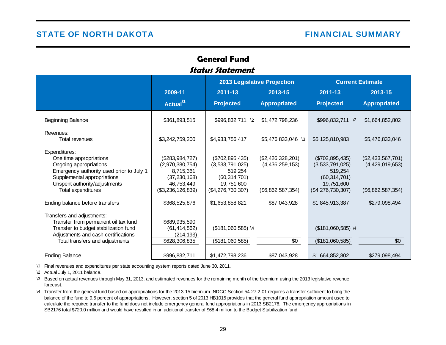## **General FundStatus Statement**

<span id="page-33-0"></span>

|                                                                                                                                                                                                                                         |                                                                                                                       |                                                                                                                       | 2013 Legislative Projection                                               | <b>Current Estimate</b>                                                                                                 |                                                                            |
|-----------------------------------------------------------------------------------------------------------------------------------------------------------------------------------------------------------------------------------------|-----------------------------------------------------------------------------------------------------------------------|-----------------------------------------------------------------------------------------------------------------------|---------------------------------------------------------------------------|-------------------------------------------------------------------------------------------------------------------------|----------------------------------------------------------------------------|
|                                                                                                                                                                                                                                         | 2009-11                                                                                                               | 2011-13                                                                                                               | 2013-15                                                                   | 2011-13                                                                                                                 | 2013-15                                                                    |
|                                                                                                                                                                                                                                         | Actual <sup>11</sup>                                                                                                  | <b>Projected</b>                                                                                                      | <b>Appropriated</b>                                                       | <b>Projected</b>                                                                                                        | <b>Appropriated</b>                                                        |
| <b>Beginning Balance</b>                                                                                                                                                                                                                | \$361,893,515                                                                                                         | \$996,832,711 \2                                                                                                      | \$1,472,798,236                                                           | \$996,832,711 \2                                                                                                        | \$1,664,852,802                                                            |
| Revenues:<br>Total revenues                                                                                                                                                                                                             | \$3,242,759,200                                                                                                       | \$4,933,756,417                                                                                                       | \$5,476,833,046 \3                                                        | \$5,125,810,983                                                                                                         | \$5,476,833,046                                                            |
| Expenditures:<br>One time appropriations<br>Ongoing appropriations<br>Emergency authority used prior to July 1<br>Supplemental appropriations<br>Unspent authority/adjustments<br>Total expenditures<br>Ending balance before transfers | (\$283,984,727)<br>(2,970,380,754)<br>8,715,361<br>(37, 230, 168)<br>46,753,449<br>(\$3,236,126,839)<br>\$368,525,876 | (\$702,895,435)<br>(3,533,791,025)<br>519,254<br>(60, 314, 701)<br>19,751,600<br>(\$4,276,730,307)<br>\$1,653,858,821 | (\$2,426,328,201)<br>(4,436,259,153)<br>(\$6,862,587,354)<br>\$87,043,928 | (\$702,895,435)<br>(3,533,791,025)<br>519,254<br>(60, 314, 701)<br>19,751,600<br>$(\$4,276,730,307)$<br>\$1,845,913,387 | (\$2,433,567,701)<br>(4,429,019,653)<br>(\$6,862,587,354)<br>\$279,098,494 |
| Transfers and adjustments:<br>Transfer from permanent oil tax fund<br>Transfer to budget stabilization fund<br>Adjustments and cash certifications<br>Total transfers and adjustments                                                   | \$689,935,590<br>(61, 414, 562)<br>(214, 193)<br>\$628,306,835                                                        | $($181,060,585)$ \4<br>(\$181,060,585)                                                                                | \$0                                                                       | (\$181,060,585) \4<br>(\$181,060,585)                                                                                   | \$0                                                                        |
| <b>Ending Balance</b>                                                                                                                                                                                                                   | \$996,832,711                                                                                                         | \$1,472,798,236                                                                                                       | \$87,043,928                                                              | \$1,664,852,802                                                                                                         | \$279,098,494                                                              |

\1 Final revenues and expenditures per state accounting system reports dated June 30, 2011.

\2 Actual July 1, 2011 balance.

\3 Based on actual revenues through May 31, 2013, and estimated revenues for the remaining month of the biennium using the 2013 legislative revenue forecast.

\4 Transfer from the general fund based on appropriations for the 2013-15 biennium. NDCC Section 54-27.2-01 requires a transfer sufficient to bring the balance of the fund to 9.5 percent of appropriations. However, section 5 of 2013 HB1015 provides that the general fund appropriation amount used to calculate the required transfer to the fund does not include emergency general fund appropriations in 2013 SB2176. The emergency appropriations in SB2176 total \$720.0 million and would have resulted in an additional transfer of \$68.4 million to the Budget Stabilization fund.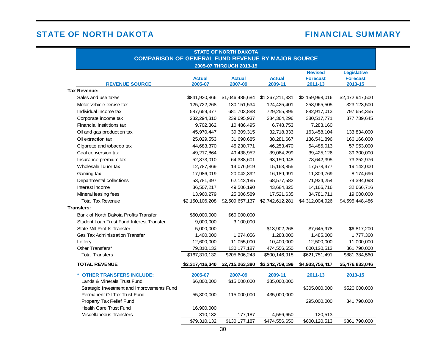# **FINANCIAL SUMMARY**

| <b>STATE OF NORTH DAKOTA</b><br><b>COMPARISON OF GENERAL FUND REVENUE BY MAJOR SOURCE</b> |                          |                          |                          |                                              |                                                  |  |  |  |  |  |
|-------------------------------------------------------------------------------------------|--------------------------|--------------------------|--------------------------|----------------------------------------------|--------------------------------------------------|--|--|--|--|--|
| 2005-07 THROUGH 2013-15                                                                   |                          |                          |                          |                                              |                                                  |  |  |  |  |  |
| <b>REVENUE SOURCE</b>                                                                     | <b>Actual</b><br>2005-07 | <b>Actual</b><br>2007-09 | <b>Actual</b><br>2009-11 | <b>Revised</b><br><b>Forecast</b><br>2011-13 | <b>Legislative</b><br><b>Forecast</b><br>2013-15 |  |  |  |  |  |
| <b>Tax Revenue:</b>                                                                       |                          |                          |                          |                                              |                                                  |  |  |  |  |  |
| Sales and use taxes                                                                       | \$841,930,866            | \$1,046,485,684          | \$1,267,211,331          | \$2,159,998,016                              | \$2,472,947,500                                  |  |  |  |  |  |
| Motor vehicle excise tax                                                                  | 125,722,268              | 130, 151, 534            | 124,425,401              | 258,965,505                                  | 323, 123, 500                                    |  |  |  |  |  |
| Individual income tax                                                                     | 587,659,377              | 681,703,888              | 729,255,895              | 882,917,013                                  | 797,654,355                                      |  |  |  |  |  |
| Corporate income tax                                                                      | 232,294,310              | 239,695,937              | 234,364,296              | 380,517,771                                  | 377,739,645                                      |  |  |  |  |  |
| Financial instititions tax                                                                | 9,702,362                | 10,486,495               | 6,748,753                | 7,283,160                                    |                                                  |  |  |  |  |  |
| Oil and gas production tax                                                                | 45,970,447               | 39,309,315               | 32,718,333               | 163,458,104                                  | 133,834,000                                      |  |  |  |  |  |
| Oil extraction tax                                                                        | 25,029,553               | 31,690,685               | 38,281,667               | 136,541,896                                  | 166,166,000                                      |  |  |  |  |  |
| Cigarette and tobacco tax                                                                 | 44,683,370               | 45,230,771               | 46,253,470               | 54,485,013                                   | 57,953,000                                       |  |  |  |  |  |
| Coal conversion tax                                                                       | 49,217,864               | 49,438,952               | 39,064,299               | 39,425,126                                   | 39,300,000                                       |  |  |  |  |  |
| Insurance premium tax                                                                     | 52,873,010               | 64,388,601               | 63,150,948               | 78,642,395                                   | 73,352,976                                       |  |  |  |  |  |
| Wholesale liquor tax                                                                      | 12,787,869               | 14,076,919               | 15, 163, 855             | 17,578,477                                   | 19,142,000                                       |  |  |  |  |  |
| Gaming tax                                                                                | 17,986,019               | 20,042,392               | 16,189,991               | 11,309,769                                   | 8,174,696                                        |  |  |  |  |  |
| Departmental collections                                                                  | 53,781,397               | 62, 143, 185             | 68,577,582               | 71,934,254                                   | 74,394,098                                       |  |  |  |  |  |
| Interest income                                                                           | 36,507,217               | 49,506,190               | 43,684,825               | 14,166,716                                   | 32,666,716                                       |  |  |  |  |  |
| Mineral leasing fees                                                                      | 13,960,279               | 25,306,589               | 17,521,635               | 34,781,711                                   | 19,000,000                                       |  |  |  |  |  |
| <b>Total Tax Revenue</b>                                                                  | \$2,150,106,208          | \$2,509,657,137          | \$2,742,612,281          | \$4,312,004,926                              | \$4,595,448,486                                  |  |  |  |  |  |
| <b>Transfers:</b>                                                                         |                          |                          |                          |                                              |                                                  |  |  |  |  |  |
| Bank of North Dakota Profits Transfer                                                     | \$60,000,000             | \$60,000,000             |                          |                                              |                                                  |  |  |  |  |  |
| Student Loan Trust Fund Interest Transfer                                                 | 9,000,000                | 3,100,000                |                          |                                              |                                                  |  |  |  |  |  |
| <b>State Mill Profits Transfer</b>                                                        | 5,000,000                |                          | \$13,902,268             | \$7,645,978                                  | \$6,817,200                                      |  |  |  |  |  |
| <b>Gas Tax Administration Transfer</b>                                                    | 1,400,000                | 1,274,056                | 1,288,000                | 1,485,000                                    | 1,777,360                                        |  |  |  |  |  |
| Lottery                                                                                   | 12,600,000               | 11,055,000               | 10,400,000               | 12,500,000                                   | 11,000,000                                       |  |  |  |  |  |
| Other Transfers*                                                                          | 79,310,132               | 130, 177, 187            | 474,556,650              | 600,120,513                                  | 861,790,000                                      |  |  |  |  |  |
| <b>Total Transfers</b>                                                                    | \$167,310,132            | \$205,606,243            | \$500,146,918            | \$621,751,491                                | \$881,384,560                                    |  |  |  |  |  |
| <b>TOTAL REVENUE</b>                                                                      | \$2,317,416,340          | \$2,715,263,380          | \$3,242,759,199          | \$4,933,756,417                              | \$5,476,833,046                                  |  |  |  |  |  |
| * OTHER TRANSFERS INCLUDE:                                                                | 2005-07                  | 2007-09                  | 2009-11                  | 2011-13                                      | 2013-15                                          |  |  |  |  |  |
| Lands & Minerals Trust Fund                                                               | \$6,800,000              | \$15,000,000             | \$35,000,000             |                                              |                                                  |  |  |  |  |  |
| Strategic Investment and Improvements Fund                                                |                          |                          |                          | \$305,000,000                                | \$520,000,000                                    |  |  |  |  |  |
| Permanent Oil Tax Trust Fund                                                              | 55,300,000               | 115,000,000              | 435,000,000              |                                              |                                                  |  |  |  |  |  |
| Property Tax Relief Fund                                                                  |                          |                          |                          | 295,000,000                                  | 341,790,000                                      |  |  |  |  |  |
| <b>Health Care Trust Fund</b>                                                             | 16,900,000               |                          |                          |                                              |                                                  |  |  |  |  |  |
| Miscellaneous Transfers                                                                   | 310,132                  | 177,187                  | 4,556,650                | 120,513                                      |                                                  |  |  |  |  |  |
|                                                                                           | \$79,310,132             | \$130,177,187            | \$474,556,650            | \$600,120,513                                | \$861,790,000                                    |  |  |  |  |  |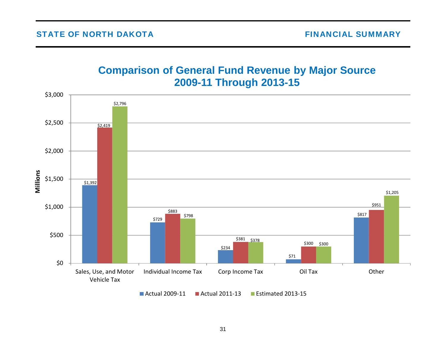# **Comparison of General Fund Revenue by Major Source 2009-11 Through 2013-15**

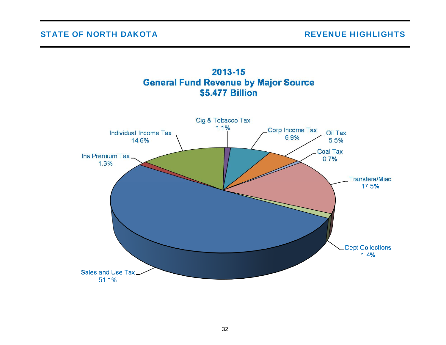

# 2013-15 **General Fund Revenue by Major Source**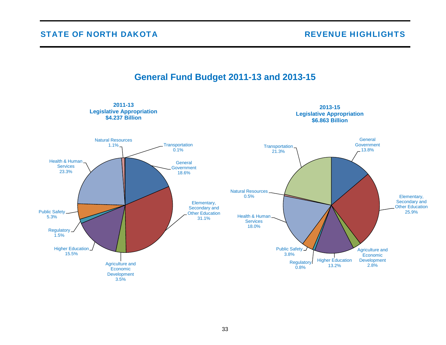

# **General Fund Budget 2011-13 and 2013-15**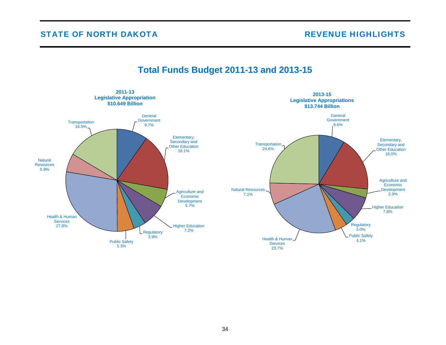

# **Total Funds Budget 2011-13 and 2013-15**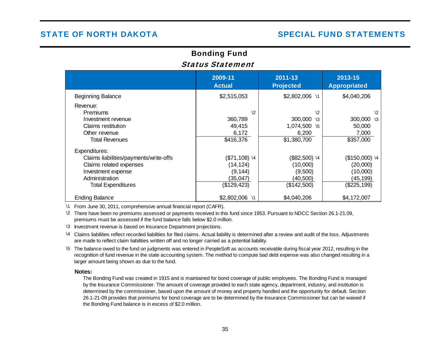# Bonding Fund Status Statement

|                                                                                                                                                         | 2009-11<br><b>Actual</b>                                           | 2011-13<br><b>Projected</b>                                                 | 2013-15<br><b>Appropriated</b>                                     |
|---------------------------------------------------------------------------------------------------------------------------------------------------------|--------------------------------------------------------------------|-----------------------------------------------------------------------------|--------------------------------------------------------------------|
| <b>Beginning Balance</b>                                                                                                                                | \$2,515,053                                                        | \$2,802,006 \1                                                              | \$4,040,206                                                        |
| Revenue:<br><b>Premiums</b><br>Investment revenue<br>Claims restitution<br>Other revenue<br><b>Total Revenues</b>                                       | $\sqrt{2}$<br>360,789<br>49,415<br>6,172<br>$\overline{$}416,376$  | $\sqrt{2}$<br>300,000<br>$\sqrt{3}$<br>1,074,500 \5<br>6,200<br>\$1,380,700 | $\sqrt{2}$<br>300,000 \3<br>50,000<br>7,000<br>\$357,000           |
| Expenditures:<br>Claims liabilities/payments/write-offs<br>Claims related expenses<br>Investment expense<br>Administration<br><b>Total Expenditures</b> | $($71,108)$ 4<br>(14, 124)<br>(9, 144)<br>(35,047)<br>(\$129, 423) | $($82,500)$ \4<br>(10,000)<br>(9,500)<br>(40, 500)<br>(\$142,500)           | $($150,000)$ \4<br>(20,000)<br>(10,000)<br>(45,199)<br>(\$225,199) |
| <b>Ending Balance</b>                                                                                                                                   | \$2,802,006<br>$\backslash$ 1                                      | \$4,040,206                                                                 | \$4,172,007                                                        |

\1 From June 30, 2011, comprehensive annual financial report (CAFR).

- \2 There have been no premiums assessed or payments received in this fund since 1953. Pursuant to NDCC Section 26.1-21.09, premiums must be assessed if the fund balance falls below \$2.0 million.
- \3 Investment revenue is based on Insurance Department projections.
- \4 Claims liabilities reflect recorded liabilities for filed claims. Actual liability is determined after a review and audit of the loss. Adjustments are made to reflect claim liabilities written off and no longer carried as a potential liability.
- \5 The balance owed to the fund on judgments was entered in PeopleSoft as accounts receivable during fiscal year 2012, resulting in the recognition of fund revenue in the state accounting system. The method to compute bad debt expense was also changed resulting in a larger amount being shown as due to the fund.

#### **Notes:**

The Bonding Fund was created in 1915 and is maintained for bond coverage of public employees. The Bonding Fund is managed by the Insurance Commissioner. The amount of coverage provided to each state agency, department, industry, and institution is determined by the commissioner, based upon the amount of money and property handled and the opportunity for default. Section 26.1-21-09 provides that premiums for bond coverage are to be determined by the Insurance Commissioner but can be waived if the Bonding Fund balance is in excess of \$2.0 million.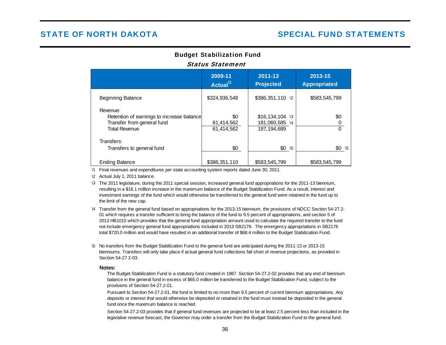## Budget Stabilization Fund

#### Status Statement

|                                                                                                             | 2009-11<br>Actual <sup>11</sup> | 2011-13<br><b>Projected</b>                       | 2013-15<br><b>Appropriated</b> |
|-------------------------------------------------------------------------------------------------------------|---------------------------------|---------------------------------------------------|--------------------------------|
| <b>Beginning Balance</b>                                                                                    | \$324,936,548                   | \$386,351,110 \2                                  | \$583,545,799                  |
| Revenue:<br>Retention of earnings to increase balance<br>Transfer from general fund<br><b>Total Revenue</b> | \$0<br>61,414,562<br>61,414,562 | $$16,134,104$ \3<br>181,060,585 \4<br>197,194,689 | \$0<br>$\Omega$                |
| Transfers:<br>Transfers to general fund                                                                     | \$0                             | $$0 \t 5$                                         | $$0 \t 5$                      |
| <b>Ending Balance</b>                                                                                       | \$386,351,110                   | \$583,545,799                                     | \$583,545,799                  |

\1 Final revenues and expenditures per state accounting system reports dated June 30, 2011.

\2 Actual July 1, 2011 balance.

\3 The 2011 legislature, during the 2011 special session, increased general fund appropriations for the 2011-13 biennium, resulting in a \$16.1 million increase in the maximum balance of the Budget Stabilization Fund. As a result, interest and investment earnings of the fund which would otherwise be transferred to the general fund were retained in the fund up to the limit of the new cap.

\4 Transfer from the general fund based on appropriations for the 2013-15 biennium, the provisions of NDCC Section 54-27.2- 01 which requires a transfer sufficient to bring the balance of the fund to 9.5 percent of appropriations, and section 5 of 2013 HB1015 which provides that the general fund appropriation amount used to calculate the required transfer to the fund not include emergency general fund appropriations included in 2013 SB2176. The emergency appropriations in SB2176 total \$720.0 million and would have resulted in an additional transfer of \$68.4 million to the Budget Stabilization Fund.

\5 No transfers from the Budget Stabilization Fund to the general fund are anticipated during the 2011-13 or 2013-15 bienniums. Transfers will only take place if actual general fund collections fall short of revenue projections, as provided in Section 54-27.2-03.

#### **Notes:**

The Budget Stabilization Fund is a statutory fund created in 1987. Section 54-27.2-02 provides that any end of biennium balance in the general fund in excess of \$65.0 million be transferred to the Budget Stabilization Fund, subject to the provisions of Section 54-27.2-01.

Pursuant to Section 54-27.2-01, the fund is limited to no more than 9.5 percent of current biennium appropriations. Any deposits or interest that would otherwise be deposited or retained in the fund must instead be deposited in the general fund once the maximum balance is reached.

Section 54-27.2-03 provides that if general fund revenues are projected to be at least 2.5 percent less than included in the legislative revenue forecast, the Governor may order a transfer from the Budget Stabilization Fund to the general fund.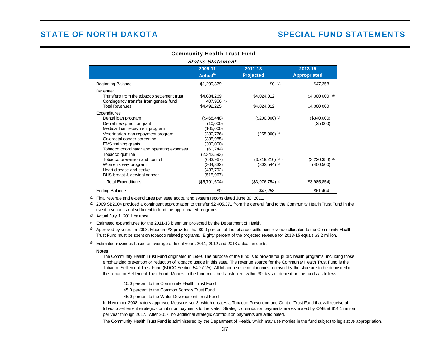| <b>Status Statement</b>                         |                      |                             |                            |  |  |
|-------------------------------------------------|----------------------|-----------------------------|----------------------------|--|--|
|                                                 | 2009-11              | 2011-13                     | 2013-15                    |  |  |
|                                                 | Actual <sup>\1</sup> | <b>Projected</b>            | <b>Appropriated</b>        |  |  |
| Beginning Balance                               | \$1,299,379          | $$0 \sqrt{3}$               | \$47,258                   |  |  |
| Revenue:                                        |                      |                             |                            |  |  |
| Transfers from the tobacco settlement trust     | \$4,084,269          | \$4,024,012                 | $$4,000,000$ \6            |  |  |
| Contingency transfer from general fund          | 407,956 \2           |                             |                            |  |  |
| <b>Total Revenues</b>                           | \$4,492,225          | \$4,024,012                 | \$4,000,000                |  |  |
| Expenditures:                                   |                      |                             |                            |  |  |
| Dental loan program                             | (\$468,448)          | $($200,000)$ 14             | (\$340,000)                |  |  |
| Dental new practice grant                       | (10,000)             |                             | (25,000)                   |  |  |
| Medical loan repayment program                  | (105,000)            |                             |                            |  |  |
| Veterinarian loan repayment program             | (230, 776)           | $(255,000)^{14}$            |                            |  |  |
| Colorectal cancer screening                     | (335, 985)           |                             |                            |  |  |
| <b>EMS</b> training grants                      | (300,000)            |                             |                            |  |  |
| Tobacco coordinator and operating expenses      | (60, 744)            |                             |                            |  |  |
| Tobacco quit line                               | (2,342,593)          |                             |                            |  |  |
| Tobacco prevention and control                  | (683, 967)           | $(3,219,210)$ $4,5$         | $(3,220,354)$ <sup>5</sup> |  |  |
| Women's way program<br>Heart disease and stroke | (304,332)            | $(302, 544)$ 14             | (400, 500)                 |  |  |
| DHS breast & cervical cancer                    | (433, 792)           |                             |                            |  |  |
|                                                 | (515, 967)           |                             |                            |  |  |
| <b>Total Expenditures</b>                       | (\$5,791,604)        | $($3,976,754)$ <sup>6</sup> | (\$3,985,854)              |  |  |
| <b>Ending Balance</b>                           | \$0                  | \$47,258                    | \$61,404                   |  |  |

### Community Health Trust Fund

<sup>1</sup> Final revenue and expenditures per state accounting system reports dated June 30, 2011.

 $2$  2009 SB2004 provided a contingent appropriation to transfer \$2,405,371 from the general fund to the Community Health Trust Fund in the event revenue is not sufficient to fund the appropriated programs.

\3 Actual July 1, 2011 balance.

<sup>\4</sup> Estimated expenditures for the 2011-13 biennium projected by the Department of Health.

 $^{15}$  Approved by voters in 2008, Measure #3 provides that 80.0 percent of the tobacco settlement revenue allocated to the Community Health Trust Fund must be spent on tobacco related programs. Eighty percent of the projected revenue for 2013-15 equals \$3.2 million.

 $\sqrt{6}$  Estimated revenues based on average of fiscal years 2011, 2012 and 2013 actual amounts.

#### **Notes:**

The Community Health Trust Fund originated in 1999. The purpose of the fund is to provide for public health programs, including those emphasizing prevention or reduction of tobacco usage in this state. The revenue source for the Community Health Trust Fund is the Tobacco Settlement Trust Fund (NDCC Section 54-27-25). All tobacco settlement monies received by the state are to be deposited in the Tobacco Settlement Trust Fund. Monies in the fund must be transferred, within 30 days of deposit, in the funds as follows:

10.0 percent to the Community Health Trust Fund

45.0 percent to the Common Schools Trust Fund

45.0 percent to the Water Development Trust Fund

In November 2008, voters approved Measure No. 3, which creates a Tobacco Prevention and Control Trust Fund that will receive all tobacco settlement strategic contribution payments to the state. Strategic contribution payments are estimated by OMB at \$14.1 million per year through 2017. After 2017, no additional strategic contribution payments are anticipated.

The Community Health Trust Fund is administered by the Department of Health, which may use monies in the fund subject to legislative appropriation.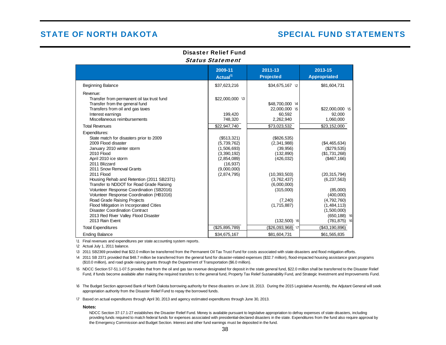### Disaster Relief FundStatus Statement

|                                                                                                                                                                                                                                                                                                                                                                                                                                                                                                                                                                       | 2009-11<br>Actual <sup>\1</sup>                                                                                    | 2011-13<br><b>Projected</b>                                                                                                                                                  | 2013-15<br><b>Appropriated</b>                                                                                                                                                                               |
|-----------------------------------------------------------------------------------------------------------------------------------------------------------------------------------------------------------------------------------------------------------------------------------------------------------------------------------------------------------------------------------------------------------------------------------------------------------------------------------------------------------------------------------------------------------------------|--------------------------------------------------------------------------------------------------------------------|------------------------------------------------------------------------------------------------------------------------------------------------------------------------------|--------------------------------------------------------------------------------------------------------------------------------------------------------------------------------------------------------------|
| <b>Beginning Balance</b>                                                                                                                                                                                                                                                                                                                                                                                                                                                                                                                                              | \$37,623,216                                                                                                       | \$34,675,167 \2                                                                                                                                                              | \$81,604,731                                                                                                                                                                                                 |
| Revenue:<br>Transfer from permanent oil tax trust fund<br>Transfer from the general fund<br>Transfers from oil and gas taxes<br>Interest earnings<br>Miscellaneous reimbursements                                                                                                                                                                                                                                                                                                                                                                                     | \$22,000,000 \3<br>199,420<br>748,320                                                                              | \$48,700,000 \4<br>22,000,000 \5<br>60.592<br>2,262,940                                                                                                                      | \$22,000,000 \5<br>92,000<br>1,060,000                                                                                                                                                                       |
| <b>Total Revenues</b>                                                                                                                                                                                                                                                                                                                                                                                                                                                                                                                                                 | \$22,947,740                                                                                                       | \$73,023,532                                                                                                                                                                 | \$23,152,000                                                                                                                                                                                                 |
| Expenditures:<br>State match for disasters prior to 2009<br>2009 Flood disaster<br>January 2010 winter storm<br>2010 Flood<br>April 2010 ice storm<br>2011 Blizzard<br>2011 Snow Removal Grants<br>2011 Flood<br>Housing Rehab and Retention (2011 SB2371)<br>Transfer to NDDOT for Road Grade Raising<br>Volunteer Response Coordination (SB2016)<br>Volunteer Response Coordination (HB1016)<br>Road Grade Raising Projects<br>Flood Mitigation in Incorporated Cities<br>Disaster Coordination Contract<br>2013 Red River Valley Flood Disaster<br>2013 Rain Event | (\$513,321)<br>(5,739,762)<br>(1,506,693)<br>(3,390,192)<br>(2,854,089)<br>(16, 937)<br>(9,000,000)<br>(2,874,795) | (\$826,535)<br>(2,341,988)<br>(39,956)<br>(132, 890)<br>(426, 032)<br>(10, 393, 503)<br>(3,762,437)<br>(6,000,000)<br>(315,000)<br>(7, 240)<br>(1,715,887)<br>$(132,500)$ \6 | (\$4,465,634)<br>(\$279,535)<br>(\$1,731,268)<br>(\$467, 166)<br>(20, 315, 794)<br>(6, 237, 563)<br>(85,000)<br>(400,000)<br>(4,792,760)<br>(1,484,113)<br>(1,500,000)<br>$(650, 188)$ \6<br>$(781, 875)$ \6 |
| <b>Total Expenditures</b>                                                                                                                                                                                                                                                                                                                                                                                                                                                                                                                                             | (\$25,895,789)                                                                                                     | (\$26,093,968) \7                                                                                                                                                            | (\$43,190,896)                                                                                                                                                                                               |
| <b>Ending Balance</b>                                                                                                                                                                                                                                                                                                                                                                                                                                                                                                                                                 | \$34,675,167                                                                                                       | \$81,604,731                                                                                                                                                                 | \$61,565,835                                                                                                                                                                                                 |

\1 Final revenues and expenditures per state accounting system reports.

\2 Actual July 1, 2011 balance.

\32011 SB2369 provided that \$22.0 million be transferred from the Permanent Oil Tax Trust Fund for costs associated with state disasters and flood mitigation efforts.

\4 2011 SB 2371 provided that \$48.7 million be transferred from the general fund for disaster-related expenses (\$32.7 million), flood-impacted housing assistance grant programs (\$10.0 million), and road grade raising grants through the Department of Transportation (\$6.0 million).

\5NDCC Section 57-51.1-07.5 provides that from the oil and gas tax revenue designated for deposit in the state general fund, \$22.0 million shall be transferred to the Disaster Relief Fund, if funds become available after making the required transfers to the general fund, Property Tax Relief Sustainability Fund, and Strategic Investment and Improvements Fund.

\6 The Budget Section approved Bank of North Dakota borrowing authority for these disasters on June 18, 2013. During the 2015 Legislative Assembly, the Adjutant General will seek appropriation authority from the Disaster Relief Fund to repay the borrowed funds.

\7 Based on actual expenditures through April 30, 2013 and agency estimated expenditures through June 30, 2013.

#### **Notes:**

NDCC Section 37-17.1-27 establishes the Disaster Relief Fund. Money is available pursuant to legislative appropriation to defray expenses of state disasters, including providing funds required to match federal funds for expenses associated with presidential-declared disasters in the state. Expenditures from the fund also require approval by the Emergency Commission and Budget Section. Interest and other fund earnings must be deposited in the fund.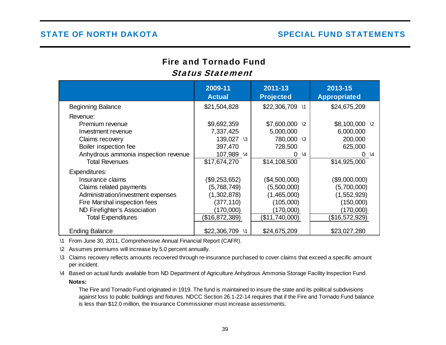# Fire and Tornado FundStatus Statement

|                                                                                                                                                                                                                          | 2009-11<br><b>Actual</b>                                                                                 | 2011-13<br><b>Projected</b>                                                                             | 2013-15<br><b>Appropriated</b>                                                                          |
|--------------------------------------------------------------------------------------------------------------------------------------------------------------------------------------------------------------------------|----------------------------------------------------------------------------------------------------------|---------------------------------------------------------------------------------------------------------|---------------------------------------------------------------------------------------------------------|
| <b>Beginning Balance</b>                                                                                                                                                                                                 | \$21,504,828                                                                                             | \$22,306,709<br>$\lambda$ 1                                                                             | \$24,675,209                                                                                            |
| Revenue:<br>Premium revenue<br>Investment revenue<br>Claims recovery<br>Boiler inspection fee<br>Anhydrous ammonia inspection revenue                                                                                    | \$9,692,359<br>7,337,425<br>139,027<br>$\sqrt{3}$<br>397,470<br>107,989 \4                               | \$7,600,000<br>$\sqrt{2}$<br>5,000,000<br>780,000<br>$\sqrt{3}$<br>728,500<br>0<br>$\setminus$ 4        | $$8,100,000$ \2<br>6,000,000<br>200,000<br>625,000<br>$0 \sqrt{4}$                                      |
| <b>Total Revenues</b><br>Expenditures:<br>Insurance claims<br>Claims related payments<br>Administration/investment expenses<br>Fire Marshal inspection fees<br>ND Firefighter's Association<br><b>Total Expenditures</b> | \$17,674,270<br>(\$9,253,652)<br>(5,768,749)<br>(1,302,878)<br>(377, 110)<br>(170,000)<br>(\$16,872,389) | \$14,108,500<br>(\$4,500,000)<br>(5,500,000)<br>(1,465,000)<br>(105,000)<br>(170,000)<br>(\$11,740,000) | \$14,925,000<br>(\$9,000,000)<br>(5,700,000)<br>(1,552,929)<br>(150,000)<br>(170,000)<br>(\$16,572,929) |
| <b>Ending Balance</b>                                                                                                                                                                                                    | \$22,306,709<br>$\setminus$ 1                                                                            | \$24,675,209                                                                                            | \$23,027,280                                                                                            |

\1 From June 30, 2011, Comprehensive Annual Financial Report (CAFR).

\2 Assumes premiums will increase by 5.0 percent annually.

\3 Claims recovery reflects amounts recovered through re-insurance purchased to cover claims that exceed a specific amount per incident.

\4 Based on actual funds available from ND Department of Agriculture Anhydrous Ammonia Storage Facility Inspection Fund. **Notes:**

The Fire and Tornado Fund originated in 1919. The fund is maintained to insure the state and its political subdivisions against loss to public buildings and fixtures. NDCC Section 26.1-22-14 requires that if the Fire and Tornado Fund balance is less than \$12.0 million, the Insurance Commissioner must increase assessments.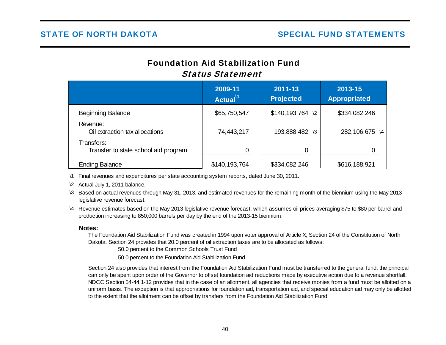# Foundation Aid Stabilization FundStatus Statement

|                                                    | 2009-11<br>Actual <sup>11</sup> | 2011-13<br><b>Projected</b> | 2013-15<br><b>Appropriated</b> |
|----------------------------------------------------|---------------------------------|-----------------------------|--------------------------------|
| <b>Beginning Balance</b>                           | \$65,750,547                    | $$140, 193, 764$ \2         | \$334,082,246                  |
| Revenue:<br>Oil extraction tax allocations         | 74,443,217                      | 193,888,482 \3              | 282,106,675 \4                 |
| Transfers:<br>Transfer to state school aid program |                                 | 0                           |                                |
| <b>Ending Balance</b>                              | \$140,193,764                   | \$334,082,246               | \$616,188,921                  |

\1 Final revenues and expenditures per state accounting system reports, dated June 30, 2011.

\2 Actual July 1, 2011 balance.

- \3 Based on actual revenues through May 31, 2013, and estimated revenues for the remaining month of the biennium using the May 2013 legislative revenue forecast.
- \4 Revenue estimates based on the May 2013 legislative revenue forecast, which assumes oil prices averaging \$75 to \$80 per barrel and production increasing to 850,000 barrels per day by the end of the 2013-15 biennium.

## **Notes:**

The Foundation Aid Stabilization Fund was created in 1994 upon voter approval of Article X, Section 24 of the Constitution of North Dakota. Section 24 provides that 20.0 percent of oil extraction taxes are to be allocated as follows:

50.0 percent to the Common Schools Trust Fund

50.0 percent to the Foundation Aid Stabilization Fund

Section 24 also provides that interest from the Foundation Aid Stabilization Fund must be transferred to the general fund; the principal can only be spent upon order of the Governor to offset foundation aid reductions made by executive action due to a revenue shortfall. NDCC Section 54-44.1-12 provides that in the case of an allotment, all agencies that receive monies from a fund must be allotted on a uniform basis. The exception is that appropriations for foundation aid, transportation aid, and special education aid may only be allotted to the extent that the allotment can be offset by transfers from the Foundation Aid Stabilization Fund.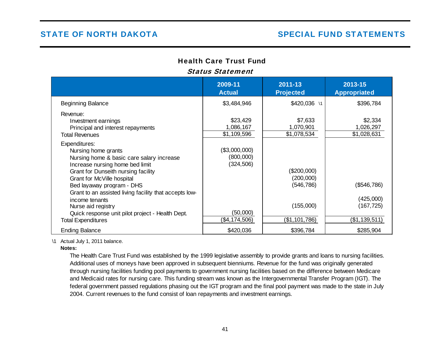# Health Care Trust Fund

# Status Statement

|                                                                                                                                                                                           | 2009-11<br><b>Actual</b>                 | 2011-13<br><b>Projected</b>         | 2013-15<br><b>Appropriated</b>      |
|-------------------------------------------------------------------------------------------------------------------------------------------------------------------------------------------|------------------------------------------|-------------------------------------|-------------------------------------|
| <b>Beginning Balance</b>                                                                                                                                                                  | \$3,484,946                              | \$420,036 \1                        | \$396,784                           |
| Revenue:<br>Investment earnings<br>Principal and interest repayments<br><b>Total Revenues</b>                                                                                             | \$23,429<br>1,086,167<br>\$1,109,596     | \$7,633<br>1,070,901<br>\$1,078,534 | \$2,334<br>1,026,297<br>\$1,028,631 |
| Expenditures:<br>Nursing home grants<br>Nursing home & basic care salary increase<br>Increase nursing home bed limit<br>Grant for Dunseith nursing facility<br>Grant for McVille hospital | (\$3,000,000)<br>(800,000)<br>(324, 506) | $(\$200,000)$<br>(200,000)          |                                     |
| Bed layaway program - DHS<br>Grant to an assisted living facility that accepts low-<br>income tenants                                                                                     |                                          | (546, 786)                          | (\$546,786)<br>(425,000)            |
| Nurse aid registry<br>Quick response unit pilot project - Health Dept.<br><b>Total Expenditures</b>                                                                                       | (50,000)<br>(\$4,174,506)                | (155,000)<br>(\$1,101,786)          | (167,725)<br>(\$1,139,511)          |
| <b>Ending Balance</b>                                                                                                                                                                     | \$420,036                                | \$396,784                           | \$285,904                           |

\1 Actual July 1, 2011 balance.

**Notes:**

The Health Care Trust Fund was established by the 1999 legislative assembly to provide grants and loans to nursing facilities. Additional uses of moneys have been approved in subsequent bienniums. Revenue for the fund was originally generated through nursing facilities funding pool payments to government nursing facilities based on the difference between Medicare and Medicaid rates for nursing care. This funding stream was known as the Intergovernmental Transfer Program (IGT). The federal government passed regulations phasing out the IGT program and the final pool payment was made to the state in July 2004. Current revenues to the fund consist of loan repayments and investment earnings.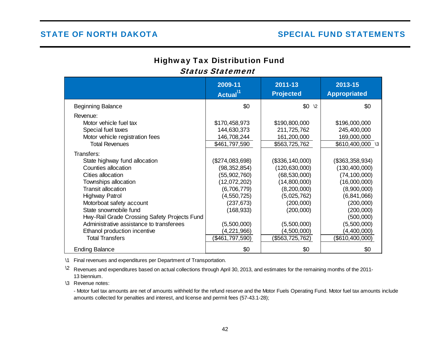# Highway Tax Distribution Fund Status Statement

|                                              | 2009-11<br>Actual <sup>11</sup> | 2011-13<br><b>Projected</b> | 2013-15<br><b>Appropriated</b> |
|----------------------------------------------|---------------------------------|-----------------------------|--------------------------------|
| <b>Beginning Balance</b>                     | \$0                             | $$0 \t2$                    | \$0                            |
| Revenue:                                     |                                 |                             |                                |
| Motor vehicle fuel tax                       | \$170,458,973                   | \$190,800,000               | \$196,000,000                  |
| Special fuel taxes                           | 144,630,373                     | 211,725,762                 | 245,400,000                    |
| Motor vehicle registration fees              | 146,708,244                     | 161,200,000                 | 169,000,000                    |
| <b>Total Revenues</b>                        | \$461,797,590                   | \$563,725,762               | \$610,400,000 \3               |
| Transfers:                                   |                                 |                             |                                |
| State highway fund allocation                | (\$274,083,698)                 | (\$336, 140, 000)           | (\$363,358,934)                |
| Counties allocation                          | (98, 352, 854)                  | (120, 630, 000)             | (130, 400, 000)                |
| Cities allocation                            | (55,902,760)                    | (68, 530, 000)              | (74, 100, 000)                 |
| Townships allocation                         | (12,072,202)                    | (14,800,000)                | (16,000,000)                   |
| <b>Transit allocation</b>                    | (6,706,779)                     | (8,200,000)                 | (8,900,000)                    |
| Highway Patrol                               | (4, 550, 725)                   | (5,025,762)                 | (6,841,066)                    |
| Motorboat safety account                     | (237, 673)                      | (200,000)                   | (200,000)                      |
| State snowmobile fund                        | (168, 933)                      | (200,000)                   | (200,000)                      |
| Hwy-Rail Grade Crossing Safety Projects Fund |                                 |                             | (500,000)                      |
| Administrative assistance to transferees     | (5,500,000)                     | (5,500,000)                 | (5,500,000)                    |
| Ethanol production incentive                 | (4,221,966)                     | (4,500,000)                 | (4,400,000)                    |
| <b>Total Transfers</b>                       | (\$461,797,590)                 | (\$563,725,762)             | (\$610,400,000)                |
| <b>Ending Balance</b>                        | \$0                             | \$0                         | \$0                            |

\1 Final revenues and expenditures per Department of Transportation.

 $\Omega$  Revenues and expenditures based on actual collections through April 30, 2013, and estimates for the remaining months of the 2011-13 biennium.

\3 Revenue notes:

- Motor fuel tax amounts are net of amounts withheld for the refund reserve and the Motor Fuels Operating Fund. Motor fuel tax amounts include amounts collected for penalties and interest, and license and permit fees (57-43.1-28);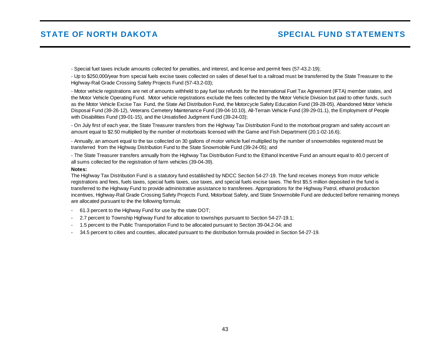- Special fuel taxes include amounts collected for penalties, and interest, and license and permit fees (57-43.2-19);

- Up to \$250,000/year from special fuels excise taxes collected on sales of diesel fuel to a railroad must be transferred by the State Treasurer to the Highway-Rail Grade Crossing Safety Projects Fund (57-43.2-03);

- Motor vehicle registrations are net of amounts withheld to pay fuel tax refunds for the International Fuel Tax Agreement (IFTA) member states, and the Motor Vehicle Operating Fund. Motor vehicle registrations exclude the fees collected by the Motor Vehicle Division but paid to other funds, such as the Motor Vehicle Excise Tax Fund, the State Aid Distribution Fund, the Motorcycle Safety Education Fund (39-28-05), Abandoned Motor Vehicle Disposal Fund (39-26-12), Veterans Cemetery Maintenance Fund (39-04-10.10), All-Terrain Vehicle Fund (39-29-01.1), the Employment of People with Disabilities Fund (39-01-15), and the Unsatisfied Judgment Fund (39-24-03);

- On July first of each year, the State Treasurer transfers from the Highway Tax Distribution Fund to the motorboat program and safety account an amount equal to \$2.50 multiplied by the number of motorboats licensed with the Game and Fish Department (20.1-02-16.6);

- Annually, an amount equal to the tax collected on 30 gallons of motor vehicle fuel multiplied by the number of snowmobiles registered must be transferred from the Highway Distribution Fund to the State Snowmobile Fund (39-24-05); and

- The State Treasurer transfers annually from the Highway Tax Distribution Fund to the Ethanol Incentive Fund an amount equal to 40.0 percent of all sums collected for the registration of farm vehicles (39-04-39).

#### **Notes:**

The Highway Tax Distribution Fund is a statutory fund established by NDCC Section 54-27-19. The fund receives moneys from motor vehicle registrations and fees, fuels taxes, special fuels taxes, use taxes, and special fuels excise taxes. The first \$5.5 million deposited in the fund is transferred to the Highway Fund to provide administrative assistance to transferees. Appropriations for the Highway Patrol, ethanol production incentives, Highway-Rail Grade Crossing Safety Projects Fund, Motorboat Safety, and State Snowmobile Fund are deducted before remaining moneys are allocated pursuant to the the following formula:

- 61.3 percent to the Highway Fund for use by the state DOT;
- 2.7 percent to Township Highway Fund for allocation to townships pursuant to Section 54-27-19.1;
- 1.5 percent to the Public Transportation Fund to be allocated pursuant to Section 39-04.2-04; and
- 34.5 percent to cities and counties, allocated pursuant to the distribution formula provided in Section 54-27-19.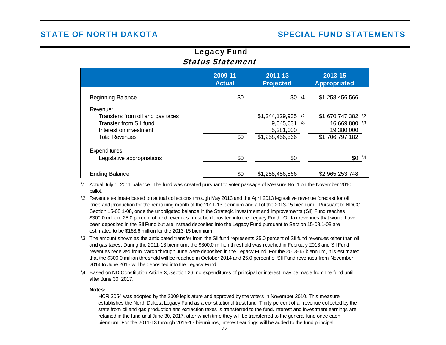# Legacy Fund Status Statement

|                                                                                                                           | 2009-11<br><b>Actual</b> | 2011-13<br><b>Projected</b>                                                              | 2013-15<br><b>Appropriated</b>                                                             |
|---------------------------------------------------------------------------------------------------------------------------|--------------------------|------------------------------------------------------------------------------------------|--------------------------------------------------------------------------------------------|
| <b>Beginning Balance</b>                                                                                                  | \$0                      | \$0<br>$\sqrt{1}$                                                                        | \$1,258,456,566                                                                            |
| Revenue:<br>Transfers from oil and gas taxes<br>Transfer from SII fund<br>Interest on investment<br><b>Total Revenues</b> | \$0                      | \$1,244,129,935<br>$\sqrt{2}$<br>9,045,631<br>$\sqrt{3}$<br>5,281,000<br>\$1,258,456,566 | \$1,670,747,382<br>$\sqrt{2}$<br>16,669,800<br>$\sqrt{3}$<br>19,380,000<br>\$1,706,797,182 |
| Expenditures:<br>Legislative appropriations                                                                               | \$0                      | \$0                                                                                      | $\setminus$ 4<br>\$0                                                                       |
| <b>Ending Balance</b>                                                                                                     | \$0                      | \$1,258,456,566                                                                          | \$2,965,253,748                                                                            |

\1 Actual July 1, 2011 balance. The fund was created pursuant to voter passage of Measure No. 1 on the November 2010 ballot.

- \2 Revenue estimate based on actual collections through May 2013 and the April 2013 legisaltive revenue forecast for oil price and production for the remaining month of the 2011-13 biennium and all of the 2013-15 biennium. Pursuant to NDCC Section 15-08.1-08, once the unobligated balance in the Strategic Investment and Improvements (SII) Fund reaches \$300.0 million, 25.0 percent of fund revenues must be deposited into the Legacy Fund. Oil tax revenues that would have been deposited in the SII Fund but are instead deposited into the Legacy Fund pursuant to Section 15-08.1-08 are estimated to be \$168.6 million for the 2013-15 biennium.
- \3 The amount shown as the anticipated transfer from the SII fund represents 25.0 percent of SII fund revenues other than oil and gas taxes. During the 2011-13 biennium, the \$300.0 million threshold was reached in February 2013 and SII Fund revenues received from March through June were deposited in the Legacy Fund. For the 2013-15 biennium, it is estimated that the \$300.0 million threshold will be reached in October 2014 and 25.0 percent of SII Fund revenues from November 2014 to June 2015 will be deposited into the Legacy Fund.
- \4 Based on ND Constitution Article X, Section 26, no expenditures of principal or interest may be made from the fund until after June 30, 2017.

#### **Notes:**

HCR 3054 was adopted by the 2009 legislature and approved by the voters in November 2010. This measure establishes the North Dakota Legacy Fund as a constitutional trust fund. Thirty percent of all revenue collected by the state from oil and gas production and extraction taxes is transferred to the fund. Interest and investment earnings are retained in the fund until June 30, 2017, after which time they will be transferred to the general fund once each biennium. For the 2011-13 through 2015-17 bienniums, interest earnings will be added to the fund principal.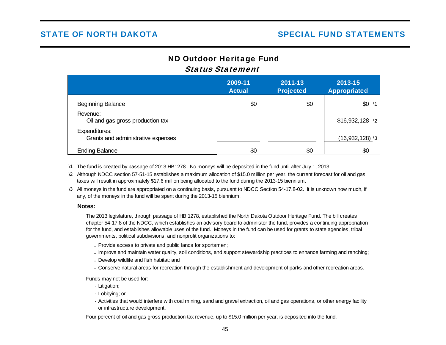# ND Outdoor Heritage Fund Status Statement

|                                                     | 2009-11<br><b>Actual</b> | 2011-13<br><b>Projected</b> | 2013-15<br><b>Appropriated</b> |
|-----------------------------------------------------|--------------------------|-----------------------------|--------------------------------|
| <b>Beginning Balance</b>                            | \$0                      | \$0                         | $$0 \t1$                       |
| Revenue:<br>Oil and gas gross production tax        |                          |                             | $$16,932,128$ \2               |
| Expenditures:<br>Grants and administrative expenses |                          |                             | $(16,932,128)$ \3              |
| <b>Ending Balance</b>                               | \$0                      | \$0                         | \$0                            |

- \1 The fund is created by passage of 2013 HB1278. No moneys will be deposited in the fund until after July 1, 2013.
- \2 Although NDCC section 57-51-15 establishes a maximum allocation of \$15.0 million per year, the current forecast for oil and gas taxes will result in approximately \$17.6 million being allocated to the fund during the 2013-15 biennium.
- \3 All moneys in the fund are appropriated on a continuing basis, pursuant to NDCC Section 54-17.8-02. It is unknown how much, if any, of the moneys in the fund will be spent during the 2013-15 biennium.

### **Notes:**

The 2013 legislature, through passage of HB 1278, established the North Dakota Outdoor Heritage Fund. The bill creates chapter 54-17.8 of the NDCC, which establishes an advisory board to administer the fund, provides a continuing appropriation for the fund, and establishes allowable uses of the fund. Moneys in the fund can be used for grants to state agencies, tribal governments, political subdivisions, and nonprofit organizations to:

- -Provide access to private and public lands for sportsmen;
- Improve and maintain water quality, soil conditions, and support stewardship practices to enhance farming and ranching;
- -Develop wildlife and fish habitat; and
- -Conserve natural areas for recreation through the establishment and development of parks and other recreation areas.

Funds may not be used for:

- Litigation;
- Lobbying; or
- Activities that would interfere with coal mining, sand and gravel extraction, oil and gas operations, or other energy facility or infrastructure development.

Four percent of oil and gas gross production tax revenue, up to \$15.0 million per year, is deposited into the fund.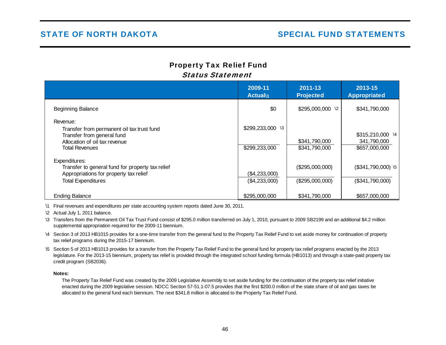# Property Tax Relief Fund Status Statement

|                                                                                                                                                | 2009-11<br><b>Actual</b> <sup>1</sup> | 2011-13<br><b>Projected</b>        | 2013-15<br><b>Appropriated</b>                   |
|------------------------------------------------------------------------------------------------------------------------------------------------|---------------------------------------|------------------------------------|--------------------------------------------------|
| <b>Beginning Balance</b>                                                                                                                       | \$0                                   | \$295,000,000 \2                   | \$341,790,000                                    |
| Revenue:<br>Transfer from permanent oil tax trust fund<br>Transfer from general fund<br>Allocation of oil tax revenue<br><b>Total Revenues</b> | \$299,233,000 \3<br>\$299,233,000     | \$341,790,000<br>\$341,790,000     | \$315,210,000 \4<br>341,790,000<br>\$657,000,000 |
| Expenditures:<br>Transfer to general fund for property tax relief<br>Appropriations for property tax relief<br><b>Total Expenditures</b>       | (\$4,233,000)<br>(\$4,233,000)        | (\$295,000,000)<br>(\$295,000,000) | $($341,790,000)$ \5<br>(\$341,790,000)           |
| <b>Ending Balance</b>                                                                                                                          | \$295,000,000                         | \$341,790,000                      | \$657,000,000                                    |

\1 Final revenues and expenditures per state accounting system reports dated June 30, 2011.

\2 Actual July 1, 2011 balance.

\3 Transfers from the Permanent Oil Tax Trust Fund consist of \$295.0 million transferred on July 1, 2010, pursuant to 2009 SB2199 and an additional \$4.2 million supplemental appropriation required for the 2009-11 biennium.

\4 Section 3 of 2013 HB1015 provides for a one-time transfer from the general fund to the Property Tax Relief Fund to set aside money for continuation of property tax relief programs during the 2015-17 biennium.

\5 Section 5 of 2013 HB1013 provides for a transfer from the Property Tax Relief Fund to the general fund for property tax relief programs enacted by the 2013 legislature. For the 2013-15 biennium, property tax relief is provided through the integrated school funding formula (HB1013) and through a state-paid property tax credit program (SB2036).

#### **Notes:**

The Property Tax Relief Fund was created by the 2009 Legislative Assembly to set aside funding for the continuation of the property tax relief initiative enacted during the 2009 legislative session. NDCC Section 57-51.1-07.5 provides that the first \$200.0 million of the state share of oil and gas taxes be allocated to the general fund each biennium. The next \$341.8 million is allocated to the Property Tax Relief Fund.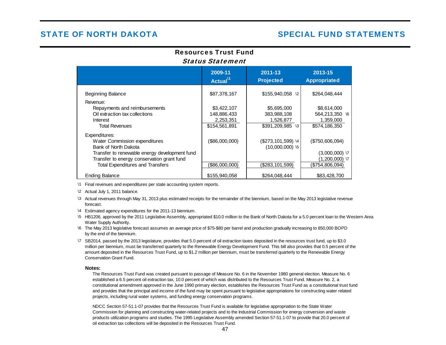# Resources Trust FundStatus Statement

|                                               | 2009-11<br>Actual $^{11}$ | 2011-13<br><b>Projected</b> | 2013-15<br><b>Appropriated</b> |
|-----------------------------------------------|---------------------------|-----------------------------|--------------------------------|
| <b>Beginning Balance</b>                      | \$87,378,167              | \$155,940,058 \2            | \$264,048,444                  |
| Revenue:                                      |                           |                             |                                |
| Repayments and reimbursements                 | \$3,422,107               | \$5,695,000                 | \$8,614,000                    |
| Oil extraction tax collections                | 148,886,433               | 383,988,108                 | 564,213,350 \6                 |
| Interest                                      | 2,253,351                 | 1,526,877                   | 1,359,000                      |
| <b>Total Revenues</b>                         | \$154,561,891             | $$391,209,985$ \3           | \$574,186,350                  |
| Expenditures:                                 |                           |                             |                                |
| Water Commission expenditures                 | (\$86,000,000)            | $(\$273, 101, 599)$ \4      | (\$750,606,094)                |
| Bank of North Dakota                          |                           | $(10,000,000)$ \5           |                                |
| Transfer to renewable energy development fund |                           |                             | $(3,000,000)$ \7               |
| Transfer to energy conservation grant fund    |                           |                             | $(1,200,000)$ \7               |
| <b>Total Expenditures and Transfers</b>       | (\$86,000,000)            | (\$283, 101, 599)           | (\$754,806,094)                |
| <b>Ending Balance</b>                         | \$155,940,058             | \$264.048.444               | \$83,428,700                   |

\1 Final revenues and expenditures per state accounting system reports.

\2 Actual July 1, 2011 balance.

- \3 Actual revenues through May 31, 2013 plus estimated receipts for the remainder of the biennium, based on the May 2013 legislative revenue forecast.
- \4 Estimated agency expenditures for the 2011-13 biennium.
- \5 HB1206, approved by the 2011 Legislative Assembly, appropriated \$10.0 million to the Bank of North Dakota for a 5.0 percent loan to the Western Area Water Supply Authority.
- \6 The May 2013 legislative forecast assumes an average price of \$75-\$80 per barrel and production gradually increasing to 850,000 BOPD by the end of the biennium.
- \7 SB2014, passed by the 2013 legislature, provides that 5.0 percent of oil extraction taxes deposited in the resources trust fund, up to \$3.0 million per biennium, must be transferred quarterly to the Renewable Energy Development Fund. This bill also provides that 0.5 percent of the amount deposited in the Resources Trust Fund, up to \$1.2 million per biennium, must be transferred quarterly to the Renewable Energy Conservation Grant Fund.

#### **Notes:**

The Resources Trust Fund was created pursuant to passage of Measure No. 6 in the November 1980 general election. Measure No. 6 established a 6.5 percent oil extraction tax, 10.0 percent of which was distributed to the Resources Trust Fund. Measure No. 2, a constitutional amendment approved in the June 1990 primary election, establishes the Resources Trust Fund as a constitutional trust fund and provides that the principal and income of the fund may be spent pursuant to legislative appropriations for constructing water related projects, including rural water systems, and funding energy conservation programs.

NDCC Section 57-51.1-07 provides that the Resources Trust Fund is available for legislative appropriation to the State Water Commission for planning and constructing water-related projects and to the Industrial Commission for energy conversion and waste products utilization programs and studies. The 1995 Legislative Assembly amended Section 57-51.1-07 to provide that 20.0 percent of oil extraction tax collections will be deposited in the Resources Trust Fund.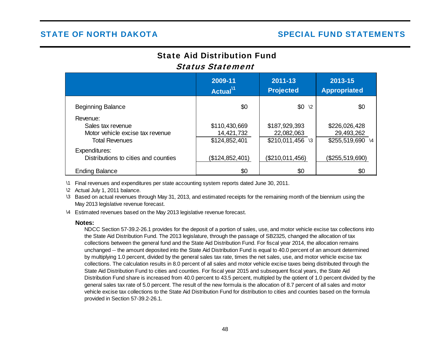# State Aid Distribution FundStatus Statement

|                                                                                            | 2009-11<br>Actual <sup>11</sup>              | 2011-13<br><b>Projected</b>                      | 2013-15<br><b>Appropriated</b>                  |
|--------------------------------------------------------------------------------------------|----------------------------------------------|--------------------------------------------------|-------------------------------------------------|
| <b>Beginning Balance</b>                                                                   | \$0                                          | $$0 \t2$                                         | \$0                                             |
| Revenue:<br>Sales tax revenue<br>Motor vehicle excise tax revenue<br><b>Total Revenues</b> | \$110,430,669<br>14,421,732<br>\$124,852,401 | \$187,929,393<br>22,082,063<br>$$210,011,456$ \3 | \$226,026,428<br>29,493,262<br>\$255,519,690 \4 |
| Expenditures:<br>Distributions to cities and counties                                      | (\$124,852,401)                              | (\$210,011,456)                                  | (\$255,519,690)                                 |
| <b>Ending Balance</b>                                                                      | \$0                                          | \$0                                              | \$0                                             |

\1 Final revenues and expenditures per state accounting system reports dated June 30, 2011.

\2 Actual July 1, 2011 balance.

\3 Based on actual revenues through May 31, 2013, and estimated receipts for the remaining month of the biennium using the May 2013 legislative revenue forecast.

\4 Estimated revenues based on the May 2013 legislative revenue forecast.

#### **Notes:**

NDCC Section 57-39.2-26.1 provides for the deposit of a portion of sales, use, and motor vehicle excise tax collections into the State Aid Distribution Fund. The 2013 legislature, through the passage of SB2325, changed the allocation of tax collections between the general fund and the State Aid Distribution Fund. For fiscal year 2014, the allocation remains unchanged -- the amount deposited into the State Aid Distribution Fund is equal to 40.0 percent of an amount determined by multiplying 1.0 percent, divided by the general sales tax rate, times the net sales, use, and motor vehicle excise tax collections. The calculation results in 8.0 percent of all sales and motor vehicle excise taxes being distributed through the State Aid Distribution Fund to cities and counties. For fiscal year 2015 and subsequent fiscal years, the State Aid Distribution Fund share is increased from 40.0 percent to 43.5 percent, multipled by the qotient of 1.0 percent divided by the general sales tax rate of 5.0 percent. The result of the new formula is the allocation of 8.7 percent of all sales and motor vehicle excise tax collections to the State Aid Distribution Fund for distribution to cities and counties based on the formula provided in Section 57-39.2-26.1.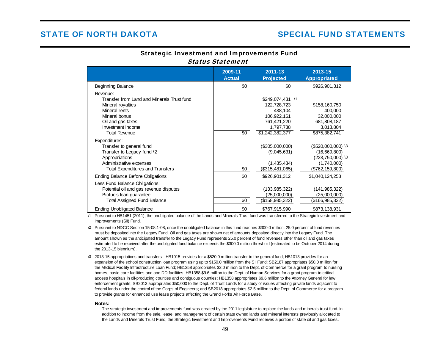# Strategic Investment and Improvements Fund Status Statement

|                                                                                                                                                                                 | 2009-11<br><b>Actual</b> | 2011-13<br><b>Projected</b>                                                                                         | 2013-15<br><b>Appropriated</b>                                                            |
|---------------------------------------------------------------------------------------------------------------------------------------------------------------------------------|--------------------------|---------------------------------------------------------------------------------------------------------------------|-------------------------------------------------------------------------------------------|
| <b>Beginning Balance</b>                                                                                                                                                        | \$0                      | \$0                                                                                                                 | \$926,901,312                                                                             |
| Revenue:<br>Transfer from Land and Minerals Trust fund<br>Mineral royalties<br>Mineral rents<br>Mineral bonus<br>Oil and gas taxes<br>Investment income<br><b>Total Revenue</b> | \$0                      | \$249,074,431<br>$\sqrt{1}$<br>122,728,723<br>438,104<br>106,922,161<br>761,421,220<br>1,797,738<br>\$1,242,382,377 | \$158,160,750<br>400,000<br>32,000,000<br>681,808,187<br>3,013,804<br>\$875,382,741       |
| Expenditures:<br>Transfer to general fund<br>Transfer to Legacy fund \2<br>Appropriations<br>Administrative expenses<br><b>Total Expenditures and Transfers</b>                 | \$0                      | (\$305,000,000)<br>(9,045,631)<br>(1,435,434)<br>(\$315,481,065)                                                    | $($520,000,000)$ \3<br>(16,669,800)<br>(223,750,000) \3<br>(1,740,000)<br>(\$762,159,800) |
| <b>Ending Balance Before Obligations</b>                                                                                                                                        | \$0                      | \$926,901,312                                                                                                       | \$1,040,124,253                                                                           |
| Less Fund Balance Obligations:<br>Potential oil and gas revenue disputes<br>Biofuels loan guarantee<br><b>Total Assigned Fund Balance</b>                                       | \$0                      | (133, 985, 322)<br>(25,000,000)<br>(\$158,985,322)                                                                  | (141, 985, 322)<br>(25,000,000)<br>(\$166,985,322)                                        |
| <b>Ending Unobligated Balance</b>                                                                                                                                               | \$0                      | \$767,915,990                                                                                                       | \$873,138,931                                                                             |

 $\lambda$ 1 Pursuant to HB1451 (2011), the unobligated balance of the Lands and Minerals Trust fund was transferred to the Strategic Investment and Improvements (SII) Fund.

- \2 Pursuant to NDCC Section 15-08.1-08, once the unobligated balance in this fund reaches \$300.0 million, 25.0 percent of fund revenues must be deposited into the Legacy Fund. Oil and gas taxes are shown net of amounts deposited directly into the Legacy Fund. The amount shown as the anticipated transfer to the Legacy Fund represents 25.0 percent of fund revenues other than oil and gas taxes estimated to be received after the unobligated fund balance exceeds the \$300.0 million threshold (estimated to be October 2014 during the 2013-15 biennium).
- \3 2013-15 appropriations and transfers HB1015 provides for a \$520.0 million transfer to the general fund; HB1013 provides for an expansion of the school construction loan program using up to \$150.0 million from the SII Fund; SB2187 appropriates \$50.0 million for the Medical Facility Infrastructure Loan Fund; HB1358 appropriates \$2.0 million to the Dept. of Commerce for a grant program to nursing homes, basic care facilities and and DD facilities; HB1358 \$9.6 million to the Dept. of Human Services for a grant program to critical access hospitals in oil-producing counties and contiguous counties; HB1358 appropriates \$9.6 million to the Attorney General for law enforcement grants; SB2013 appropriates \$50,000 to the Dept. of Trust Lands for a study of issues affecting private lands adjacent to federal lands under the control of the Corps of Engineers; and SB2018 appropriates \$2.5 million to the Dept. of Commerce for a program to provide grants for enhanced use lease projects affecting the Grand Forks Air Force Base.

#### **Notes:**

The strategic investment and improvements fund was created by the 2011 legislature to replace the lands and minerals trust fund. In addition to income from the sale, lease, and management of certain state owned lands and mineral interests previously allocated to the Lands and Minerals Trust Fund, the Strategic Investment and Improvements Fund receives a portion of state oil and gas taxes.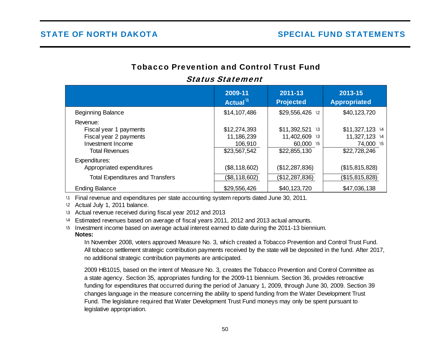# Tobacco Prevention and Control Trust Fund

|                                                                                                            | 2009-11<br>Actual <sup>11</sup>                       | 2011-13<br><b>Projected</b>                                              | 2013-15<br><b>Appropriated</b>                                 |
|------------------------------------------------------------------------------------------------------------|-------------------------------------------------------|--------------------------------------------------------------------------|----------------------------------------------------------------|
| <b>Beginning Balance</b>                                                                                   | \$14,107,486                                          | \$29,556,426 \2                                                          | \$40,123,720                                                   |
| Revenue:<br>Fiscal year 1 payments<br>Fiscal year 2 payments<br>Investment Income<br><b>Total Revenues</b> | \$12,274,393<br>11,186,239<br>106,910<br>\$23,567,542 | \$11,392,521<br>$\sqrt{3}$<br>11,402,609 \3<br>60,000 \5<br>\$22,855,130 | $$11,327,123$ 14<br>11,327,123 14<br>74,000 \5<br>\$22,728,246 |
| Expenditures:<br>Appropriated expenditures                                                                 | (\$8,118,602)                                         | (\$12,287,836)                                                           | (\$15,815,828)                                                 |
| <b>Total Expenditures and Transfers</b>                                                                    | (\$8,118,602)                                         | (\$12, 287, 836)                                                         | (\$15,815,828)                                                 |
| <b>Ending Balance</b>                                                                                      | \$29,556,426                                          | \$40,123,720                                                             | \$47,036,138                                                   |

# Status Statement

\1 Final revenue and expenditures per state accounting system reports dated June 30, 2011.

\2 Actual July 1, 2011 balance.

\3 Actual revenue received during fiscal year 2012 and 2013

\4 Estimated revenues based on average of fiscal years 2011, 2012 and 2013 actual amounts.

\5 Investment income based on average actual interest earned to date during the 2011-13 biennium.

### **Notes:**

In November 2008, voters approved Measure No. 3, which created a Tobacco Prevention and Control Trust Fund. All tobacco settlement strategic contribution payments received by the state will be deposited in the fund. After 2017, no additional strategic contribution payments are anticipated.

2009 HB1015, based on the intent of Measure No. 3, creates the Tobacco Prevention and Control Committee as a state agency. Section 35, appropriates funding for the 2009-11 biennium. Section 36, provides retroactive funding for expenditures that occurred during the period of January 1, 2009, through June 30, 2009. Section 39 changes language in the measure concerning the ability to spend funding from the Water Development Trust Fund. The legislature required that Water Development Trust Fund moneys may only be spent pursuant to legislative appropriation.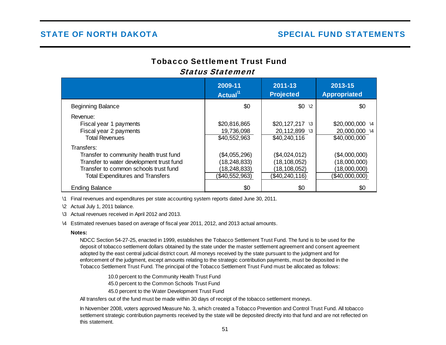# Tobacco Settlement Trust FundStatus Statement

|                                                                                                                                                                                       | 2009-11<br>Actual <sup>11</sup>                                   | $2011 - 13$<br><b>Projected</b>                                   | 2013-15<br><b>Appropriated</b>                                  |
|---------------------------------------------------------------------------------------------------------------------------------------------------------------------------------------|-------------------------------------------------------------------|-------------------------------------------------------------------|-----------------------------------------------------------------|
| <b>Beginning Balance</b>                                                                                                                                                              | \$0                                                               | $$0 \t2$                                                          | \$0                                                             |
| Revenue:<br>Fiscal year 1 payments<br>Fiscal year 2 payments<br><b>Total Revenues</b>                                                                                                 | \$20,816,865<br>19,736,098<br>\$40,552,963                        | $$20,127,217$ \3<br>20,112,899 \3<br>\$40,240,116                 | \$20,000,000 \4<br>20,000,000 \4<br>\$40,000,000                |
| Transfers:<br>Transfer to community health trust fund<br>Transfer to water development trust fund<br>Transfer to common schools trust fund<br><b>Total Expenditures and Transfers</b> | (\$4,055,296)<br>(18,248,833)<br>(18, 248, 833)<br>(\$40,552,963) | (\$4,024,012)<br>(18,108,052)<br>(18, 108, 052)<br>(\$40,240,116) | (\$4,000,000)<br>(18,000,000)<br>(18,000,000)<br>(\$40,000,000) |
| <b>Ending Balance</b>                                                                                                                                                                 | \$0                                                               | \$0                                                               | \$0                                                             |

\1 Final revenues and expenditures per state accounting system reports dated June 30, 2011.

\2 Actual July 1, 2011 balance.

\3 Actual revenues received in April 2012 and 2013.

\4 Estimated revenues based on average of fiscal year 2011, 2012, and 2013 actual amounts.

#### **Notes:**

NDCC Section 54-27-25, enacted in 1999, establishes the Tobacco Settlement Trust Fund. The fund is to be used for the deposit of tobacco settlement dollars obtained by the state under the master settlement agreement and consent agreement adopted by the east central judicial district court. All moneys received by the state pursuant to the judgment and for enforcement of the judgment, except amounts relating to the strategic contribution payments, must be deposited in the Tobacco Settlement Trust Fund. The principal of the Tobacco Settlement Trust Fund must be allocated as follows:

> 10.0 percent to the Community Health Trust Fund 45.0 percent to the Common Schools Trust Fund 45.0 percent to the Water Development Trust Fund

All transfers out of the fund must be made within 30 days of receipt of the tobacco settlement moneys.

In November 2008, voters approved Measure No. 3, which created a Tobacco Prevention and Control Trust Fund. All tobacco settlement strategic contribution payments received by the state will be deposited directly into that fund and are not reflected on this statement.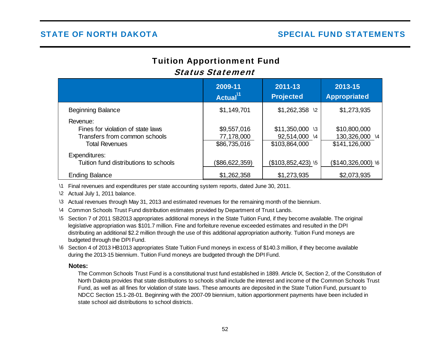# Tuition Apportionment Fund Status Statement

|                                                                                                         | 2009-11<br>Actual <sup>11</sup>           | 2011-13<br><b>Projected</b>                        | 2013-15<br><b>Appropriated</b>                                |
|---------------------------------------------------------------------------------------------------------|-------------------------------------------|----------------------------------------------------|---------------------------------------------------------------|
| <b>Beginning Balance</b>                                                                                | \$1,149,701                               | $$1,262,358$ \2                                    | \$1,273,935                                                   |
| Revenue:<br>Fines for violation of state laws<br>Transfers from common schools<br><b>Total Revenues</b> | \$9,557,016<br>77,178,000<br>\$86,735,016 | $$11,350,000$ \3<br>92,514,000 \4<br>\$103,864,000 | \$10,800,000<br>130,326,000<br>$\setminus$ 4<br>\$141,126,000 |
| Expenditures:<br>Tuition fund distributions to schools                                                  | (\$86,622,359)                            | (\$103,852,423) \5                                 | $($140,326,000)$ \6                                           |
| <b>Ending Balance</b>                                                                                   | \$1,262,358                               | \$1,273,935                                        | \$2,073,935                                                   |

\1 Final revenues and expenditures per state accounting system reports, dated June 30, 2011.

\2 Actual July 1, 2011 balance.

\3 Actual revenues through May 31, 2013 and estimated revenues for the remaining month of the biennium.

- \4 Common Schools Trust Fund distribution estimates provided by Department of Trust Lands.
- \5 Section 7 of 2011 SB2013 appropriates additional moneys in the State Tuition Fund, if they become available. The original legislative appropriation was \$101.7 million. Fine and forfeiture revenue exceeded estimates and resulted in the DPI distributing an additional \$2.2 million through the use of this additional appropriation authority. Tuition Fund moneys are budgeted through the DPI Fund.
- \6 Section 4 of 2013 HB1013 appropriates State Tuition Fund moneys in excess of \$140.3 million, if they become available during the 2013-15 biennium. Tuition Fund moneys are budgeted through the DPI Fund.

### **Notes:**

The Common Schools Trust Fund is a constitutional trust fund established in 1889. Article IX, Section 2, of the Constitution of North Dakota provides that state distributions to schools shall include the interest and income of the Common Schools Trust Fund, as well as all fines for violation of state laws. These amounts are deposited in the State Tuition Fund, pursuant to NDCC Section 15.1-28-01. Beginning with the 2007-09 biennium, tuition apportionment payments have been included in state school aid distributions to school districts.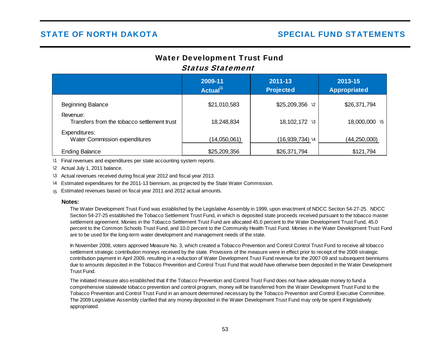# Water Development Trust Fund Status Statement

|                                                         | 2009-11<br>Actual <sup>11</sup> | $2011 - 13$<br><b>Projected</b> | 2013-15<br><b>Appropriated</b> |
|---------------------------------------------------------|---------------------------------|---------------------------------|--------------------------------|
| <b>Beginning Balance</b>                                | \$21,010,583                    | \$25,209,356<br>$\sqrt{2}$      | \$26,371,794                   |
| Revenue:<br>Transfers from the tobacco settlement trust | 18,248,834                      | 18,102,172 \3                   | 18,000,000 \5                  |
| Expenditures:<br>Water Commission expenditures          | (14,050,061)                    | (16,939,734) \4                 | (44,250,000)                   |
| <b>Ending Balance</b>                                   | \$25,209,356                    | \$26,371,794                    | \$121,794                      |

\1 Final revenues and expenditures per state accounting system reports.

\2 Actual July 1, 2011 balance.

\3 Actual revenues received during fiscal year 2012 and fiscal year 2013.

\4 Estimated expenditures for the 2011-13 biennium, as projected by the State Water Commission.

\5 Estimated revenues based on fiscal year 2011 and 2012 actual amounts.

#### **Notes:**

The Water Development Trust Fund was established by the Legislative Assembly in 1999, upon enactment of NDCC Section 54-27-25. NDCC Section 54-27-25 established the Tobacco Settlement Trust Fund, in which is deposited state proceeds received pursuant to the tobacco master settlement agreement. Monies in the Tobacco Settlement Trust Fund are allocated 45.0 percent to the Water Development Trust Fund, 45.0 percent to the Common Schools Trust Fund, and 10.0 percent to the Community Health Trust Fund. Monies in the Water Development Trust Fund are to be used for the long-term water development and management needs of the state.

In November 2008, voters approved Measure No. 3, which created a Tobacco Prevention and Control Control Trust Fund to receive all tobacco settlement strategic contribution moneys received by the state. Provisions of the measure were in effect prior to receipt of the 2009 strategic contribution payment in April 2009, resulting in a reduction of Water Development Trust Fund revenue for the 2007-09 and subsequent bienniums due to amounts deposited in the Tobacco Prevention and Control Trust Fund that would have otherwise been deposited in the Water Development Trust Fund.

The initiated measure also established that if the Tobacco Prevention and Control Trust Fund does not have adequate money to fund a comprehensive statewide tobacco prevention and control program, money will be transferred from the Water Development Trust Fund to the Tobacco Prevention and Control Trust Fund in an amount determined necessary by the Tobacco Prevention and Control Executive Committee. The 2009 Legislative Assembly clarified that any money deposited in the Water Development Trust Fund may only be spent if legislatively appropriated.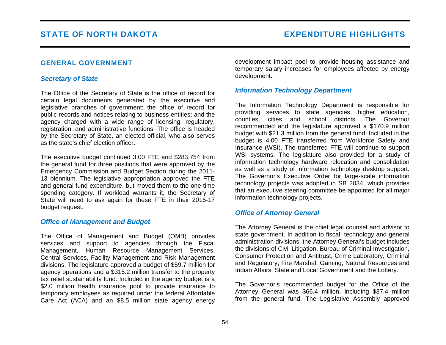# GENERAL GOVERNMENT

# *Secretary of State*

The Office of the Secretary of State is the office of record for certain legal documents generated by the executive and legislative branches of government; the office of record for public records and notices relating to business entities; and the agency charged with a wide range of licensing, regulatory, registration, and administrative functions. The office is headed by the Secretary of State, an elected official, who also serves as the state's chief election officer.

The executive budget continued 3.00 FTE and \$283,754 from the general fund for three positions that were approved by the Emergency Commission and Budget Section during the 2011- 13 biennium. The legislative appropriation approved the FTE and general fund expenditure, but moved them to the one-time spending category. If workload warrants it, the Secretary of State will need to ask again for these FTE in their 2015-17 budget request.

## *Office of Management and Budget*

The Office of Management and Budget (OMB) provides services and support to agencies through the Fiscal Management, Human Resource Management Services, Central Services, Facility Management and Risk Management divisions. The legislature approved a budget of \$59.7 million for agency operations and a \$315.2 million transfer to the property tax relief sustainability fund. Included in the agency budget is a \$2.0 million health insurance pool to provide insurance to temporary employees as required under the federal Affordable Care Act (ACA) and an \$8.5 million state agency energy development impact pool to provide housing assistance and temporary salary increases for employees affected by energy development.

# *Information Technology Department*

The Information Technology Department is responsible for providing services to state agencies, higher education, counties, cities and school districts. The Governor recommended and the legislature approved a \$170.9 million budget with \$21.3 million from the general fund. Included in the budget is 4.00 FTE transferred from Workforce Safety and Insurance (WSI). The transferred FTE will continue to support WSI systems. The legislature also provided for a study of information technology hardware relocation and consolidation as well as a study of information technology desktop support. The Governor's Executive Order for large-scale information technology projects was adopted in SB 2034, which provides that an executive steering committee be appointed for all major information technology projects.

# *Office of Attorney General*

The Attorney General is the chief legal counsel and advisor to state government. In addition to fiscal, technology and general administration divisions, the Attorney General's budget includes the divisions of Civil Litigation, Bureau of Criminal Investigation, Consumer Protection and Antitrust, Crime Laboratory, Criminal and Regulatory, Fire Marshal, Gaming, Natural Resources and Indian Affairs, State and Local Government and the Lottery.

The Governor's recommended budget for the Office of the Attorney General was \$66.4 million, including \$37.4 million from the general fund. The Legislative Assembly approved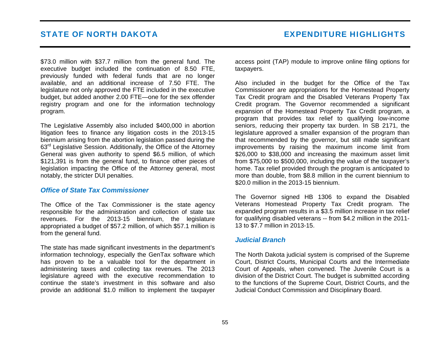\$73.0 million with \$37.7 million from the general fund. The executive budget included the continuation of 8.50 FTE, previously funded with federal funds that are no longer available, and an additional increase of 7.50 FTE. The legislature not only approved the FTE included in the executive budget, but added another 2.00 FTE—one for the sex offender registry program and one for the information technology program.

The Legislative Assembly also included \$400,000 in abortion litigation fees to finance any litigation costs in the 2013-15 biennium arising from the abortion legislation passed during the <sup>63</sup>rd Legislative Session. Additionally, the Office of the Attorney General was given authority to spend \$6.5 million, of which \$121,391 is from the general fund, to finance other pieces of legislation impacting the Office of the Attorney general, most notably, the stricter DUI penalties.

### *Office of State Tax Commissioner*

The Office of the Tax Commissioner is the state agency responsible for the administration and collection of state tax revenues. For the 2013-15 biennium, the legislature appropriated a budget of \$57.2 million, of which \$57.1 million is from the general fund.

The state has made significant investments in the department's information technology, especially the GenTax software which has proven to be a valuable tool for the department in administering taxes and collecting tax revenues. The 2013 legislature agreed with the executive recommendation to continue the state's investment in this software and also provide an additional \$1.0 million to implement the taxpayer access point (TAP) module to improve online filing options for taxpayers.

Also included in the budget for the Office of the Tax Commissioner are appropriations for the Homestead Property Tax Credit program and the Disabled Veterans Property Tax Credit program. The Governor recommended a significant expansion of the Homestead Property Tax Credit program, a program that provides tax relief to qualifying low-income seniors, reducing their property tax burden. In SB 2171, the legislature approved a smaller expansion of the program than that recommended by the governor, but still made significant improvements by raising the maximum income limit from \$26,000 to \$38,000 and increasing the maximum asset limit from \$75,000 to \$500,000, including the value of the taxpayer's home. Tax relief provided through the program is anticipated to more than double, from \$8.8 million in the current biennium to \$20.0 million in the 2013-15 biennium.

The Governor signed HB 1306 to expand the Disabled Veterans Homestead Property Tax Credit program. The expanded program results in a \$3.5 million increase in tax relief for qualifying disabled veterans -- from \$4.2 million in the 2011- 13 to \$7.7 million in 2013-15.

## *Judicial Branch*

The North Dakota judicial system is comprised of the Supreme Court, District Courts, Municipal Courts and the Intermediate Court of Appeals, when convened. The Juvenile Court is a division of the District Court. The budget is submitted according to the functions of the Supreme Court, District Courts, and the Judicial Conduct Commission and Disciplinary Board.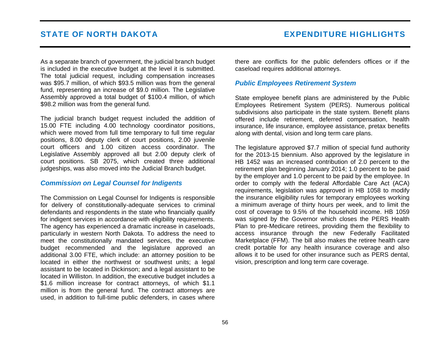As a separate branch of government, the judicial branch budget is included in the executive budget at the level it is submitted. The total judicial request, including compensation increases was \$95.7 million, of which \$93.5 million was from the general fund, representing an increase of \$9.0 million. The Legislative Assembly approved a total budget of \$100.4 million, of which \$98.2 million was from the general fund.

The judicial branch budget request included the addition of 15.00 FTE including 4.00 technology coordinator positions, which were moved from full time temporary to full time regular positions, 8.00 deputy clerk of court positions, 2.00 juvenile court officers and 1.00 citizen access coordinator. The Legislative Assembly approved all but 2.00 deputy clerk of court positions. SB 2075, which created three additional judgeships, was also moved into the Judicial Branch budget.

## *Commission on Legal Counsel for Indigents*

The Commission on Legal Counsel for Indigents is responsible for delivery of constitutionally-adequate services to criminal defendants and respondents in the state who financially qualify for indigent services in accordance with eligibility requirements. The agency has experienced a dramatic increase in caseloads, particularly in western North Dakota. To address the need to meet the constitutionally mandated services, the executive budget recommended and the legislature approved an additional 3.00 FTE, which include: an attorney position to be located in either the northwest or southwest units; a legal assistant to be located in Dickinson; and a legal assistant to be located in Williston. In addition, the executive budget includes a \$1.6 million increase for contract attorneys, of which \$1.1 million is from the general fund. The contract attorneys are used, in addition to full-time public defenders, in cases where

there are conflicts for the public defenders offices or if the caseload requires additional attorneys.

# *Public Employees Retirement System*

State employee benefit plans are administered by the Public Employees Retirement System (PERS). Numerous political subdivisions also participate in the state system. Benefit plans offered include retirement, deferred compensation, health insurance, life insurance, employee assistance, pretax benefits along with dental, vision and long term care plans.

The legislature approved \$7.7 million of special fund authority for the 2013-15 biennium. Also approved by the legislature in HB 1452 was an increased contribution of 2.0 percent to the retirement plan beginning January 2014; 1.0 percent to be paid by the employer and 1.0 percent to be paid by the employee. In order to comply with the federal Affordable Care Act (ACA) requirements, legislation was approved in HB 1058 to modify the insurance eligibility rules for temporary employees working a minimum average of thirty hours per week, and to limit the cost of coverage to 9.5% of the household income. HB 1059 was signed by the Governor which closes the PERS Health Plan to pre-Medicare retirees, providing them the flexibility to access insurance through the new Federally Facilitated Marketplace (FFM). The bill also makes the retiree health care credit portable for any health insurance coverage and also allows it to be used for other insurance such as PERS dental, vision, prescription and long term care coverage.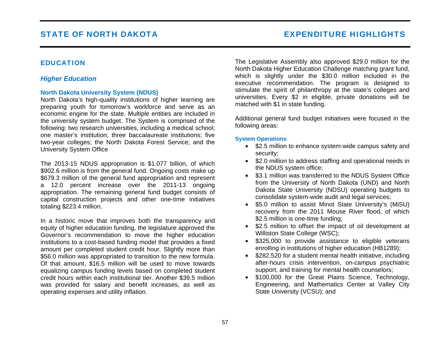# EDUCATION

# *Higher Education*

## **North Dakota University System (NDUS)**

North Dakota's high-quality institutions of higher learning are preparing youth for tomorrow's workforce and serve as an economic engine for the state. Multiple entities are included in the university system budget. The System is comprised of the following: two research universities, including a medical school; one master's institution; three baccalaureate institutions; five two-year colleges; the North Dakota Forest Service; and the University System Office

The 2013-15 NDUS appropriation is \$1.077 billion, of which \$902.6 million is from the general fund. Ongoing costs make up \$679.3 million of the general fund appropriation and represent a 12.0 percent increase over the 2011-13 ongoing appropriation. The remaining general fund budget consists of capital construction projects and other one-time initiatives totaling \$223.4 million.

In a historic move that improves both the transparency and equity of higher education funding, the legislature approved the Governor's recommendation to move the higher education institutions to a cost-based funding model that provides a fixed amount per completed student credit hour. Slightly more than \$56.0 million was appropriated to transition to the new formula. Of that amount, \$16.5 million will be used to move towards equalizing campus funding levels based on completed student credit hours within each institutional tier. Another \$39.5 million was provided for salary and benefit increases, as well as operating expenses and utility inflation.

The Legislative Assembly also approved \$29.0 million for the North Dakota Higher Education Challenge matching grant fund, which is slightly under the \$30.0 million included in the executive recommendation. The program is designed to stimulate the spirit of philanthropy at the state's colleges and universities. Every \$2 in eligible, private donations will be matched with \$1 in state funding.

Additional general fund budget initiatives were focused in the following areas:

### **System Operations**

- \$2.5 million to enhance system-wide campus safety and security;
- \$2.0 million to address staffing and operational needs in the NDUS system office;
- \$3.1 million was transferred to the NDUS System Office from the University of North Dakota (UND) and North Dakota State University (NDSU) operating budgets to consolidate system-wide audit and legal services;
- \$5.0 million to assist Minot State University's (MiSU) recovery from the 2011 Mouse River flood, of which \$2.5 million is one-time funding;
- \$2.5 million to offset the impact of oil development at Williston State College (WSC);
- \$325,000 to provide assistance to eligible veterans enrolling in institutions of higher education (HB1289);
- \$282,520 for a student mental health initiative, including after-hours crisis intervention, on-campus psychiatric support, and training for mental health counselors;
- \$100,000 for the Great Plains Science, Technology, Engineering, and Mathematics Center at Valley City State University (VCSU); and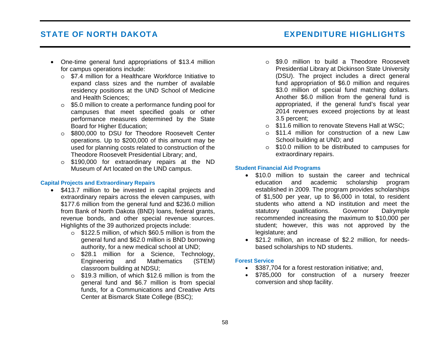# STATE OF NORTH DAKOTA EXPENDITURE HIGHLIGHTS

- One-time general fund appropriations of \$13.4 million for campus operations include:
	- <sup>o</sup> \$7.4 million for a Healthcare Workforce Initiative to expand class sizes and the number of available residency positions at the UND School of Medicine and Health Sciences;
	- <sup>o</sup> \$5.0 million to create a performance funding pool for campuses that meet specified goals or other performance measures determined by the State Board for Higher Education;
	- <sup>o</sup> \$800,000 to DSU for Theodore Roosevelt Center operations. Up to \$200,000 of this amount may be used for planning costs related to construction of the Theodore Roosevelt Presidential Library; and,
	- <sup>o</sup> \$190,000 for extraordinary repairs at the ND Museum of Art located on the UND campus.

### **Capital Projects and Extraordinary Repairs**

- \$413.7 million to be invested in capital projects and extraordinary repairs across the eleven campuses, with \$177.6 million from the general fund and \$236.0 million from Bank of North Dakota (BND) loans, federal grants, revenue bonds, and other special revenue sources. Highlights of the 39 authorized projects include:
	- <sup>o</sup> \$122.5 million, of which \$60.5 million is from the general fund and \$62.0 million is BND borrowing authority, for a new medical school at UND;
	- <sup>o</sup> \$28.1 million for a Science, Technology, Engineering and Mathematics (STEM) classroom building at NDSU;
	- <sup>o</sup> \$19.3 million, of which \$12.6 million is from the general fund and \$6.7 million is from special funds, for a Communications and Creative Arts Center at Bismarck State College (BSC);
- <sup>o</sup> \$9.0 million to build a Theodore Roosevelt Presidential Library at Dickinson State University (DSU). The project includes a direct general fund appropriation of \$6.0 million and requires \$3.0 million of special fund matching dollars. Another \$6.0 million from the general fund is appropriated, if the general fund's fiscal year 2014 revenues exceed projections by at least 3.5 percent;
- <sup>o</sup> \$11.6 million to renovate Stevens Hall at WSC;
- <sup>o</sup> \$11.4 million for construction of a new Law School building at UND; and
- <sup>o</sup> \$10.0 million to be distributed to campuses for extraordinary repairs.

### **Student Financial Aid Programs**

- \$10.0 million to sustain the career and technical education and academic scholarship program established in 2009. The program provides scholarships of \$1,500 per year, up to \$6,000 in total, to resident students who attend a ND institution and meet the statutory qualifications. Governor Dalrymple recommended increasing the maximum to \$10,000 per student; however, this was not approved by the legislature; and
- \$21.2 million, an increase of \$2.2 million, for needsbased scholarships to ND students.

### **Forest Service**

- \$387,704 for a forest restoration initiative; and,
- \$785,000 for construction of a nursery freezer conversion and shop facility.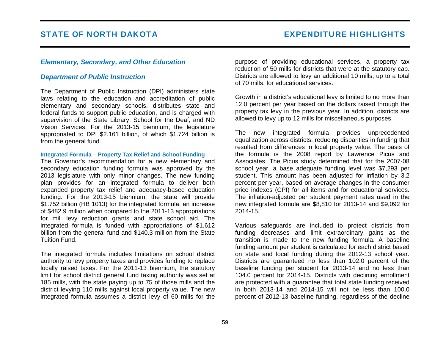## *Elementary, Secondary, and Other Education*

## *Department of Public Instruction*

The Department of Public Instruction (DPI) administers state laws relating to the education and accreditation of public elementary and secondary schools, distributes state and federal funds to support public education, and is charged with supervision of the State Library, School for the Deaf, and ND Vision Services. For the 2013-15 biennium, the legislature appropriated to DPI \$2.161 billion, of which \$1.724 billion is from the general fund.

#### **Integrated Formula – Property Tax Relief and School Funding**

The Governor's recommendation for a new elementary and secondary education funding formula was approved by the 2013 legislature with only minor changes. The new funding plan provides for an integrated formula to deliver both expanded property tax relief and adequacy-based education funding. For the 2013-15 biennium, the state will provide \$1.752 billion (HB 1013) for the integrated formula, an increase of \$482.9 million when compared to the 2011-13 appropriations for mill levy reduction grants and state school aid. The integrated formula is funded with appropriations of \$1.612 billion from the general fund and \$140.3 million from the State Tuition Fund.

The integrated formula includes limitations on school district authority to levy property taxes and provides funding to replace locally raised taxes. For the 2011-13 biennium, the statutory limit for school district general fund taxing authority was set at 185 mills, with the state paying up to 75 of those mills and the district levying 110 mills against local property value. The new integrated formula assumes a district levy of 60 mills for the purpose of providing educational services, a property tax reduction of 50 mills for districts that were at the statutory cap. Districts are allowed to levy an additional 10 mills, up to a total of 70 mills, for educational services.

Growth in a district's educational levy is limited to no more than 12.0 percent per year based on the dollars raised through the property tax levy in the previous year. In addition, districts are allowed to levy up to 12 mills for miscellaneous purposes.

The new integrated formula provides unprecedented equalization across districts, reducing disparities in funding that resulted from differences in local property value. The basis of the formula is the 2008 report by Lawrence Picus and Associates. The Picus study determined that for the 2007-08 school year, a base adequate funding level was \$7,293 per student. This amount has been adjusted for inflation by 3.2 percent per year, based on average changes in the consumer price indexes (CPI) for all items and for educational services. The inflation-adjusted per student payment rates used in the new integrated formula are \$8,810 for 2013-14 and \$9,092 for 2014-15.

Various safeguards are included to protect districts from funding decreases and limit extraordinary gains as the transition is made to the new funding formula. A baseline funding amount per student is calculated for each district based on state and local funding during the 2012-13 school year. Districts are guaranteed no less than 102.0 percent of the baseline funding per student for 2013-14 and no less than 104.0 percent for 2014-15. Districts with declining enrollment are protected with a guarantee that total state funding received in both 2013-14 and 2014-15 will not be less than 100.0 percent of 2012-13 baseline funding, regardless of the decline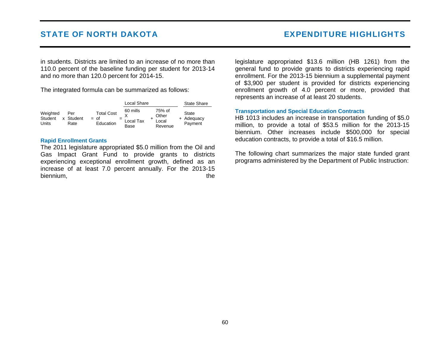in students. Districts are limited to an increase of no more than 110.0 percent of the baseline funding per student for 2013-14 and no more than 120.0 percent for 2014-15.

The integrated formula can be summarized as follows:

|                              |                          |                                          | Local Share                       |  | <b>State Share</b>                  |                                       |
|------------------------------|--------------------------|------------------------------------------|-----------------------------------|--|-------------------------------------|---------------------------------------|
| Weighted<br>Student<br>Units | Per<br>x Student<br>Rate | <b>Total Cost</b><br>$=$ of<br>Education | 60 mills<br>$=$ Local Tax<br>Base |  | 75% of<br>Other<br>Local<br>Revenue | <b>State</b><br>+ Adequacy<br>Payment |

### **Rapid Enrollment Grants**

The 2011 legislature appropriated \$5.0 million from the Oil and Gas Impact Grant Fund to provide grants to districts experiencing exceptional enrollment growth, defined as an increase of at least 7.0 percent annually. For the 2013-15 biennium, the state of the state of the state of the state of the state of the state of the state of the state of the state of the state of the state of the state of the state of the state of the state of the state of the legislature appropriated \$13.6 million (HB 1261) from the general fund to provide grants to districts experiencing rapid enrollment. For the 2013-15 biennium a supplemental payment of \$3,900 per student is provided for districts experiencing enrollment growth of 4.0 percent or more, provided that represents an increase of at least 20 students.

## **Transportation and Special Education Contracts**

HB 1013 includes an increase in transportation funding of \$5.0 million, to provide a total of \$53.5 million for the 2013-15 biennium. Other increases include \$500,000 for special education contracts, to provide a total of \$16.5 million.

The following chart summarizes the major state funded grant programs administered by the Department of Public Instruction: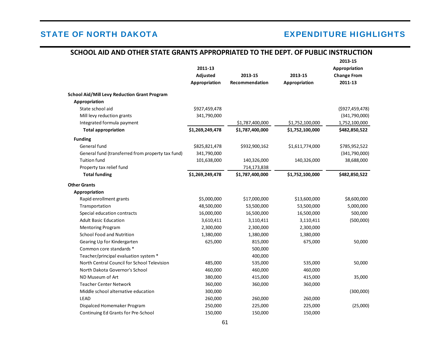# STATE OF NORTH DAKOTA EXPENDITURE HIGHLIGHTS

# **SCHOOL AID AND OTHER STATE GRANTS APPROPRIATED TO THE DEPT. OF PUBLIC INSTRUCTION**

|                                                     | 2011-13         |                 |                 | 2013-15<br>Appropriation |
|-----------------------------------------------------|-----------------|-----------------|-----------------|--------------------------|
|                                                     | Adjusted        | 2013-15         | 2013-15         | <b>Change From</b>       |
|                                                     | Appropriation   | Recommendation  | Appropriation   | 2011-13                  |
| <b>School Aid/Mill Levy Reduction Grant Program</b> |                 |                 |                 |                          |
| Appropriation                                       |                 |                 |                 |                          |
| State school aid                                    | \$927,459,478   |                 |                 | (\$927,459,478)          |
| Mill levy reduction grants                          | 341,790,000     |                 |                 | (341,790,000)            |
| Integrated formula payment                          |                 | \$1,787,400,000 | \$1,752,100,000 | 1,752,100,000            |
| <b>Total appropriation</b>                          | \$1,269,249,478 | \$1,787,400,000 | \$1,752,100,000 | \$482,850,522            |
| <b>Funding</b>                                      |                 |                 |                 |                          |
| General fund                                        | \$825,821,478   | \$932,900,162   | \$1,611,774,000 | \$785,952,522            |
| General fund (transferred from property tax fund)   | 341,790,000     |                 |                 | (341,790,000)            |
| <b>Tuition fund</b>                                 | 101,638,000     | 140,326,000     | 140,326,000     | 38,688,000               |
| Property tax relief fund                            |                 | 714,173,838     |                 |                          |
| <b>Total funding</b>                                | \$1,269,249,478 | \$1,787,400,000 | \$1,752,100,000 | \$482,850,522            |
| <b>Other Grants</b>                                 |                 |                 |                 |                          |
| Appropriation                                       |                 |                 |                 |                          |
| Rapid enrollment grants                             | \$5,000,000     | \$17,000,000    | \$13,600,000    | \$8,600,000              |
| Transportation                                      | 48,500,000      | 53,500,000      | 53,500,000      | 5,000,000                |
| Special education contracts                         | 16,000,000      | 16,500,000      | 16,500,000      | 500,000                  |
| <b>Adult Basic Education</b>                        | 3,610,411       | 3,110,411       | 3,110,411       | (500,000)                |
| <b>Mentoring Program</b>                            | 2,300,000       | 2,300,000       | 2,300,000       |                          |
| <b>School Food and Nutrition</b>                    | 1,380,000       | 1,380,000       | 1,380,000       |                          |
| Gearing Up for Kindergarten                         | 625,000         | 815,000         | 675,000         | 50,000                   |
| Common core standards *                             |                 | 500,000         |                 |                          |
| Teacher/principal evaluation system *               |                 | 400,000         |                 |                          |
| North Central Council for School Television         | 485,000         | 535,000         | 535,000         | 50,000                   |
| North Dakota Governor's School                      | 460,000         | 460,000         | 460,000         |                          |
| ND Museum of Art                                    | 380,000         | 415,000         | 415,000         | 35,000                   |
| <b>Teacher Center Network</b>                       | 360,000         | 360,000         | 360,000         |                          |
| Middle school alternative education                 | 300,000         |                 |                 | (300,000)                |
| <b>LEAD</b>                                         | 260,000         | 260,000         | 260,000         |                          |
| Dispalced Homemaker Program                         | 250,000         | 225,000         | 225,000         | (25,000)                 |
| Continuing Ed Grants for Pre-School                 | 150,000         | 150,000         | 150,000         |                          |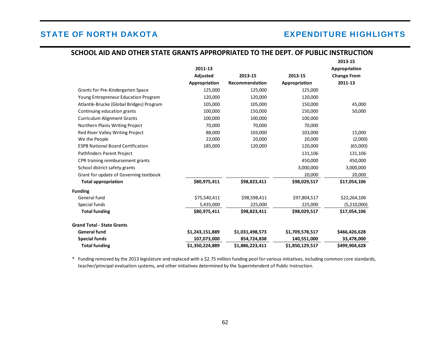# STATE OF NORTH DAKOTA EXPENDITURE HIGHLIGHTS

|                                          | 2011-13<br>Adjusted | 2013-15         | 2013-15         | 2013-15<br>Appropriation<br><b>Change From</b> |
|------------------------------------------|---------------------|-----------------|-----------------|------------------------------------------------|
|                                          | Appropriation       | Recommendation  | Appropriation   | 2011-13                                        |
| Grants for Pre-Kindergarten Space        | 125,000             | 125,000         | 125,000         |                                                |
| Young Entrepreneur Education Program     | 120,000             | 120,000         | 120,000         |                                                |
| Atlantik-Brucke (Global Bridges) Program | 105,000             | 105,000         | 150,000         | 45,000                                         |
| Continuing education grants              | 100,000             | 150,000         | 150,000         | 50,000                                         |
| <b>Curriculum Alignment Grants</b>       | 100,000             | 100,000         | 100,000         |                                                |
| Northern Plains Writing Project          | 70,000              | 70,000          | 70,000          |                                                |
| <b>Red River Valley Writing Project</b>  | 88,000              | 103,000         | 103,000         | 15,000                                         |
| We the People                            | 22,000              | 20,000          | 20,000          | (2,000)                                        |
| <b>ESPB National Board Certification</b> | 185,000             | 120,000         | 120,000         | (65,000)                                       |
| Pathfinders Parent Project               |                     |                 | 131,106         | 131,106                                        |
| CPR training reimbursement grants        |                     |                 | 450,000         | 450,000                                        |
| School district safety grants            |                     |                 | 3,000,000       | 3,000,000                                      |
| Grant for update of Governing textbook   |                     |                 | 20,000          | 20,000                                         |
| <b>Total appropriation</b>               | \$80,975,411        | \$98,823,411    | \$98,029,517    | \$17,054,106                                   |
| <b>Funding</b>                           |                     |                 |                 |                                                |
| General fund                             | \$75,540,411        | \$98,598,411    | \$97,804,517    | \$22,264,106                                   |
| Special funds                            | 5,435,000           | 225,000         | 225,000         | (5,210,000)                                    |
| <b>Total funding</b>                     | \$80,975,411        | \$98,823,411    | \$98,029,517    | \$17,054,106                                   |
| <b>Grand Total - State Grants</b>        |                     |                 |                 |                                                |
| <b>General fund</b>                      | \$1,243,151,889     | \$1,031,498,573 | \$1,709,578,517 | \$466,426,628                                  |
| <b>Special funds</b>                     | 107,073,000         | 854,724,838     | 140,551,000     | 33,478,000                                     |
| <b>Total funding</b>                     | \$1,350,224,889     | \$1,886,223,411 | \$1,850,129,517 | \$499,904,628                                  |

# **SCHOOL AID AND OTHER STATE GRANTS APPROPRIATED TO THE DEPT. OF PUBLIC INSTRUCTION**

\* Funding removed by the 2013 legislature and replaced with a \$2.75 million funding pool for various initiatives, including common core standards, teacher/principal evaluation systems, and other initiatives determined by the Superintendent of Public Instruction.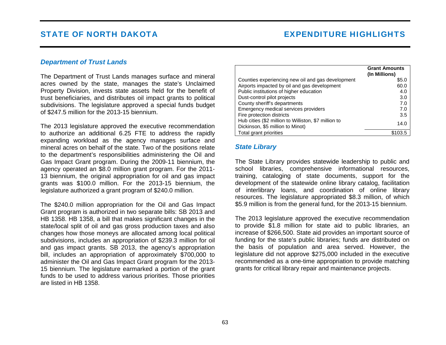## *Department of Trust Lands*

The Department of Trust Lands manages surface and mineral acres owned by the state, manages the state's Unclaimed Property Division, invests state assets held for the benefit of trust beneficiaries, and distributes oil impact grants to political subdivisions. The legislature approved a special funds budget of \$247.5 million for the 2013-15 biennium.

The 2013 legislature approved the executive recommendation to authorize an additional 6.25 FTE to address the rapidly expanding workload as the agency manages surface and mineral acres on behalf of the state. Two of the positions relate to the department's responsibilities administering the Oil and Gas Impact Grant program. During the 2009-11 biennium, the agency operated an \$8.0 million grant program. For the 2011- 13 biennium, the original appropriation for oil and gas impact grants was \$100.0 million. For the 2013-15 biennium, the legislature authorized a grant program of \$240.0 million.

The \$240.0 million appropriation for the Oil and Gas Impact Grant program is authorized in two separate bills: SB 2013 and HB 1358. HB 1358, a bill that makes significant changes in the state/local split of oil and gas gross production taxes and also changes how those moneys are allocated among local political subdivisions, includes an appropriation of \$239.3 million for oil and gas impact grants. SB 2013, the agency's appropriation bill, includes an appropriation of approximately \$700,000 to administer the Oil and Gas Impact Grant program for the 2013- 15 biennium. The legislature earmarked a portion of the grant funds to be used to address various priorities. Those priorities are listed in HB 1358.

|                                                      | <b>Grant Amounts</b><br>(In Millions) |
|------------------------------------------------------|---------------------------------------|
| Counties experiencing new oil and gas development    | \$5.0                                 |
| Airports impacted by oil and gas development         | 60.0                                  |
| Public institutions of higher education              | 4.0                                   |
| Dust-control pilot projects                          | 3.0                                   |
| County sheriff's departments                         | 7.0                                   |
| Emergency medical services providers                 | 7.0                                   |
| Fire protection districts                            | 3.5                                   |
| Hub cities (\$2 million to Williston, \$7 million to | 14.0                                  |
| Dickinson, \$5 million to Minot)                     |                                       |
| Total grant priorities                               |                                       |

## *State Library*

The State Library provides statewide leadership to public and school libraries, comprehensive informational resources, training, cataloging of state documents, support for the development of the statewide online library catalog, facilitation of interlibrary loans, and coordination of online library resources. The legislature appropriated \$8.3 million, of which \$5.9 million is from the general fund, for the 2013-15 biennium.

The 2013 legislature approved the executive recommendation to provide \$1.8 million for state aid to public libraries, an increase of \$266,500. State aid provides an important source of funding for the state's public libraries; funds are distributed on the basis of population and area served. However, the legislature did not approve \$275,000 included in the executive recommended as a one-time appropriation to provide matching grants for critical library repair and maintenance projects.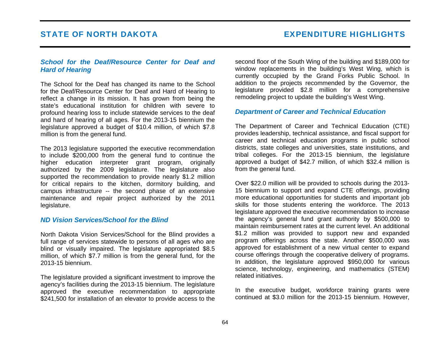# *School for the Deaf/Resource Center for Deaf and Hard of Hearing*

The School for the Deaf has changed its name to the School for the Deaf/Resource Center for Deaf and Hard of Hearing to reflect a change in its mission. It has grown from being the state's educational institution for children with severe to profound hearing loss to include statewide services to the deaf and hard of hearing of all ages. For the 2013-15 biennium the legislature approved a budget of \$10.4 million, of which \$7.8 million is from the general fund.

The 2013 legislature supported the executive recommendation to include \$200,000 from the general fund to continue the higher education interpreter grant program, originally authorized by the 2009 legislature. The legislature also supported the recommendation to provide nearly \$1.2 million for critical repairs to the kitchen, dormitory building, and campus infrastructure -- the second phase of an extensive maintenance and repair project authorized by the 2011 legislature.

## *ND Vision Services/School for the Blind*

North Dakota Vision Services/School for the Blind provides a full range of services statewide to persons of all ages who are blind or visually impaired. The legislature appropriated \$8.5 million, of which \$7.7 million is from the general fund, for the 2013-15 biennium.

The legislature provided a significant investment to improve the agency's facilities during the 2013-15 biennium. The legislature approved the executive recommendation to appropriate \$241,500 for installation of an elevator to provide access to the second floor of the South Wing of the building and \$189,000 for window replacements in the building's West Wing, which is currently occupied by the Grand Forks Public School. In addition to the projects recommended by the Governor, the legislature provided \$2.8 million for a comprehensive remodeling project to update the building's West Wing.

# *Department of Career and Technical Education*

The Department of Career and Technical Education (CTE) provides leadership, technical assistance, and fiscal support for career and technical education programs in public school districts, state colleges and universities, state institutions, and tribal colleges. For the 2013-15 biennium, the legislature approved a budget of \$42.7 million, of which \$32.4 million is from the general fund.

Over \$22.0 million will be provided to schools during the 2013- 15 biennium to support and expand CTE offerings, providing more educational opportunities for students and important job skills for those students entering the workforce. The 2013 legislature approved the executive recommendation to increase the agency's general fund grant authority by \$500,000 to maintain reimbursement rates at the current level. An additional \$1.2 million was provided to support new and expanded program offerings across the state. Another \$500,000 was approved for establishment of a new virtual center to expand course offerings through the cooperative delivery of programs. In addition, the legislature approved \$950,000 for various science, technology, engineering, and mathematics (STEM) related initiatives.

In the executive budget, workforce training grants were continued at \$3.0 million for the 2013-15 biennium. However,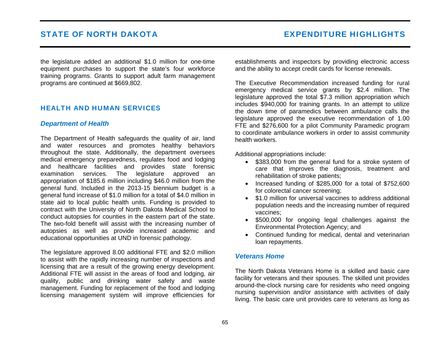the legislature added an additional \$1.0 million for one-time equipment purchases to support the state's four workforce training programs. Grants to support adult farm management programs are continued at \$669,802.

# HEALTH AND HUMAN SERVICES

## *Department of Health*

The Department of Health safeguards the quality of air, land and water resources and promotes healthy behaviors throughout the state. Additionally, the department oversees medical emergency preparedness, regulates food and lodging and healthcare facilities and provides state forensic examination services. The legislature approved an appropriation of \$185.6 million including \$46.0 million from the general fund. Included in the 2013-15 biennium budget is a general fund increase of \$1.0 million for a total of \$4.0 million in state aid to local public health units. Funding is provided to contract with the University of North Dakota Medical School to conduct autopsies for counties in the eastern part of the state. The two-fold benefit will assist with the increasing number of autopsies as well as provide increased academic and educational opportunities at UND in forensic pathology.

The legislature approved 8.00 additional FTE and \$2.0 million to assist with the rapidly increasing number of inspections and licensing that are a result of the growing energy development. Additional FTE will assist in the areas of food and lodging, air quality, public and drinking water safety and waste management. Funding for replacement of the food and lodging licensing management system will improve efficiencies for establishments and inspectors by providing electronic access and the ability to accept credit cards for license renewals.

The Executive Recommendation increased funding for rural emergency medical service grants by \$2.4 million. The legislature approved the total \$7.3 million appropriation which includes \$940,000 for training grants. In an attempt to utilize the down time of paramedics between ambulance calls the legislature approved the executive recommendation of 1.00 FTE and \$276,600 for a pilot Community Paramedic program to coordinate ambulance workers in order to assist community health workers.

Additional appropriations include:

- \$383,000 from the general fund for a stroke system of care that improves the diagnosis, treatment and rehabilitation of stroke patients;
- Increased funding of \$285,000 for a total of \$752,600 for colorectal cancer screening;
- \$1.0 million for universal vaccines to address additional population needs and the increasing number of required vaccines;
- \$500,000 for ongoing legal challenges against the Environmental Protection Agency; and
- Continued funding for medical, dental and veterinarian loan repayments.

## *Veterans Home*

The North Dakota Veterans Home is a skilled and basic care facility for veterans and their spouses. The skilled unit provides around-the-clock nursing care for residents who need ongoing nursing supervision and/or assistance with activities of daily living. The basic care unit provides care to veterans as long as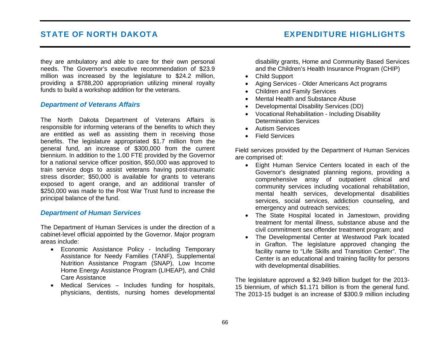they are ambulatory and able to care for their own personal needs. The Governor's executive recommendation of \$23.9 million was increased by the legislature to \$24.2 million, providing a \$788,200 appropriation utilizing mineral royalty funds to build a workshop addition for the veterans.

## *Department of Veterans Affairs*

The North Dakota Department of Veterans Affairs is responsible for informing veterans of the benefits to which they are entitled as well as assisting them in receiving those benefits. The legislature appropriated \$1.7 million from the general fund, an increase of \$300,000 from the current biennium. In addition to the 1.00 FTE provided by the Governor for a national service officer position, \$50,000 was approved to train service dogs to assist veterans having post-traumatic stress disorder; \$50,000 is available for grants to veterans exposed to agent orange, and an additional transfer of \$250,000 was made to the Post War Trust fund to increase the principal balance of the fund.

## *Department of Human Services*

The Department of Human Services is under the direction of a cabinet-level official appointed by the Governor. Major program areas include:

- Economic Assistance Policy Including Temporary Assistance for Needy Families (TANF), Supplemental Nutrition Assistance Program (SNAP), Low Income Home Energy Assistance Program (LIHEAP), and Child Care Assistance
- Medical Services Includes funding for hospitals, physicians, dentists, nursing homes developmental

disability grants, Home and Community Based Services and the Children's Health Insurance Program (CHIP)

- Child Support
- Aging Services Older Americans Act programs
- Children and Family Services
- Mental Health and Substance Abuse
- Developmental Disability Services (DD)
- Vocational Rehabilitation Including Disability Determination Services
- Autism Services
- Field Services

Field services provided by the Department of Human Services are comprised of:

- Eight Human Service Centers located in each of the Governor's designated planning regions, providing a comprehensive array of outpatient clinical and community services including vocational rehabilitation, mental health services, developmental disabilities services, social services, addiction counseling, and emergency and outreach services;
- The State Hospital located in Jamestown, providing treatment for mental illness, substance abuse and the civil commitment sex offender treatment program; and
- The Developmental Center at Westwood Park located in Grafton. The legislature approved changing the facility name to "Life Skills and Transition Center". The Center is an educational and training facility for persons with developmental disabilities.

The legislature approved a \$2.949 billion budget for the 2013- 15 biennium, of which \$1.171 billion is from the general fund. The 2013-15 budget is an increase of \$300.9 million including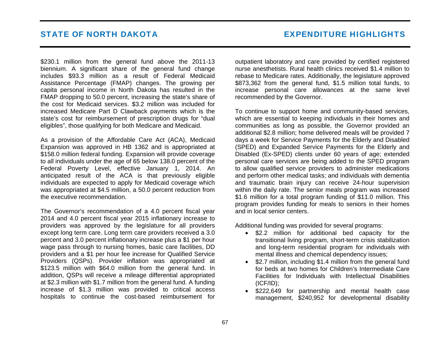\$230.1 million from the general fund above the 2011-13 biennium. A significant share of the general fund change includes \$93.3 million as a result of Federal Medicaid Assistance Percentage (FMAP) changes. The growing per capita personal income in North Dakota has resulted in the FMAP dropping to 50.0 percent, increasing the state's share of the cost for Medicaid services. \$3.2 million was included for increased Medicare Part D Clawback payments which is the state's cost for reimbursement of prescription drugs for "dual eligibles", those qualifying for both Medicare and Medicaid.

As a provision of the Affordable Care Act (ACA), Medicaid Expansion was approved in HB 1362 and is appropriated at \$158.0 million federal funding. Expansion will provide coverage to all individuals under the age of 65 below 138.0 percent of the Federal Poverty Level, effective January 1, 2014. An anticipated result of the ACA is that previously eligible individuals are expected to apply for Medicaid coverage which was appropriated at \$4.5 million, a 50.0 percent reduction from the executive recommendation.

The Governor's recommendation of a 4.0 percent fiscal year 2014 and 4.0 percent fiscal year 2015 inflationary increase to providers was approved by the legislature for all providers except long term care. Long term care providers received a 3.0 percent and 3.0 percent inflationary increase plus a \$1 per hour wage pass through to nursing homes, basic care facilities, DD providers and a \$1 per hour fee increase for Qualified Service Providers (QSPs). Provider inflation was appropriated at \$123.5 million with \$64.0 million from the general fund. In addition, QSPs will receive a mileage differential appropriated at \$2.3 million with \$1.7 million from the general fund. A funding increase of \$1.3 million was provided to critical access hospitals to continue the cost-based reimbursement for outpatient laboratory and care provided by certified registered nurse anesthetists. Rural health clinics received \$1.4 million to rebase to Medicare rates. Additionally, the legislature approved \$873,362 from the general fund, \$1.5 million total funds, to increase personal care allowances at the same level recommended by the Governor.

To continue to support home and community-based services, which are essential to keeping individuals in their homes and communities as long as possible, the Governor provided an additional \$2.8 million; home delivered meals will be provided 7 days a week for Service Payments for the Elderly and Disabled (SPED) and Expanded Service Payments for the Elderly and Disabled (Ex-SPED) clients under 60 years of age; extended personal care services are being added to the SPED program to allow qualified service providers to administer medications and perform other medical tasks; and individuals with dementia and traumatic brain injury can receive 24-hour supervision within the daily rate. The senior meals program was increased \$1.6 million for a total program funding of \$11.0 million. This program provides funding for meals to seniors in their homes and in local senior centers.

Additional funding was provided for several programs:

- \$2.2 million for additional bed capacity for the transitional living program, short-term crisis stabilization and long-term residential program for individuals with mental illness and chemical dependency issues;
- \$2.7 million, including \$1.4 million from the general fund for beds at two homes for Children's Intermediate Care Facilities for Individuals with Intellectual Disabilities (ICF/ID);
- \$222,649 for partnership and mental health case management, \$240,952 for developmental disability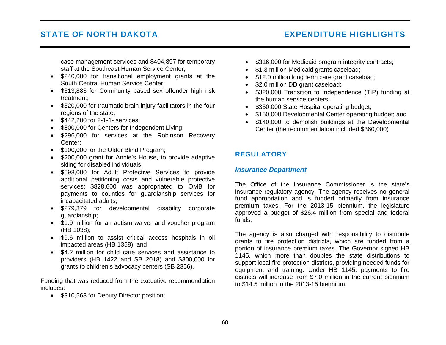# STATE OF NORTH DAKOTA EXPENDITURE HIGHLIGHTS

case management services and \$404,897 for temporary staff at the Southeast Human Service Center;

- \$240,000 for transitional employment grants at the South Central Human Service Center;
- \$313,883 for Community based sex offender high risk treatment;
- \$320,000 for traumatic brain injury facilitators in the four regions of the state;
- \$442,200 for 2-1-1- services;
- \$800,000 for Centers for Independent Living;
- \$296,000 for services at the Robinson Recovery Center;
- \$100,000 for the Older Blind Program;
- \$200,000 grant for Annie's House, to provide adaptive skiing for disabled individuals;
- \$598,000 for Adult Protective Services to provide additional petitioning costs and vulnerable protective services; \$828,600 was appropriated to OMB for payments to counties for guardianship services for incapacitated adults;
- \$279,379 for developmental disability corporate guardianship;
- \$1.9 million for an autism waiver and voucher program (HB 1038);
- \$9.6 million to assist critical access hospitals in oil impacted areas (HB 1358); and
- \$4.2 million for child care services and assistance to providers (HB 1422 and SB 2018) and \$300,000 for grants to children's advocacy centers (SB 2356).

Funding that was reduced from the executive recommendation includes:

• \$310,563 for Deputy Director position;

- \$316,000 for Medicaid program integrity contracts;
- \$1.3 million Medicaid grants caseload;
- \$12.0 million long term care grant caseload;
- \$2.0 million DD grant caseload;
- \$320,000 Transition to Independence (TIP) funding at the human service centers;
- \$350,000 State Hospital operating budget;
- \$150,000 Developmental Center operating budget; and
- \$140,000 to demolish buildings at the Developmental Center (the recommendation included \$360,000)

## **REGULATORY**

### *Insurance Department*

The Office of the Insurance Commissioner is the state's insurance regulatory agency. The agency receives no general fund appropriation and is funded primarily from insurance premium taxes. For the 2013-15 biennium, the legislature approved a budget of \$26.4 million from special and federal funds.

The agency is also charged with responsibility to distribute grants to fire protection districts, which are funded from a portion of insurance premium taxes. The Governor signed HB 1145, which more than doubles the state distributions to support local fire protection districts, providing needed funds for equipment and training. Under HB 1145, payments to fire districts will increase from \$7.0 million in the current biennium to \$14.5 million in the 2013-15 biennium.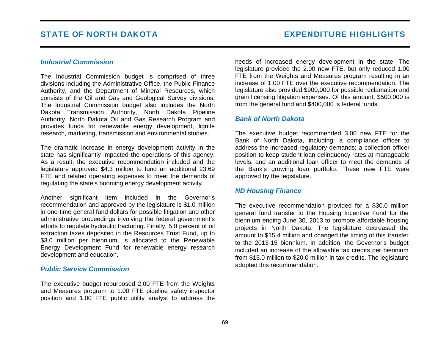#### *Industrial Commission*

The Industrial Commission budget is comprised of three divisions including the Administrative Office, the Public Finance Authority, and the Department of Mineral Resources, which consists of the Oil and Gas and Geological Survey divisions. The Industrial Commission budget also includes the North Dakota Transmission Authority, North Dakota Pipeline Authority, North Dakota Oil and Gas Research Program and provides funds for renewable energy development, lignite research, marketing, transmission and environmental studies.

The dramatic increase in energy development activity in the state has significantly impacted the operations of this agency. As a result, the executive recommendation included and the legislature approved \$4.3 million to fund an additional 23.69 FTE and related operating expenses to meet the demands of regulating the state's booming energy development activity.

Another significant item included in the Governor's recommendation and approved by the legislature is \$1.0 million in one-time general fund dollars for possible litigation and other administrative proceedings involving the federal government's efforts to regulate hydraulic fracturing. Finally, 5.0 percent of oil extraction taxes deposited in the Resources Trust Fund, up to \$3.0 million per biennium, is allocated to the Renewable Energy Development Fund for renewable energy research development and education.

#### *Public Service Commission*

The executive budget repurposed 2.00 FTE from the Weights and Measures program to 1.00 FTE pipeline safety inspector position and 1.00 FTE public utility analyst to address the needs of increased energy development in the state. The legislature provided the 2.00 new FTE, but only reduced 1.00 FTE from the Weights and Measures program resulting in an increase of 1.00 FTE over the executive recommendation. The legislature also provided \$900,000 for possible reclamation and grain licensing litigation expenses. Of this amount, \$500,000 is from the general fund and \$400,000 is federal funds.

#### *Bank of North Dakota*

The executive budget recommended 3.00 new FTE for the Bank of North Dakota, including: a compliance officer to address the increased regulatory demands; a collection officer position to keep student loan delinquency rates at manageable levels; and an additional loan officer to meet the demands of the Bank's growing loan portfolio. These new FTE were approved by the legislature.

### *ND Housing Finance*

The executive recommendation provided for a \$30.0 million general fund transfer to the Housing Incentive Fund for the biennium ending June 30, 2013 to promote affordable housing projects in North Dakota. The legislature decreased the amount to \$15.4 million and changed the timing of this transfer to the 2013-15 biennium. In addition, the Governor's budget included an increase of the allowable tax credits per biennium from \$15.0 million to \$20.0 million in tax credits. The legislature adopted this recommendation.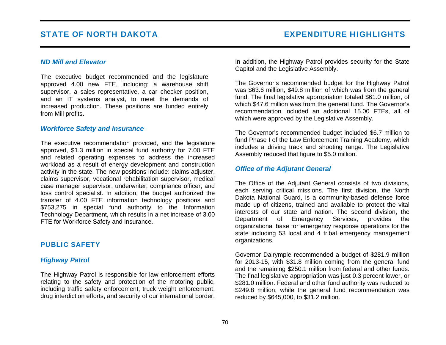#### *ND Mill and Elevator*

The executive budget recommended and the legislature approved 4.00 new FTE, including: a warehouse shift supervisor, a sales representative, a car checker position, and an IT systems analyst, to meet the demands of increased production. These positions are funded entirely from Mill profits**.**

#### *Workforce Safety and Insurance*

The executive recommendation provided, and the legislature approved, \$1.3 million in special fund authority for 7.00 FTE and related operating expenses to address the increased workload as a result of energy development and construction activity in the state. The new positions include: claims adjuster, claims supervisor, vocational rehabilitation supervisor, medical case manager supervisor, underwriter, compliance officer, and loss control specialist. In addition, the budget authorized the transfer of 4.00 FTE information technology positions and \$753,275 in special fund authority to the Information Technology Department, which results in a net increase of 3.00 FTE for Workforce Safety and Insurance.

#### PUBLIC SAFETY

#### *Highway Patrol*

The Highway Patrol is responsible for law enforcement efforts relating to the safety and protection of the motoring public, including traffic safety enforcement, truck weight enforcement, drug interdiction efforts, and security of our international border. In addition, the Highway Patrol provides security for the State Capitol and the Legislative Assembly.

The Governor's recommended budget for the Highway Patrol was \$63.6 million, \$49.8 million of which was from the general fund. The final legislative appropriation totaled \$61.0 million, of which \$47.6 million was from the general fund. The Governor's recommendation included an additional 15.00 FTEs, all of which were approved by the Legislative Assembly.

The Governor's recommended budget included \$6.7 million to fund Phase I of the Law Enforcement Training Academy, which includes a driving track and shooting range. The Legislative Assembly reduced that figure to \$5.0 million.

#### *Office of the Adjutant General*

The Office of the Adjutant General consists of two divisions, each serving critical missions. The first division, the North Dakota National Guard, is a community-based defense force made up of citizens, trained and available to protect the vital interests of our state and nation. The second division, the Department of Emergency Services, provides the organizational base for emergency response operations for the state including 53 local and 4 tribal emergency management organizations.

Governor Dalrymple recommended a budget of \$281.9 million for 2013-15, with \$31.8 million coming from the general fund and the remaining \$250.1 million from federal and other funds. The final legislative appropriation was just 0.3 percent lower, or \$281.0 million. Federal and other fund authority was reduced to \$249.8 million, while the general fund recommendation was reduced by \$645,000, to \$31.2 million.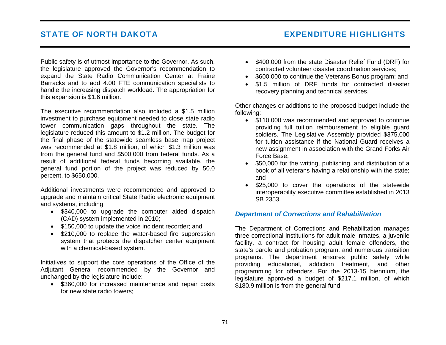# STATE OF NORTH DAKOTA EXPENDITURE HIGHLIGHTS

Public safety is of utmost importance to the Governor. As such, the legislature approved the Governor's recommendation to expand the State Radio Communication Center at Fraine Barracks and to add 4.00 FTE communication specialists to handle the increasing dispatch workload. The appropriation for this expansion is \$1.6 million.

The executive recommendation also included a \$1.5 million investment to purchase equipment needed to close state radio tower communication gaps throughout the state. The legislature reduced this amount to \$1.2 million. The budget for the final phase of the statewide seamless base map project was recommended at \$1.8 million, of which \$1.3 million was from the general fund and \$500,000 from federal funds. As a result of additional federal funds becoming available, the general fund portion of the project was reduced by 50.0 percent, to \$650,000.

Additional investments were recommended and approved to upgrade and maintain critical State Radio electronic equipment and systems, including:

- \$340,000 to upgrade the computer aided dispatch (CAD) system implemented in 2010;
- \$150,000 to update the voice incident recorder; and
- \$210,000 to replace the water-based fire suppression system that protects the dispatcher center equipment with a chemical-based system.

Initiatives to support the core operations of the Office of the Adjutant General recommended by the Governor and unchanged by the legislature include:

• \$360,000 for increased maintenance and repair costs for new state radio towers;

- \$400,000 from the state Disaster Relief Fund (DRF) for contracted volunteer disaster coordination services;
- \$600,000 to continue the Veterans Bonus program; and
- \$1.5 million of DRF funds for contracted disaster recovery planning and technical services.

Other changes or additions to the proposed budget include the following:

- \$110,000 was recommended and approved to continue providing full tuition reimbursement to eligible guard soldiers. The Legislative Assembly provided \$375,000 for tuition assistance if the National Guard receives a new assignment in association with the Grand Forks Air Force Base;
- \$50,000 for the writing, publishing, and distribution of a book of all veterans having a relationship with the state; and
- \$25,000 to cover the operations of the statewide interoperability executive committee established in 2013 SB 2353.

### *Department of Corrections and Rehabilitation*

The Department of Corrections and Rehabilitation manages three correctional institutions for adult male inmates, a juvenile facility, a contract for housing adult female offenders, the state's parole and probation program, and numerous transition programs. The department ensures public safety while providing educational, addiction treatment, and other programming for offenders. For the 2013-15 biennium, the legislature approved a budget of \$217.1 million, of which \$180.9 million is from the general fund.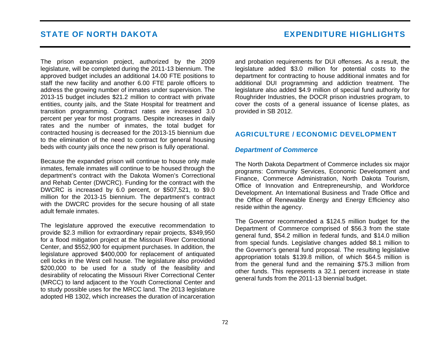## STATE OF NORTH DAKOTA EXPENDITURE HIGHLIGHTS

The prison expansion project, authorized by the 2009 legislature, will be completed during the 2011-13 biennium. The approved budget includes an additional 14.00 FTE positions to staff the new facility and another 6.00 FTE parole officers to address the growing number of inmates under supervision. The 2013-15 budget includes \$21.2 million to contract with private entities, county jails, and the State Hospital for treatment and transition programming. Contract rates are increased 3.0 percent per year for most programs. Despite increases in daily rates and the number of inmates, the total budget for contracted housing is decreased for the 2013-15 biennium due to the elimination of the need to contract for general housing beds with county jails once the new prison is fully operational.

Because the expanded prison will continue to house only male inmates, female inmates will continue to be housed through the department's contract with the Dakota Women's Correctional and Rehab Center (DWCRC). Funding for the contract with the DWCRC is increased by 6.0 percent, or \$507,521, to \$9.0 million for the 2013-15 biennium. The department's contract with the DWCRC provides for the secure housing of all state adult female inmates.

The legislature approved the executive recommendation to provide \$2.3 million for extraordinary repair projects, \$349,950 for a flood mitigation project at the Missouri River Correctional Center, and \$552,900 for equipment purchases. In addition, the legislature approved \$400,000 for replacement of antiquated cell locks in the West cell house. The legislature also provided \$200,000 to be used for a study of the feasibility and desirability of relocating the Missouri River Correctional Center (MRCC) to land adjacent to the Youth Correctional Center and to study possible uses for the MRCC land. The 2013 legislature adopted HB 1302, which increases the duration of incarceration and probation requirements for DUI offenses. As a result, the legislature added \$3.0 million for potential costs to the department for contracting to house additional inmates and for additional DUI programming and addiction treatment. The legislature also added \$4.9 million of special fund authority for Roughrider Industries, the DOCR prison industries program, to cover the costs of a general issuance of license plates, as provided in SB 2012.

### AGRICULTURE / ECONOMIC DEVELOPMENT

#### *Department of Commerce*

The North Dakota Department of Commerce includes six major programs: Community Services, Economic Development and Finance, Commerce Administration, North Dakota Tourism, Office of Innovation and Entrepreneurship, and Workforce Development. An International Business and Trade Office and the Office of Renewable Energy and Energy Efficiency also reside within the agency.

The Governor recommended a \$124.5 million budget for the Department of Commerce comprised of \$56.3 from the state general fund, \$54.2 million in federal funds, and \$14.0 million from special funds. Legislative changes added \$8.1 million to the Governor's general fund proposal. The resulting legislative appropriation totals \$139.8 million, of which \$64.5 million is from the general fund and the remaining \$75.3 million from other funds. This represents a 32.1 percent increase in state general funds from the 2011-13 biennial budget.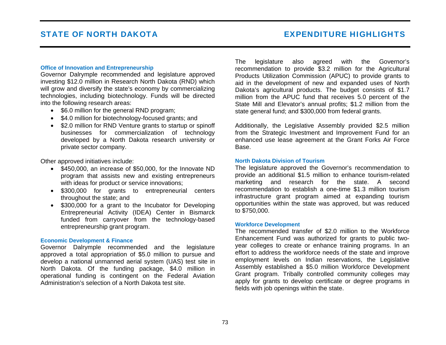#### **Office of Innovation and Entrepreneurship**

Governor Dalrymple recommended and legislature approved investing \$12.0 million in Research North Dakota (RND) which will grow and diversify the state's economy by commercializing technologies, including biotechnology. Funds will be directed into the following research areas:

- \$6.0 million for the general RND program;
- \$4.0 million for biotechnology-focused grants; and
- \$2.0 million for RND Venture grants to startup or spinoff businesses for commercialization of technology developed by a North Dakota research university or private sector company.

Other approved initiatives include:

- \$450,000, an increase of \$50,000, for the Innovate ND program that assists new and existing entrepreneurs with ideas for product or service innovations;
- \$300,000 for grants to entrepreneurial centers throughout the state; and
- \$300,000 for a grant to the Incubator for Developing Entrepreneurial Activity (IDEA) Center in Bismarck funded from carryover from the technology-based entrepreneurship grant program.

#### **Economic Development & Finance**

Governor Dalrymple recommended and the legislature approved a total appropriation of \$5.0 million to pursue and develop a national unmanned aerial system (UAS) test site in North Dakota. Of the funding package, \$4.0 million in operational funding is contingent on the Federal Aviation Administration's selection of a North Dakota test site.

The legislature also agreed with the Governor's recommendation to provide \$3.2 million for the Agricultural Products Utilization Commission (APUC) to provide grants to aid in the development of new and expanded uses of North Dakota's agricultural products. The budget consists of \$1.7 million from the APUC fund that receives 5.0 percent of the State Mill and Elevator's annual profits; \$1.2 million from the state general fund; and \$300,000 from federal grants.

Additionally, the Legislative Assembly provided \$2.5 million from the Strategic Investment and Improvement Fund for an enhanced use lease agreement at the Grant Forks Air Force Base.

#### **North Dakota Division of Tourism**

The legislature approved the Governor's recommendation to provide an additional \$1.5 million to enhance tourism-related marketing and research for the state. A second recommendation to establish a one-time \$1.3 million tourism infrastructure grant program aimed at expanding tourism opportunities within the state was approved, but was reduced to \$750,000.

#### **Workforce Development**

The recommended transfer of \$2.0 million to the Workforce Enhancement Fund was authorized for grants to public twoyear colleges to create or enhance training programs. In an effort to address the workforce needs of the state and improve employment levels on Indian reservations, the Legislative Assembly established a \$5.0 million Workforce Development Grant program. Tribally controlled community colleges may apply for grants to develop certificate or degree programs in fields with job openings within the state.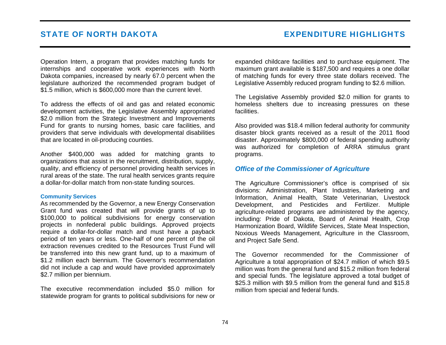Operation Intern, a program that provides matching funds for internships and cooperative work experiences with North Dakota companies, increased by nearly 67.0 percent when the legislature authorized the recommended program budget of \$1.5 million, which is \$600,000 more than the current level.

To address the effects of oil and gas and related economic development activities, the Legislative Assembly appropriated \$2.0 million from the Strategic Investment and Improvements Fund for grants to nursing homes, basic care facilities, and providers that serve individuals with developmental disabilities that are located in oil-producing counties.

Another \$400,000 was added for matching grants to organizations that assist in the recruitment, distribution, supply, quality, and efficiency of personnel providing health services in rural areas of the state. The rural health services grants require a dollar-for-dollar match from non-state funding sources.

#### **Community Services**

As recommended by the Governor, a new Energy Conservation Grant fund was created that will provide grants of up to \$100,000 to political subdivisions for energy conservation projects in nonfederal public buildings. Approved projects require a dollar-for-dollar match and must have a payback period of ten years or less. One-half of one percent of the oil extraction revenues credited to the Resources Trust Fund will be transferred into this new grant fund, up to a maximum of \$1.2 million each biennium. The Governor's recommendation did not include a cap and would have provided approximately \$2.7 million per biennium.

The executive recommendation included \$5.0 million for statewide program for grants to political subdivisions for new or expanded childcare facilities and to purchase equipment. The maximum grant available is \$187,500 and requires a one dollar of matching funds for every three state dollars received. The Legislative Assembly reduced program funding to \$2.6 million.

The Legislative Assembly provided \$2.0 million for grants to homeless shelters due to increasing pressures on these facilities.

Also provided was \$18.4 million federal authority for community disaster block grants received as a result of the 2011 flood disaster. Approximately \$800,000 of federal spending authority was authorized for completion of ARRA stimulus grant programs.

### *Office of the Commissioner of Agriculture*

The Agriculture Commissioner's office is comprised of six divisions: Administration, Plant Industries, Marketing and Information, Animal Health, State Veterinarian, Livestock Development, and Pesticides and Fertilizer. Multiple agriculture-related programs are administered by the agency, including: Pride of Dakota, Board of Animal Health, Crop Harmonization Board, Wildlife Services, State Meat Inspection, Noxious Weeds Management, Agriculture in the Classroom, and Project Safe Send.

The Governor recommended for the Commissioner of Agriculture a total appropriation of \$24.7 million of which \$9.5 million was from the general fund and \$15.2 million from federal and special funds. The legislature approved a total budget of \$25.3 million with \$9.5 million from the general fund and \$15.8 million from special and federal funds.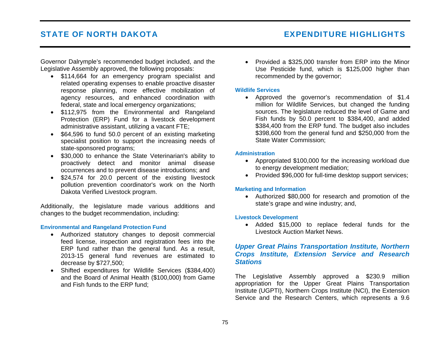# STATE OF NORTH DAKOTA EXPENDITURE HIGHLIGHTS

Governor Dalrymple's recommended budget included, and the Legislative Assembly approved, the following proposals:

- \$114,664 for an emergency program specialist and related operating expenses to enable proactive disaster response planning, more effective mobilization of agency resources, and enhanced coordination with federal, state and local emergency organizations;
- \$112,975 from the Environmental and Rangeland Protection (ERP) Fund for a livestock development administrative assistant, utilizing a vacant FTE;
- \$64,596 to fund 50.0 percent of an existing marketing specialist position to support the increasing needs of state-sponsored programs;
- \$30,000 to enhance the State Veterinarian's ability to proactively detect and monitor animal disease occurrences and to prevent disease introductions; and
- \$24,574 for 20.0 percent of the existing livestock pollution prevention coordinator's work on the North Dakota Verified Livestock program.

Additionally, the legislature made various additions and changes to the budget recommendation, including:

#### **Environmental and Rangeland Protection Fund**

- Authorized statutory changes to deposit commercial feed license, inspection and registration fees into the ERP fund rather than the general fund. As a result, 2013-15 general fund revenues are estimated to decrease by \$727,500;
- Shifted expenditures for Wildlife Services (\$384,400) and the Board of Animal Health (\$100,000) from Game and Fish funds to the ERP fund;

• Provided a \$325,000 transfer from ERP into the Minor Use Pesticide fund, which is \$125,000 higher than recommended by the governor;

#### **Wildlife Services**

• Approved the governor's recommendation of \$1.4 million for Wildlife Services, but changed the funding sources. The legislature reduced the level of Game and Fish funds by 50.0 percent to \$384,400, and added \$384,400 from the ERP fund. The budget also includes \$398,600 from the general fund and \$250,000 from the State Water Commission;

#### **Administration**

- Appropriated \$100,000 for the increasing workload due to energy development mediation;
- Provided \$96,000 for full-time desktop support services;

#### **Marketing and Information**

• Authorized \$80,000 for research and promotion of the state's grape and wine industry; and,

#### **Livestock Development**

• Added \$15,000 to replace federal funds for the Livestock Auction Market News.

### *Upper Great Plains Transportation Institute, Northern Crops Institute, Extension Service and Research Stations*

The Legislative Assembly approved a \$230.9 million appropriation for the Upper Great Plains Transportation Institute (UGPTI), Northern Crops Institute (NCI), the Extension Service and the Research Centers, which represents a 9.6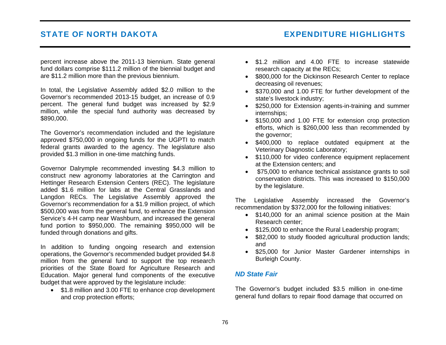# STATE OF NORTH DAKOTA **EXPENDITURE HIGHLIGHTS**

percent increase above the 2011-13 biennium. State general fund dollars comprise \$111.2 million of the biennial budget and are \$11.2 million more than the previous biennium.

In total, the Legislative Assembly added \$2.0 million to the Governor's recommended 2013-15 budget, an increase of 0.9 percent. The general fund budget was increased by \$2.9 million, while the special fund authority was decreased by \$890,000.

The Governor's recommendation included and the legislature approved \$750,000 in ongoing funds for the UGPTI to match federal grants awarded to the agency. The legislature also provided \$1.3 million in one-time matching funds.

Governor Dalrymple recommended investing \$4.3 million to construct new agronomy laboratories at the Carrington and Hettinger Research Extension Centers (REC). The legislature added \$1.6 million for labs at the Central Grasslands and Langdon RECs. The Legislative Assembly approved the Governor's recommendation for a \$1.9 million project, of which \$500,000 was from the general fund, to enhance the Extension Service's 4-H camp near Washburn, and increased the general fund portion to \$950,000. The remaining \$950,000 will be funded through donations and gifts.

In addition to funding ongoing research and extension operations, the Governor's recommended budget provided \$4.8 million from the general fund to support the top research priorities of the State Board for Agriculture Research and Education. Major general fund components of the executive budget that were approved by the legislature include:

• \$1.8 million and 3.00 FTE to enhance crop development and crop protection efforts;

- \$1.2 million and 4.00 FTE to increase statewide research capacity at the RECs;
- \$800,000 for the Dickinson Research Center to replace decreasing oil revenues;
- \$370,000 and 1.00 FTE for further development of the state's livestock industry;
- \$250,000 for Extension agents-in-training and summer internships;
- \$150,000 and 1.00 FTE for extension crop protection efforts, which is \$260,000 less than recommended by the governor;
- \$400,000 to replace outdated equipment at the Veterinary Diagnostic Laboratory;
- \$110,000 for video conference equipment replacement at the Extension centers; and
- \$75,000 to enhance technical assistance grants to soil conservation districts. This was increased to \$150,000 by the legislature.

The Legislative Assembly increased the Governor's recommendation by \$372,000 for the following initiatives:

- \$140,000 for an animal science position at the Main Research center;
- \$125,000 to enhance the Rural Leadership program;
- \$82,000 to study flooded agricultural production lands; and
- \$25,000 for Junior Master Gardener internships in Burleigh County.

### *ND State Fair*

The Governor's budget included \$3.5 million in one-time general fund dollars to repair flood damage that occurred on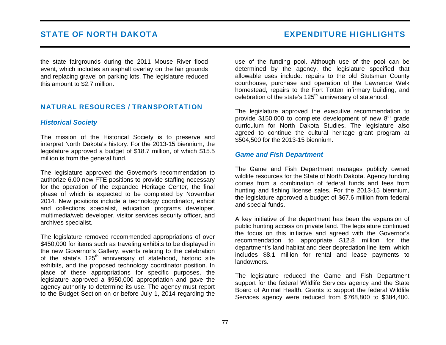the state fairgrounds during the 2011 Mouse River flood event, which includes an asphalt overlay on the fair grounds and replacing gravel on parking lots. The legislature reduced this amount to \$2.7 million.

### NATURAL RESOURCES / TRANSPORTATION

### *Historical Society*

The mission of the Historical Society is to preserve and interpret North Dakota's history. For the 2013-15 biennium, the legislature approved a budget of \$18.7 million, of which \$15.5 million is from the general fund.

The legislature approved the Governor's recommendation to authorize 6.00 new FTE positions to provide staffing necessary for the operation of the expanded Heritage Center, the final phase of which is expected to be completed by November 2014. New positions include a technology coordinator, exhibit and collections specialist, education programs developer, multimedia/web developer, visitor services security officer, and archives specialist.

The legislature removed recommended appropriations of over \$450,000 for items such as traveling exhibits to be displayed in the new Governor's Gallery, events relating to the celebration of the state's 125<sup>th</sup> anniversary of statehood, historic site exhibits, and the proposed technology coordinator position. In place of these appropriations for specific purposes, the legislature approved a \$950,000 appropriation and gave the agency authority to determine its use. The agency must report to the Budget Section on or before July 1, 2014 regarding the use of the funding pool. Although use of the pool can be determined by the agency, the legislature specified that allowable uses include: repairs to the old Stutsman County courthouse, purchase and operation of the Lawrence Welk homestead, repairs to the Fort Totten infirmary building, and celebration of the state's 125<sup>th</sup> anniversary of statehood.

The legislature approved the executive recommendation to provide \$150,000 to complete development of new  $8<sup>th</sup>$  grade curriculum for North Dakota Studies. The legislature also agreed to continue the cultural heritage grant program at \$504,500 for the 2013-15 biennium.

#### *Game and Fish Department*

The Game and Fish Department manages publicly owned wildlife resources for the State of North Dakota. Agency funding comes from a combination of federal funds and fees from hunting and fishing license sales. For the 2013-15 biennium, the legislature approved a budget of \$67.6 million from federal and special funds.

A key initiative of the department has been the expansion of public hunting access on private land. The legislature continued the focus on this initiative and agreed with the Governor's recommendation to appropriate \$12.8 million for the department's land habitat and deer depredation line item, which includes \$8.1 million for rental and lease payments to landowners.

The legislature reduced the Game and Fish Department support for the federal Wildlife Services agency and the State Board of Animal Health. Grants to support the federal Wildlife Services agency were reduced from \$768,800 to \$384,400.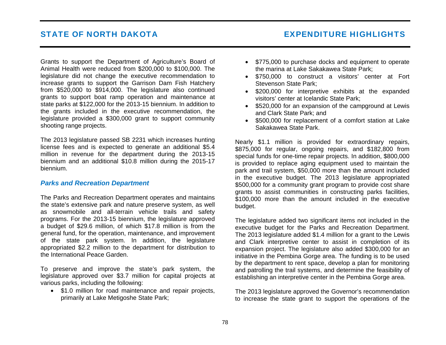## STATE OF NORTH DAKOTA EXPENDITURE HIGHLIGHTS

Grants to support the Department of Agriculture's Board of Animal Health were reduced from \$200,000 to \$100,000. The legislature did not change the executive recommendation to increase grants to support the Garrison Dam Fish Hatchery from \$520,000 to \$914,000. The legislature also continued grants to support boat ramp operation and maintenance at state parks at \$122,000 for the 2013-15 biennium. In addition to the grants included in the executive recommendation, the legislature provided a \$300,000 grant to support community shooting range projects.

The 2013 legislature passed SB 2231 which increases hunting license fees and is expected to generate an additional \$5.4 million in revenue for the department during the 2013-15 biennium and an additional \$10.8 million during the 2015-17 biennium.

#### *Parks and Recreation Department*

The Parks and Recreation Department operates and maintains the state's extensive park and nature preserve system, as well as snowmobile and all-terrain vehicle trails and safety programs. For the 2013-15 biennium, the legislature approved a budget of \$29.6 million, of which \$17.8 million is from the general fund, for the operation, maintenance, and improvement of the state park system. In addition, the legislature appropriated \$2.2 million to the department for distribution to the International Peace Garden.

To preserve and improve the state's park system, the legislature approved over \$3.7 million for capital projects at various parks, including the following:

• \$1.0 million for road maintenance and repair projects. primarily at Lake Metigoshe State Park;

- \$775,000 to purchase docks and equipment to operate the marina at Lake Sakakawea State Park;
- \$750,000 to construct a visitors' center at Fort Stevenson State Park;
- \$200,000 for interpretive exhibits at the expanded visitors' center at Icelandic State Park;
- \$520,000 for an expansion of the campground at Lewis and Clark State Park; and
- \$500,000 for replacement of a comfort station at Lake Sakakawea State Park.

Nearly \$1.1 million is provided for extraordinary repairs, \$875,000 for regular, ongoing repairs, and \$182,800 from special funds for one-time repair projects. In addition, \$800,000 is provided to replace aging equipment used to maintain the park and trail system, \$50,000 more than the amount included in the executive budget. The 2013 legislature appropriated \$500,000 for a community grant program to provide cost share grants to assist communities in constructing parks facilities, \$100,000 more than the amount included in the executive budget.

The legislature added two significant items not included in the executive budget for the Parks and Recreation Department. The 2013 legislature added \$1.4 million for a grant to the Lewis and Clark interpretive center to assist in completion of its expansion project. The legislature also added \$300,000 for an initiative in the Pembina Gorge area. The funding is to be used by the department to rent space, develop a plan for monitoring and patrolling the trail systems, and determine the feasibility of establishing an interpretive center in the Pembina Gorge area.

The 2013 legislature approved the Governor's recommendation to increase the state grant to support the operations of the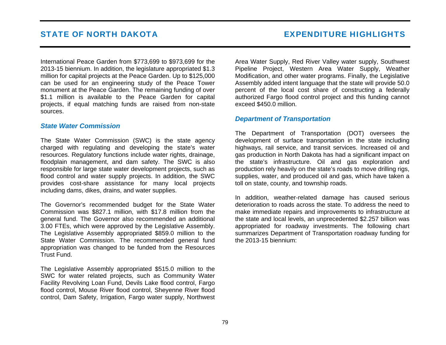International Peace Garden from \$773,699 to \$973,699 for the 2013-15 biennium. In addition, the legislature appropriated \$1.3 million for capital projects at the Peace Garden. Up to \$125,000 can be used for an engineering study of the Peace Tower monument at the Peace Garden. The remaining funding of over \$1.1 million is available to the Peace Garden for capital projects, if equal matching funds are raised from non-state sources.

#### *State Water Commission*

The State Water Commission (SWC) is the state agency charged with regulating and developing the state's water resources. Regulatory functions include water rights, drainage, floodplain management, and dam safety. The SWC is also responsible for large state water development projects, such as flood control and water supply projects. In addition, the SWC provides cost-share assistance for many local projects including dams, dikes, drains, and water supplies.

The Governor's recommended budget for the State Water Commission was \$827.1 million, with \$17.8 million from the general fund. The Governor also recommended an additional 3.00 FTEs, which were approved by the Legislative Assembly. The Legislative Assembly appropriated \$859.0 million to the State Water Commission. The recommended general fund appropriation was changed to be funded from the Resources Trust Fund.

The Legislative Assembly appropriated \$515.0 million to the SWC for water related projects, such as Community Water Facility Revolving Loan Fund, Devils Lake flood control, Fargo flood control, Mouse River flood control, Sheyenne River flood control, Dam Safety, Irrigation, Fargo water supply, Northwest Area Water Supply, Red River Valley water supply, Southwest Pipeline Project, Western Area Water Supply, Weather Modification, and other water programs. Finally, the Legislative Assembly added intent language that the state will provide 50.0 percent of the local cost share of constructing a federally authorized Fargo flood control project and this funding cannot exceed \$450.0 million.

#### *Department of Transportation*

The Department of Transportation (DOT) oversees the development of surface transportation in the state including highways, rail service, and transit services. Increased oil and gas production in North Dakota has had a significant impact on the state's infrastructure. Oil and gas exploration and production rely heavily on the state's roads to move drilling rigs, supplies, water, and produced oil and gas, which have taken a toll on state, county, and township roads.

In addition, weather-related damage has caused serious deterioration to roads across the state. To address the need to make immediate repairs and improvements to infrastructure at the state and local levels, an unprecedented \$2.257 billion was appropriated for roadway investments. The following chart summarizes Department of Transportation roadway funding for the 2013-15 biennium: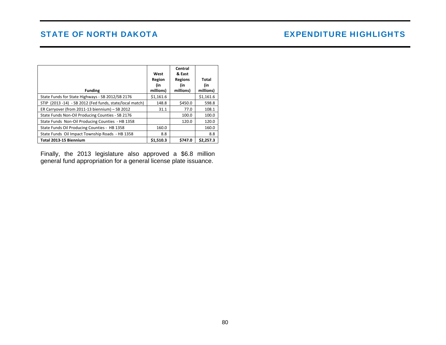|                                                          | West<br>Region<br>(in | Central<br>& East<br><b>Regions</b><br>(in | Total<br>(in |
|----------------------------------------------------------|-----------------------|--------------------------------------------|--------------|
| <b>Funding</b>                                           | millions)             | millions)                                  | millions)    |
| State Funds for State Highways - SB 2012/SB 2176         | \$1,161.6             |                                            | \$1,161.6    |
| STIP (2013 -14) - SB 2012 (Fed funds, state/local match) | 148.8                 | \$450.0                                    | 598.8        |
| ER Carryover (from 2011-13 biennium) - SB 2012           | 31.1                  | 77.0                                       | 108.1        |
| State Funds Non-Oil Producing Counties - SB 2176         |                       | 100.0                                      | 100.0        |
| State Funds Non-Oil Producing Counties - HB 1358         |                       | 120.0                                      | 120.0        |
| State Funds Oil Producing Counties - HB 1358             | 160.0                 |                                            | 160.0        |
| State Funds Oil Impact Township Roads - HB 1358          | 8.8                   |                                            | 8.8          |
| Total 2013-15 Biennium                                   | \$1.510.3             | \$747.0                                    | \$2,257.3    |

Finally, the 2013 legislature also approved a \$6.8 million general fund appropriation for a general license plate issuance.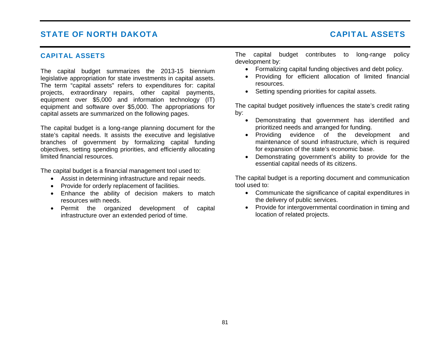### CAPITAL ASSETS

The capital budget summarizes the 2013-15 biennium legislative appropriation for state investments in capital assets. The term "capital assets" refers to expenditures for: capital projects, extraordinary repairs, other capital payments, equipment over \$5,000 and information technology (IT) equipment and software over \$5,000. The appropriations for capital assets are summarized on the following pages.

The capital budget is a long-range planning document for the state's capital needs. It assists the executive and legislative branches of government by formalizing capital funding objectives, setting spending priorities, and efficiently allocating limited financial resources.

The capital budget is a financial management tool used to:

- Assist in determining infrastructure and repair needs.
- Provide for orderly replacement of facilities.
- Enhance the ability of decision makers to match resources with needs.
- Permit the organized development of capital infrastructure over an extended period of time.

The capital budget contributes to long-range policy development by:

- Formalizing capital funding objectives and debt policy.
- Providing for efficient allocation of limited financial resources.
- Setting spending priorities for capital assets.

The capital budget positively influences the state's credit rating by:

- Demonstrating that government has identified and prioritized needs and arranged for funding.
- Providing evidence of the development and maintenance of sound infrastructure, which is required for expansion of the state's economic base.
- Demonstrating government's ability to provide for the essential capital needs of its citizens.

The capital budget is a reporting document and communication tool used to:

- Communicate the significance of capital expenditures in the delivery of public services.
- Provide for intergovernmental coordination in timing and location of related projects.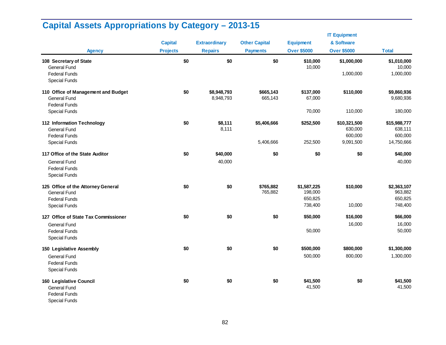|                                                                                                |                 |                          |                      |                                   | <b>IT Equipment</b>                |                                    |
|------------------------------------------------------------------------------------------------|-----------------|--------------------------|----------------------|-----------------------------------|------------------------------------|------------------------------------|
|                                                                                                | <b>Capital</b>  | <b>Extraordinary</b>     | <b>Other Capital</b> | <b>Equipment</b>                  | & Software                         |                                    |
| <b>Agency</b>                                                                                  | <b>Projects</b> | <b>Repairs</b>           | <b>Payments</b>      | <b>Over \$5000</b>                | <b>Over \$5000</b>                 | <b>Total</b>                       |
| 108 Secretary of State<br><b>General Fund</b>                                                  | \$0             | \$0                      | \$0                  | \$10,000<br>10,000                | \$1,000,000                        | \$1,010,000<br>10,000              |
| <b>Federal Funds</b><br><b>Special Funds</b>                                                   |                 |                          |                      |                                   | 1,000,000                          | 1,000,000                          |
| 110 Office of Management and Budget<br><b>General Fund</b><br><b>Federal Funds</b>             | \$0             | \$8,948,793<br>8,948,793 | \$665,143<br>665,143 | \$137,000<br>67,000               | \$110,000                          | \$9,860,936<br>9,680,936           |
| <b>Special Funds</b>                                                                           |                 |                          |                      | 70,000                            | 110,000                            | 180,000                            |
| 112 Information Technology<br><b>General Fund</b><br><b>Federal Funds</b>                      | \$0             | \$8,111<br>8,111         | \$5,406,666          | \$252,500                         | \$10,321,500<br>630,000<br>600,000 | \$15,988,777<br>638,111<br>600,000 |
| <b>Special Funds</b>                                                                           |                 |                          | 5,406,666            | 252,500                           | 9,091,500                          | 14,750,666                         |
| 117 Office of the State Auditor                                                                | \$0             | \$40,000                 | \$0                  | \$0                               | \$0                                | \$40,000                           |
| <b>General Fund</b><br><b>Federal Funds</b><br><b>Special Funds</b>                            |                 | 40,000                   |                      |                                   |                                    | 40,000                             |
| 125 Office of the Attorney General<br><b>General Fund</b><br><b>Federal Funds</b>              | \$0             | \$0                      | \$765,882<br>765,882 | \$1,587,225<br>198,000<br>650,825 | \$10,000                           | \$2,363,107<br>963,882<br>650,825  |
| <b>Special Funds</b>                                                                           |                 |                          |                      | 738,400                           | 10,000                             | 748,400                            |
| 127 Office of State Tax Commissioner                                                           | \$0             | \$0                      | \$0                  | \$50,000                          | \$16,000                           | \$66,000                           |
| <b>General Fund</b><br><b>Federal Funds</b><br><b>Special Funds</b>                            |                 |                          |                      | 50,000                            | 16,000                             | 16,000<br>50,000                   |
| 150 Legislative Assembly                                                                       | \$0             | \$0                      | \$0                  | \$500,000                         | \$800,000                          | \$1,300,000                        |
| <b>General Fund</b><br><b>Federal Funds</b><br><b>Special Funds</b>                            |                 |                          |                      | 500,000                           | 800,000                            | 1,300,000                          |
| 160 Legislative Council<br><b>General Fund</b><br><b>Federal Funds</b><br><b>Special Funds</b> | \$0             | \$0                      | \$0                  | \$41,500<br>41,500                | \$0                                | \$41,500<br>41,500                 |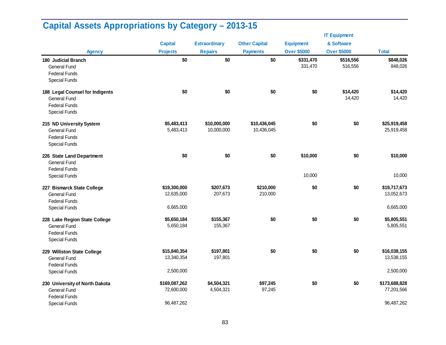|                                                                                                      |                             |                            |                            |                      | <b>IT Equipment</b>  |                             |
|------------------------------------------------------------------------------------------------------|-----------------------------|----------------------------|----------------------------|----------------------|----------------------|-----------------------------|
|                                                                                                      | <b>Capital</b>              | <b>Extraordinary</b>       | <b>Other Capital</b>       | <b>Equipment</b>     | & Software           |                             |
| <b>Agency</b>                                                                                        | <b>Projects</b>             | <b>Repairs</b>             | <b>Payments</b>            | <b>Over \$5000</b>   | <b>Over \$5000</b>   | <b>Total</b>                |
| 180 Judicial Branch<br><b>General Fund</b><br><b>Federal Funds</b><br><b>Special Funds</b>           | \$0                         | \$0                        | \$0                        | \$331,470<br>331,470 | \$516,556<br>516,556 | \$848,026<br>848,026        |
| 188 Legal Counsel for Indigents<br>General Fund<br><b>Federal Funds</b><br><b>Special Funds</b>      | \$0                         | \$0                        | \$0                        | \$0                  | \$14,420<br>14,420   | \$14,420<br>14,420          |
| 215 ND University System<br><b>General Fund</b><br><b>Federal Funds</b><br><b>Special Funds</b>      | \$5,483,413<br>5,483,413    | \$10,000,000<br>10,000,000 | \$10,436,045<br>10,436,045 | \$0                  | \$0                  | \$25,919,458<br>25,919,458  |
| 226 State Land Department<br><b>General Fund</b><br><b>Federal Funds</b>                             | \$0                         | \$0                        | \$0                        | \$10,000             | \$0                  | \$10,000                    |
| <b>Special Funds</b>                                                                                 |                             |                            |                            | 10,000               |                      | 10,000                      |
| 227 Bismarck State College<br><b>General Fund</b><br><b>Federal Funds</b>                            | \$19,300,000<br>12,635,000  | \$207,673<br>207,673       | \$210,000<br>210,000       | \$0                  | \$0                  | \$19,717,673<br>13,052,673  |
| <b>Special Funds</b>                                                                                 | 6,665,000                   |                            |                            |                      |                      | 6,665,000                   |
| 228 Lake Region State College<br><b>General Fund</b><br><b>Federal Funds</b><br><b>Special Funds</b> | \$5,650,184<br>5,650,184    | \$155,367<br>155,367       | \$0                        | \$0                  | \$0                  | \$5,805,551<br>5,805,551    |
| 229 Williston State College<br>General Fund<br><b>Federal Funds</b>                                  | \$15,840,354<br>13,340,354  | \$197,801<br>197,801       | \$0                        | \$0                  | \$0                  | \$16,038,155<br>13,538,155  |
| <b>Special Funds</b>                                                                                 | 2,500,000                   |                            |                            |                      |                      | 2,500,000                   |
| 230 University of North Dakota<br><b>General Fund</b>                                                | \$169,087,262<br>72,600,000 | \$4,504,321<br>4,504,321   | \$97,245<br>97,245         | \$0                  | \$0                  | \$173,688,828<br>77,201,566 |
| <b>Federal Funds</b><br><b>Special Funds</b>                                                         | 96,487,262                  |                            |                            |                      |                      | 96,487,262                  |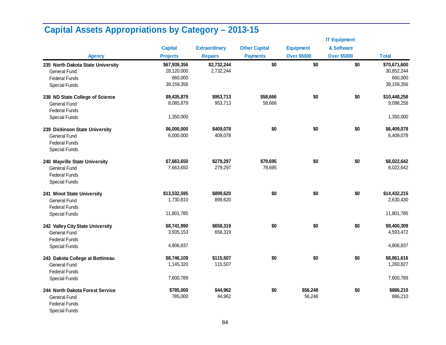|                                   |                 |                      |                      |                    | <b>IT Equipment</b> |              |
|-----------------------------------|-----------------|----------------------|----------------------|--------------------|---------------------|--------------|
|                                   | <b>Capital</b>  | <b>Extraordinary</b> | <b>Other Capital</b> | <b>Equipment</b>   | & Software          |              |
| <b>Agency</b>                     | <b>Projects</b> | <b>Repairs</b>       | <b>Payments</b>      | <b>Over \$5000</b> | <b>Over \$5000</b>  | <b>Total</b> |
| 235 North Dakota State University | \$67,939,356    | \$2,732,244          | \$0                  | \$0                | \$0                 | \$70,671,600 |
| <b>General Fund</b>               | 28,120,000      | 2,732,244            |                      |                    |                     | 30,852,244   |
| <b>Federal Funds</b>              | 660,000         |                      |                      |                    |                     | 660,000      |
| <b>Special Funds</b>              | 39,159,356      |                      |                      |                    |                     | 39,159,356   |
| 238 ND State College of Science   | \$9,435,879     | \$953,713            | \$58,666             | \$0                | \$0                 | \$10,448,258 |
| <b>General Fund</b>               | 8,085,879       | 953,713              | 58,666               |                    |                     | 9,098,258    |
| <b>Federal Funds</b>              |                 |                      |                      |                    |                     |              |
| <b>Special Funds</b>              | 1,350,000       |                      |                      |                    |                     | 1,350,000    |
| 239 Dickinson State University    | \$6,000,000     | \$409,078            | \$0                  | \$0                | \$0                 | \$6,409,078  |
| <b>General Fund</b>               | 6,000,000       | 409,078              |                      |                    |                     | 6,409,078    |
| <b>Federal Funds</b>              |                 |                      |                      |                    |                     |              |
| <b>Special Funds</b>              |                 |                      |                      |                    |                     |              |
| 240 Mayville State University     | \$7,663,650     | \$279,297            | \$79,695             | \$0                | \$0                 | \$8,022,642  |
| <b>General Fund</b>               | 7,663,650       | 279,297              | 79,695               |                    |                     | 8,022,642    |
| <b>Federal Funds</b>              |                 |                      |                      |                    |                     |              |
| <b>Special Funds</b>              |                 |                      |                      |                    |                     |              |
| 241 Minot State University        | \$13,532,595    | \$899,620            | \$0                  | \$0                | \$0                 | \$14,432,215 |
| <b>General Fund</b>               | 1,730,810       | 899,620              |                      |                    |                     | 2,630,430    |
| <b>Federal Funds</b>              |                 |                      |                      |                    |                     |              |
| <b>Special Funds</b>              | 11,801,785      |                      |                      |                    |                     | 11,801,785   |
| 242 Valley City State University  | \$8,741,990     | \$658,319            | \$0                  | \$0                | \$0                 | \$9,400,309  |
| <b>General Fund</b>               | 3,935,153       | 658,319              |                      |                    |                     | 4,593,472    |
| <b>Federal Funds</b>              |                 |                      |                      |                    |                     |              |
| <b>Special Funds</b>              | 4,806,837       |                      |                      |                    |                     | 4,806,837    |
| 243 Dakota College at Bottineau   | \$8,746,109     | \$115,507            | \$0                  | \$0                | \$0                 | \$8,861,616  |
| <b>General Fund</b>               | 1,145,320       | 115,507              |                      |                    |                     | 1,260,827    |
| <b>Federal Funds</b>              |                 |                      |                      |                    |                     |              |
| <b>Special Funds</b>              | 7,600,789       |                      |                      |                    |                     | 7,600,789    |
| 244 North Dakota Forest Service   | \$785,000       | \$44,962             | \$0                  | \$56,248           | \$0                 | \$886,210    |
| <b>General Fund</b>               | 785,000         | 44,962               |                      | 56,248             |                     | 886,210      |
| <b>Federal Funds</b>              |                 |                      |                      |                    |                     |              |
| <b>Special Funds</b>              |                 |                      |                      |                    |                     |              |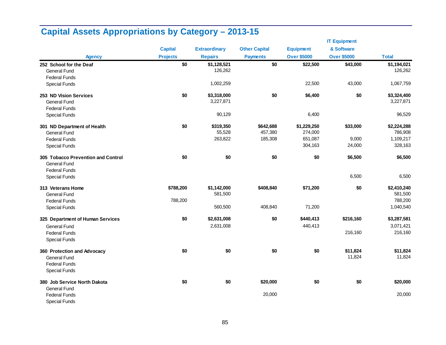|                                    |                 |                      |                      |                    | <b>IT Equipment</b> |              |
|------------------------------------|-----------------|----------------------|----------------------|--------------------|---------------------|--------------|
|                                    | <b>Capital</b>  | <b>Extraordinary</b> | <b>Other Capital</b> | <b>Equipment</b>   | & Software          |              |
| <b>Agency</b>                      | <b>Projects</b> | <b>Repairs</b>       | <b>Payments</b>      | <b>Over \$5000</b> | <b>Over \$5000</b>  | <b>Total</b> |
| 252 School for the Deaf            | \$0             | \$1,128,521          | \$0                  | \$22,500           | \$43,000            | \$1,194,021  |
| <b>General Fund</b>                |                 | 126,262              |                      |                    |                     | 126,262      |
| <b>Federal Funds</b>               |                 |                      |                      |                    |                     |              |
| <b>Special Funds</b>               |                 | 1,002,259            |                      | 22,500             | 43,000              | 1,067,759    |
| 253 ND Vision Services             | \$0             | \$3,318,000          | \$0                  | \$6,400            | \$0                 | \$3,324,400  |
| <b>General Fund</b>                |                 | 3,227,871            |                      |                    |                     | 3,227,871    |
| <b>Federal Funds</b>               |                 |                      |                      |                    |                     |              |
| <b>Special Funds</b>               |                 | 90,129               |                      | 6,400              |                     | 96,529       |
| 301 ND Department of Health        | \$0             | \$319,350            | \$642,688            | \$1,229,250        | \$33,000            | \$2,224,288  |
| <b>General Fund</b>                |                 | 55,528               | 457,380              | 274,000            |                     | 786,908      |
| <b>Federal Funds</b>               |                 | 263,822              | 185,308              | 651,087            | 9,000               | 1,109,217    |
| <b>Special Funds</b>               |                 |                      |                      | 304,163            | 24,000              | 328,163      |
| 305 Tobacco Prevention and Control | \$0             | \$0                  | \$0                  | \$0                | \$6,500             | \$6,500      |
| <b>General Fund</b>                |                 |                      |                      |                    |                     |              |
| <b>Federal Funds</b>               |                 |                      |                      |                    |                     |              |
| <b>Special Funds</b>               |                 |                      |                      |                    | 6,500               | 6,500        |
| 313 Veterans Home                  | \$788,200       | \$1,142,000          | \$408,840            | \$71,200           | \$0                 | \$2,410,240  |
| <b>General Fund</b>                |                 | 581,500              |                      |                    |                     | 581,500      |
| <b>Federal Funds</b>               | 788,200         |                      |                      |                    |                     | 788,200      |
| <b>Special Funds</b>               |                 | 560,500              | 408,840              | 71,200             |                     | 1,040,540    |
| 325 Department of Human Services   | \$0             | \$2,631,008          | \$0                  | \$440,413          | \$216,160           | \$3,287,581  |
| <b>General Fund</b>                |                 | 2,631,008            |                      | 440,413            |                     | 3,071,421    |
| <b>Federal Funds</b>               |                 |                      |                      |                    | 216,160             | 216,160      |
| <b>Special Funds</b>               |                 |                      |                      |                    |                     |              |
| 360 Protection and Advocacy        | \$0             | \$0                  | \$0                  | \$0                | \$11,824            | \$11,824     |
| <b>General Fund</b>                |                 |                      |                      |                    | 11,824              | 11,824       |
| <b>Federal Funds</b>               |                 |                      |                      |                    |                     |              |
| <b>Special Funds</b>               |                 |                      |                      |                    |                     |              |
| 380 Job Service North Dakota       | \$0             | \$0                  | \$20,000             | \$0                | \$0                 | \$20,000     |
| <b>General Fund</b>                |                 |                      |                      |                    |                     |              |
| <b>Federal Funds</b>               |                 |                      | 20,000               |                    |                     | 20,000       |
| <b>Special Funds</b>               |                 |                      |                      |                    |                     |              |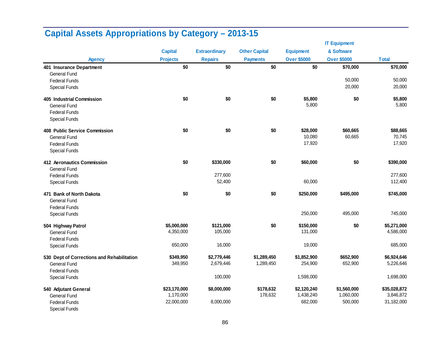|                                            |                 |                      |                      |                    | <b>IT Equipment</b> |              |
|--------------------------------------------|-----------------|----------------------|----------------------|--------------------|---------------------|--------------|
|                                            | <b>Capital</b>  | <b>Extraordinary</b> | <b>Other Capital</b> | <b>Equipment</b>   | & Software          |              |
| <b>Agency</b>                              | <b>Projects</b> | <b>Repairs</b>       | <b>Payments</b>      | <b>Over \$5000</b> | <b>Over \$5000</b>  | <b>Total</b> |
| 401 Insurance Department                   | \$0             | \$0                  | \$0                  | \$0                | \$70,000            | \$70,000     |
| <b>General Fund</b>                        |                 |                      |                      |                    |                     |              |
| <b>Federal Funds</b>                       |                 |                      |                      |                    | 50,000              | 50,000       |
| <b>Special Funds</b>                       |                 |                      |                      |                    | 20,000              | 20,000       |
| 405 Industrial Commission                  | \$0             | \$0                  | \$0                  | \$5,800            | \$0                 | \$5,800      |
| <b>General Fund</b>                        |                 |                      |                      | 5,800              |                     | 5,800        |
| <b>Federal Funds</b>                       |                 |                      |                      |                    |                     |              |
| <b>Special Funds</b>                       |                 |                      |                      |                    |                     |              |
| 408 Public Service Commission              | \$0             | \$0                  | \$0                  | \$28,000           | \$60,665            | \$88,665     |
| <b>General Fund</b>                        |                 |                      |                      | 10,080             | 60,665              | 70,745       |
| <b>Federal Funds</b>                       |                 |                      |                      | 17,920             |                     | 17,920       |
| <b>Special Funds</b>                       |                 |                      |                      |                    |                     |              |
| 412 Aeronautics Commission                 | \$0             | \$330,000            | \$0                  | \$60,000           | \$0                 | \$390,000    |
| <b>General Fund</b>                        |                 |                      |                      |                    |                     |              |
| <b>Federal Funds</b>                       |                 | 277,600              |                      |                    |                     | 277,600      |
| <b>Special Funds</b>                       |                 | 52,400               |                      | 60,000             |                     | 112,400      |
| 471 Bank of North Dakota                   | \$0             | \$0                  | \$0                  | \$250,000          | \$495,000           | \$745,000    |
| <b>General Fund</b>                        |                 |                      |                      |                    |                     |              |
| <b>Federal Funds</b>                       |                 |                      |                      |                    |                     |              |
| <b>Special Funds</b>                       |                 |                      |                      | 250,000            | 495,000             | 745,000      |
| 504 Highway Patrol                         | \$5,000,000     | \$121,000            | \$0                  | \$150,000          | \$0                 | \$5,271,000  |
| <b>General Fund</b>                        | 4,350,000       | 105,000              |                      | 131,000            |                     | 4,586,000    |
| <b>Federal Funds</b>                       |                 |                      |                      |                    |                     |              |
| <b>Special Funds</b>                       | 650,000         | 16,000               |                      | 19,000             |                     | 685,000      |
| 530 Dept of Corrections and Rehabilitation | \$349,950       | \$2,779,446          | \$1,289,450          | \$1,852,900        | \$652,900           | \$6,924,646  |
| <b>General Fund</b>                        | 349,950         | 2,679,446            | 1,289,450            | 254,900            | 652,900             | 5,226,646    |
| <b>Federal Funds</b>                       |                 |                      |                      |                    |                     |              |
| <b>Special Funds</b>                       |                 | 100,000              |                      | 1,598,000          |                     | 1,698,000    |
| 540 Adjutant General                       | \$23,170,000    | \$8,000,000          | \$178,632            | \$2,120,240        | \$1,560,000         | \$35,028,872 |
| <b>General Fund</b>                        | 1,170,000       |                      | 178,632              | 1,438,240          | 1,060,000           | 3,846,872    |
| <b>Federal Funds</b>                       | 22,000,000      | 8,000,000            |                      | 682,000            | 500,000             | 31,182,000   |
| <b>Special Funds</b>                       |                 |                      |                      |                    |                     |              |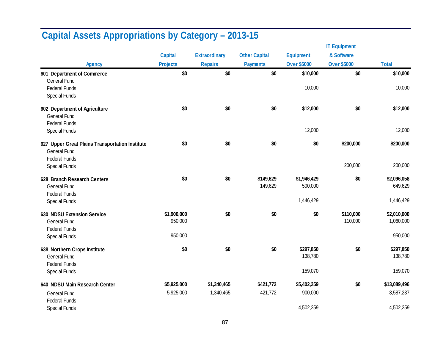|                                                                        |                 |                      |                      |                    | <b>IT Equipment</b> |              |
|------------------------------------------------------------------------|-----------------|----------------------|----------------------|--------------------|---------------------|--------------|
|                                                                        | <b>Capital</b>  | <b>Extraordinary</b> | <b>Other Capital</b> | <b>Equipment</b>   | & Software          |              |
| <b>Agency</b>                                                          | <b>Projects</b> | <b>Repairs</b>       | <b>Payments</b>      | <b>Over \$5000</b> | <b>Over \$5000</b>  | <b>Total</b> |
| 601 Department of Commerce                                             | \$0             | \$0                  | \$0                  | \$10,000           | \$0                 | \$10,000     |
| <b>General Fund</b>                                                    |                 |                      |                      |                    |                     |              |
| <b>Federal Funds</b>                                                   |                 |                      |                      | 10,000             |                     | 10,000       |
| <b>Special Funds</b>                                                   |                 |                      |                      |                    |                     |              |
| 602 Department of Agriculture                                          | \$0             | \$0                  | \$0                  | \$12,000           | \$0                 | \$12,000     |
| <b>General Fund</b>                                                    |                 |                      |                      |                    |                     |              |
| <b>Federal Funds</b>                                                   |                 |                      |                      |                    |                     |              |
| <b>Special Funds</b>                                                   |                 |                      |                      | 12,000             |                     | 12,000       |
| 627 Upper Great Plains Transportation Institute<br><b>General Fund</b> | \$0             | \$0                  | \$0                  | \$0                | \$200,000           | \$200,000    |
| <b>Federal Funds</b>                                                   |                 |                      |                      |                    |                     |              |
| <b>Special Funds</b>                                                   |                 |                      |                      |                    | 200,000             | 200,000      |
| 628 Branch Research Centers                                            | \$0             | \$0                  | \$149,629            | \$1,946,429        | \$0                 | \$2,096,058  |
| <b>General Fund</b>                                                    |                 |                      | 149,629              | 500,000            |                     | 649,629      |
| <b>Federal Funds</b>                                                   |                 |                      |                      |                    |                     |              |
| <b>Special Funds</b>                                                   |                 |                      |                      | 1,446,429          |                     | 1,446,429    |
| <b>630 NDSU Extension Service</b>                                      | \$1,900,000     | \$0                  | \$0                  | \$0                | \$110,000           | \$2,010,000  |
| <b>General Fund</b>                                                    | 950,000         |                      |                      |                    | 110,000             | 1,060,000    |
| <b>Federal Funds</b>                                                   |                 |                      |                      |                    |                     |              |
| <b>Special Funds</b>                                                   | 950,000         |                      |                      |                    |                     | 950,000      |
| 638 Northern Crops Institute                                           | \$0             | \$0                  | \$0                  | \$297,850          | \$0                 | \$297,850    |
| <b>General Fund</b>                                                    |                 |                      |                      | 138,780            |                     | 138,780      |
| <b>Federal Funds</b>                                                   |                 |                      |                      |                    |                     |              |
| <b>Special Funds</b>                                                   |                 |                      |                      | 159,070            |                     | 159,070      |
| 640 NDSU Main Research Center                                          | \$5,925,000     | \$1,340,465          | \$421,772            | \$5,402,259        | \$0                 | \$13,089,496 |
| <b>General Fund</b>                                                    | 5,925,000       | 1,340,465            | 421,772              | 900,000            |                     | 8,587,237    |
| <b>Federal Funds</b>                                                   |                 |                      |                      |                    |                     |              |
| <b>Special Funds</b>                                                   |                 |                      |                      | 4,502,259          |                     | 4,502,259    |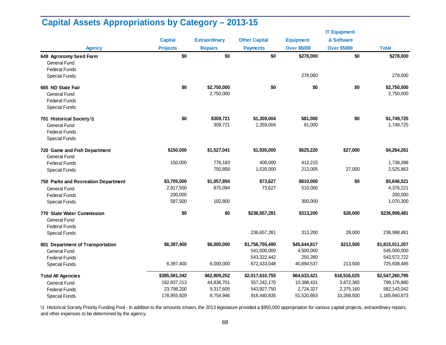|                                     |                 |                      |                      |                    | <b>IT Equipment</b> |                 |
|-------------------------------------|-----------------|----------------------|----------------------|--------------------|---------------------|-----------------|
|                                     | <b>Capital</b>  | <b>Extraordinary</b> | <b>Other Capital</b> | <b>Equipment</b>   | & Software          |                 |
| <b>Agency</b>                       | <b>Projects</b> | <b>Repairs</b>       | <b>Payments</b>      | <b>Over \$5000</b> | <b>Over \$5000</b>  | <b>Total</b>    |
| 649 Agronomy Seed Farm              | \$0             | \$0                  | \$0                  | \$278,000          | \$0                 | \$278,000       |
| <b>General Fund</b>                 |                 |                      |                      |                    |                     |                 |
| <b>Federal Funds</b>                |                 |                      |                      |                    |                     |                 |
| <b>Special Funds</b>                |                 |                      |                      | 278,000            |                     | 278,000         |
| 665 ND State Fair                   | \$0             | \$2,750,000          | \$0                  | \$0                | \$0                 | \$2,750,000     |
| <b>General Fund</b>                 |                 | 2,750,000            |                      |                    |                     | 2,750,000       |
| <b>Federal Funds</b>                |                 |                      |                      |                    |                     |                 |
| <b>Special Funds</b>                |                 |                      |                      |                    |                     |                 |
| 701 Historical Society \1           | \$0             | \$309,721            | \$1,359,004          | \$81,000           | \$0                 | \$1,749,725     |
| <b>General Fund</b>                 |                 | 309,721              | 1,359,004            | 81,000             |                     | 1,749,725       |
| <b>Federal Funds</b>                |                 |                      |                      |                    |                     |                 |
| <b>Special Funds</b>                |                 |                      |                      |                    |                     |                 |
| 720 Game and Fish Department        | \$150,000       | \$1,527,041          | \$1,935,000          | \$625,220          | \$27,000            | \$4,264,261     |
| <b>General Fund</b>                 |                 |                      |                      |                    |                     |                 |
| <b>Federal Funds</b>                | 150,000         | 776,183              | 400.000              | 412,215            |                     | 1,738,398       |
| <b>Special Funds</b>                |                 | 750,858              | 1,535,000            | 213,005            | 27,000              | 2,525,863       |
| 750 Parks and Recreation Department | \$3,705,000     | \$1,057,894          | \$73,627             | \$810,000          | \$0                 | \$5,646,521     |
| <b>General Fund</b>                 | 2,917,500       | 875,094              | 73,627               | 510,000            |                     | 4,376,221       |
| <b>Federal Funds</b>                | 200,000         |                      |                      |                    |                     | 200,000         |
| <b>Special Funds</b>                | 587,500         | 182,800              |                      | 300,000            |                     | 1,070,300       |
| 770 State Water Commission          | \$0             | \$0                  | \$236,657,281        | \$313,200          | \$28,000            | \$236,998,481   |
| <b>General Fund</b>                 |                 |                      |                      |                    |                     |                 |
| <b>Federal Funds</b>                |                 |                      |                      |                    |                     |                 |
| <b>Special Funds</b>                |                 |                      | 236,657,281          | 313,200            | 28,000              | 236,998,481     |
| 801 Department of Transportation    | \$6,397,400     | \$6,000,000          | \$1,756,755,490      | \$45,644,817       | \$213,500           | \$1,815,011,207 |
| <b>General Fund</b>                 |                 |                      | 541,000,000          | 4,500,000          |                     | 545,500,000     |
| <b>Federal Funds</b>                |                 |                      | 543,322,442          | 250,280            |                     | 543,572,722     |
| <b>Special Funds</b>                | 6,397,400       | 6,000,000            | 672,433,048          | 40,894,537         | 213,500             | 725,938,485     |
| <b>Total All Agencies</b>           | \$385,591,342   | \$62,909,252         | \$2,017,610,755      | \$64,633,421       | \$16,516,025        | \$2,547,260,795 |
| <b>General Fund</b>                 | 182,837,213     | 44,836,701           | 557,242,170          | 10,388,431         | 3,872,365           | 799,176,880     |
| <b>Federal Funds</b>                | 23,798,200      | 9,317,605            | 543,927,750          | 2,724,327          | 2,375,160           | 582,143,042     |
| <b>Special Funds</b>                | 178,955,929     | 8,754,946            | 916,440,835          | 51,520,663         | 10,268,500          | 1,165,940,873   |

\1 Historical Society Priority Funding Pool - In addition to the amounts shown, the 2013 legislature provided a \$950,000 appropriation for various capital projects, extraordinary repairs, and other expenses to be determined by the agency.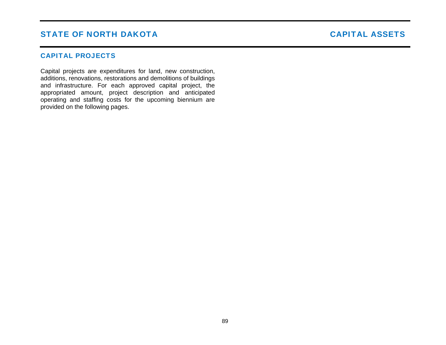# STATE OF NORTH DAKOTA NAMEL ASSETS STATE OF NORTH DAKOTA

### CAPITAL PROJECTS

Capital projects are expenditures for land, new construction, additions, renovations, restorations and demolitions of buildings and infrastructure. For each approved capital project, the appropriated amount, project description and anticipated operating and staffing costs for the upcoming biennium are provided on the following pages.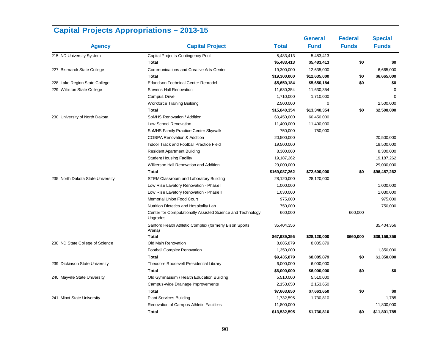|                                   |                                                                        |               | <b>General</b> | <b>Federal</b> | <b>Special</b> |
|-----------------------------------|------------------------------------------------------------------------|---------------|----------------|----------------|----------------|
| <b>Agency</b>                     | <b>Capital Project</b>                                                 | <b>Total</b>  | <b>Fund</b>    | <b>Funds</b>   | <b>Funds</b>   |
| 215 ND University System          | Capital Projects Contingency Pool                                      | 5,483,413     | 5,483,413      |                |                |
|                                   | <b>Total</b>                                                           | \$5,483,413   | \$5,483,413    | \$0            | \$0            |
| 227 Bismarck State College        | <b>Communications and Creative Arts Center</b>                         | 19,300,000    | 12,635,000     |                | 6,665,000      |
|                                   | <b>Total</b>                                                           | \$19,300,000  | \$12,635,000   | \$0            | \$6,665,000    |
| 228 Lake Region State College     | Erlandson Technical Center Remodel                                     | \$5,650,184   | \$5,650,184    | \$0            | \$0            |
| 229 Williston State College       | <b>Stevens Hall Renovation</b>                                         | 11,630,354    | 11,630,354     |                | $\Omega$       |
|                                   | Campus Drive                                                           | 1,710,000     | 1,710,000      |                | $\Omega$       |
|                                   | <b>Workforce Training Building</b>                                     | 2,500,000     | 0              |                | 2,500,000      |
|                                   | <b>Total</b>                                                           | \$15,840,354  | \$13,340,354   | \$0            | \$2,500,000    |
| 230 University of North Dakota    | SoMHS Renovation / Addition                                            | 60,450,000    | 60,450,000     |                |                |
|                                   | Law School Renovation                                                  | 11,400,000    | 11,400,000     |                |                |
|                                   | SoMHS Family Practice Center Skywalk                                   | 750,000       | 750,000        |                |                |
|                                   | <b>COBPA Renovation &amp; Addition</b>                                 | 20,500,000    |                |                | 20,500,000     |
|                                   | Indoor Track and Football Practice Field                               | 19,500,000    |                |                | 19,500,000     |
|                                   | <b>Resident Apartment Building</b>                                     | 8,300,000     |                |                | 8,300,000      |
|                                   | <b>Student Housing Facility</b>                                        | 19,187,262    |                |                | 19, 187, 262   |
|                                   | Wilkerson Hall Renovation and Addition                                 | 29,000,000    |                |                | 29,000,000     |
|                                   | <b>Total</b>                                                           | \$169,087,262 | \$72,600,000   | \$0            | \$96,487,262   |
| 235 North Dakota State University | STEM Classroom and Laboratory Building                                 | 28,120,000    | 28,120,000     |                |                |
|                                   | Low Rise Lavatory Renovation - Phase I                                 | 1,000,000     |                |                | 1,000,000      |
|                                   | Low Rise Lavatory Renovation - Phase II                                | 1,030,000     |                |                | 1,030,000      |
|                                   | Memorial Union Food Court                                              | 975,000       |                |                | 975,000        |
|                                   | Nutrition Dietetics and Hospitality Lab                                | 750,000       |                |                | 750,000        |
|                                   | Center for Computationally Assisted Science and Technology<br>Upgrades | 660,000       |                | 660,000        |                |
|                                   | Sanford Health Athletic Complex (formerly Bison Sports<br>Arena)       | 35,404,356    |                |                | 35,404,356     |
|                                   | <b>Total</b>                                                           | \$67,939,356  | \$28,120,000   | \$660,000      | \$39,159,356   |
| 238 ND State College of Science   | Old Main Renovation                                                    | 8,085,879     | 8,085,879      |                |                |
|                                   | Football Complex Renovation                                            | 1,350,000     |                |                | 1,350,000      |
|                                   | <b>Total</b>                                                           | \$9,435,879   | \$8,085,879    | \$0            | \$1,350,000    |
| 239 Dickinson State University    | Theodore Roosevelt Presidential Library                                | 6,000,000     | 6,000,000      |                |                |
|                                   | Total                                                                  | \$6,000,000   | \$6,000,000    | \$0            | \$0            |
| 240 Mayville State University     | Old Gymnasium / Health Education Building                              | 5,510,000     | 5,510,000      |                |                |
|                                   | Campus-wide Drainage Improvements                                      | 2,153,650     | 2,153,650      |                |                |
|                                   | <b>Total</b>                                                           | \$7,663,650   | \$7,663,650    | \$0            | \$0            |
| 241 Minot State University        | <b>Plant Services Building</b>                                         | 1,732,595     | 1,730,810      |                | 1,785          |
|                                   | Renovation of Campus Athletic Facilities                               | 11,800,000    |                |                | 11,800,000     |
|                                   | <b>Total</b>                                                           | \$13,532,595  | \$1,730,810    | \$0            | \$11,801,785   |

# **Capital Projects Appropriations – 2013-15**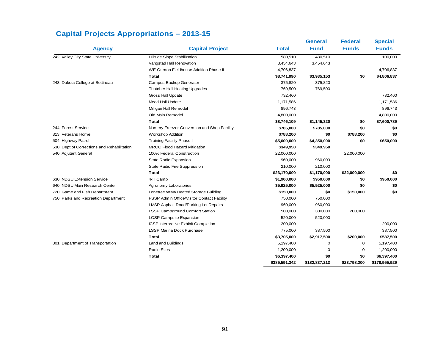|                                            |                                              |               | <b>General</b> | <b>Federal</b> | <b>Special</b> |
|--------------------------------------------|----------------------------------------------|---------------|----------------|----------------|----------------|
| <b>Agency</b>                              | <b>Capital Project</b>                       | <b>Total</b>  | <b>Fund</b>    | <b>Funds</b>   | <b>Funds</b>   |
| 242 Valley City State University           | Hillside Slope Stabilization                 | 580,510       | 480,510        |                | 100,000        |
|                                            | Vangstad Hall Renovation                     | 3,454,643     | 3,454,643      |                |                |
|                                            | WE Osmon Fieldhouse Addition Phase II        | 4,706,837     |                |                | 4,706,837      |
|                                            | Total                                        | \$8,741,990   | \$3,935,153    | \$0            | \$4,806,837    |
| 243 Dakota College at Bottineau            | Campus Backup Generator                      | 375,820       | 375,820        |                |                |
|                                            | Thatcher Hall Heating Upgrades               | 769,500       | 769,500        |                |                |
|                                            | <b>Gross Hall Update</b>                     | 732,460       |                |                | 732,460        |
|                                            | Mead Hall Update                             | 1,171,586     |                |                | 1,171,586      |
|                                            | Milligan Hall Remodel                        | 896,743       |                |                | 896,743        |
|                                            | Old Main Remodel                             | 4,800,000     |                |                | 4,800,000      |
|                                            | Total                                        | \$8,746,109   | \$1,145,320    | \$0            | \$7,600,789    |
| 244 Forest Service                         | Nursery Freezer Conversion and Shop Facility | \$785,000     | \$785,000      | \$0            | \$0            |
| 313 Veterans Home                          | <b>Workshop Addition</b>                     | \$788,200     | \$0            | \$788,200      | \$0            |
| 504 Highway Patrol                         | <b>Training Facility Phase I</b>             | \$5,000,000   | \$4,350,000    | \$0            | \$650,000      |
| 530 Dept of Corrections and Rehabilitation | <b>MRCC Flood Hazard Mitigation</b>          | \$349,950     | \$349,950      |                |                |
| 540 Adjutant General                       | 100% Federal Construction                    | 22,000,000    |                | 22,000,000     |                |
|                                            | State Radio Expansion                        | 960,000       | 960,000        |                |                |
|                                            | State Radio Fire Suppression                 | 210,000       | 210,000        |                |                |
|                                            | Total                                        | \$23,170,000  | \$1,170,000    | \$22,000,000   | \$0            |
| 630 NDSU Extension Service                 | 4-H Camp                                     | \$1,900,000   | \$950,000      | \$0            | \$950,000      |
| 640 NDSU Main Research Center              | Agronomy Laboratories                        | \$5,925,000   | \$5,925,000    | \$0            | \$0            |
| 720 Game and Fish Department               | Lonetree WMA Heated Storage Building         | \$150,000     | \$0            | \$150,000      | \$0            |
| 750 Parks and Recreation Department        | FSSP Admin Office/Visitor Contact Facility   | 750,000       | 750,000        |                |                |
|                                            | LMSP Asphalt Road/Parking Lot Repairs        | 960,000       | 960,000        |                |                |
|                                            | LSSP Campground Comfort Station              | 500,000       | 300,000        | 200,000        |                |
|                                            | <b>LCSP Campsite Expansion</b>               | 520,000       | 520,000        |                |                |
|                                            | ICSP Interpretive Exhibit Completion         | 200,000       |                |                | 200,000        |
|                                            | LSSP Marina Dock Purchase                    | 775,000       | 387,500        |                | 387,500        |
|                                            | Total                                        | \$3,705,000   | \$2,917,500    | \$200,000      | \$587,500      |
| 801 Department of Transportation           | Land and Buildings                           | 5,197,400     | 0              | 0              | 5,197,400      |
|                                            | <b>Radio Sites</b>                           | 1,200,000     | 0              | 0              | 1,200,000      |
|                                            | Total                                        | \$6,397,400   | \$0            | \$0            | \$6,397,400    |
|                                            |                                              | \$385,591,342 | \$182,837,213  | \$23,798,200   | \$178,955,929  |

# **Capital Projects Appropriations – 2013-15**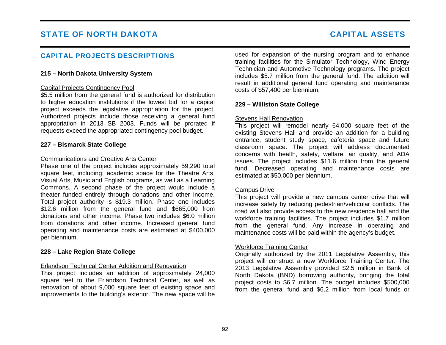## CAPITAL PROJECTS DESCRIPTIONS

#### **215 – North Dakota University System**

#### Capital Projects Contingency Pool

\$5.5 million from the general fund is authorized for distribution to higher education institutions if the lowest bid for a capital project exceeds the legislative appropriation for the project. Authorized projects include those receiving a general fund appropriation in 2013 SB 2003. Funds will be prorated if requests exceed the appropriated contingency pool budget.

#### **227 – Bismarck State College**

#### Communications and Creative Arts Center

Phase one of the project includes approximately 59,290 total square feet, including: academic space for the Theatre Arts, Visual Arts, Music and English programs, as well as a Learning Commons. A second phase of the project would include a theater funded entirely through donations and other income. Total project authority is \$19.3 million. Phase one includes \$12.6 million from the general fund and \$665,000 from donations and other income. Phase two includes \$6.0 million from donations and other income. Increased general fund operating and maintenance costs are estimated at \$400,000 per biennium.

#### **228 – Lake Region State College**

#### Erlandson Technical Center Addition and Renovation

This project includes an addition of approximately 24,000 square feet to the Erlandson Technical Center, as well as renovation of about 9,000 square feet of existing space and improvements to the building's exterior. The new space will be used for expansion of the nursing program and to enhance training facilities for the Simulator Technology, Wind Energy Technician and Automotive Technology programs. The project includes \$5.7 million from the general fund. The addition will result in additional general fund operating and maintenance costs of \$57,400 per biennium.

#### **229 – Williston State College**

#### Stevens Hall Renovation

This project will remodel nearly 64,000 square feet of the existing Stevens Hall and provide an addition for a building entrance, student study space, cafeteria space and future classroom space. The project will address documented concerns with health, safety, welfare, air quality, and ADA issues. The project includes \$11.6 million from the general fund. Decreased operating and maintenance costs are estimated at \$50,000 per biennium.

#### Campus Drive

This project will provide a new campus center drive that will increase safety by reducing pedestrian/vehicular conflicts. The road will also provide access to the new residence hall and the workforce training facilities. The project includes \$1.7 million from the general fund. Any increase in operating and maintenance costs will be paid within the agency's budget.

#### Workforce Training Center

Originally authorized by the 2011 Legislative Assembly, this project will construct a new Workforce Training Center. The 2013 Legislative Assembly provided \$2.5 million in Bank of North Dakota (BND) borrowing authority, bringing the total project costs to \$6.7 million. The budget includes \$500,000 from the general fund and \$6.2 million from local funds or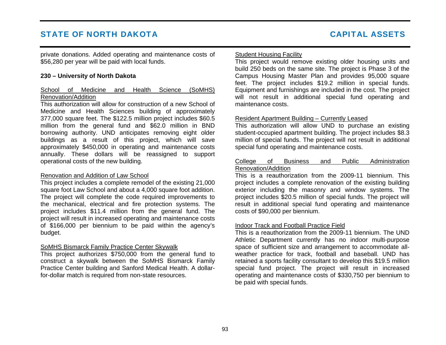private donations. Added operating and maintenance costs of \$56,280 per year will be paid with local funds.

#### **230 – University of North Dakota**

#### School of Medicine and Health Science (SoMHS) Renovation/Addition

This authorization will allow for construction of a new School of Medicine and Health Sciences building of approximately 377,000 square feet. The \$122.5 million project includes \$60.5 million from the general fund and \$62.0 million in BND borrowing authority. UND anticipates removing eight older buildings as a result of this project, which will save approximately \$450,000 in operating and maintenance costs annually. These dollars will be reassigned to support operational costs of the new building.

#### Renovation and Addition of Law School

This project includes a complete remodel of the existing 21,000 square foot Law School and about a 4,000 square foot addition. The project will complete the code required improvements to the mechanical, electrical and fire protection systems. The project includes \$11.4 million from the general fund. The project will result in increased operating and maintenance costs of \$166,000 per biennium to be paid within the agency's budget.

#### SoMHS Bismarck Family Practice Center Skywalk

This project authorizes \$750,000 from the general fund to construct a skywalk between the SoMHS Bismarck Family Practice Center building and Sanford Medical Health. A dollarfor-dollar match is required from non-state resources.

#### Student Housing Facility

This project would remove existing older housing units and build 250 beds on the same site. The project is Phase 3 of the Campus Housing Master Plan and provides 95,000 square feet. The project includes \$19.2 million in special funds. Equipment and furnishings are included in the cost. The project will not result in additional special fund operating and maintenance costs.

#### Resident Apartment Building – Currently Leased

This authorization will allow UND to purchase an existing student-occupied apartment building. The project includes \$8.3 million of special funds. The project will not result in additional special fund operating and maintenance costs.

#### College of Business and Public Administration Renovation/Addition

This is a reauthorization from the 2009-11 biennium. This project includes a complete renovation of the existing building exterior including the masonry and window systems. The project includes \$20.5 million of special funds. The project will result in additional special fund operating and maintenance costs of \$90,000 per biennium.

#### Indoor Track and Football Practice Field

This is a reauthorization from the 2009-11 biennium. The UND Athletic Department currently has no indoor multi-purpose space of sufficient size and arrangement to accommodate allweather practice for track, football and baseball. UND has retained a sports facility consultant to develop this \$19.5 million special fund project. The project will result in increased operating and maintenance costs of \$330,750 per biennium to be paid with special funds.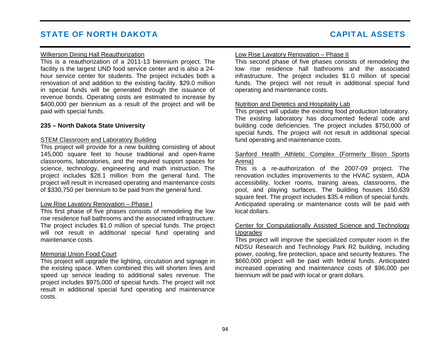#### Wilkerson Dining Hall Reauthorization

This is a reauthorization of a 2011-13 biennium project. The facility is the largest UND food service center and is also a 24 hour service center for students. The project includes both a renovation of and addition to the existing facility. \$29.0 million in special funds will be generated through the issuance of revenue bonds. Operating costs are estimated to increase by \$400,000 per biennium as a result of the project and will be paid with special funds.

#### **235 – North Dakota State University**

#### **STEM Classroom and Laboratory Building**

This project will provide for a new building consisting of about 145,000 square feet to house traditional and open-frame classrooms, laboratories, and the required support spaces for science, technology, engineering and math instruction. The project includes \$28.1 million from the general fund. The project will result in increased operating and maintenance costs of \$330,750 per biennium to be paid from the general fund.

#### Low Rise Lavatory Renovation – Phase I

This first phase of five phases consists of remodeling the low rise residence hall bathrooms and the associated infrastructure. The project includes \$1.0 million of special funds. The project will not result in additional special fund operating and maintenance costs.

#### Memorial Union Food Court

This project will upgrade the lighting, circulation and signage in the existing space. When combined this will shorten lines and speed up service leading to additional sales revenue. The project includes \$975,000 of special funds. The project will not result in additional special fund operating and maintenance costs.

#### Low Rise Lavatory Renovation – Phase II

This second phase of five phases consists of remodeling the low rise residence hall bathrooms and the associated infrastructure. The project includes \$1.0 million of special funds. The project will not result in additional special fund operating and maintenance costs.

#### Nutrition and Dietetics and Hospitality Lab

This project will update the existing food production laboratory. The existing laboratory has documented federal code and building code deficiencies. The project includes \$750,000 of special funds. The project will not result in additional special fund operating and maintenance costs.

#### Sanford Health Athletic Complex (Formerly Bison Sports Arena)

This is a re-authorization of the 2007-09 project. The renovation includes improvements to the HVAC system, ADA accessibility, locker rooms, training areas, classrooms, the pool, and playing surfaces. The building houses 150,639 square feet. The project includes \$35.4 million of special funds. Anticipated operating or maintenance costs will be paid with local dollars.

#### Center for Computationally Assisted Science and Technology **Upgrades**

This project will improve the specialized computer room in the NDSU Research and Technology Park R2 building, including power, cooling, fire protection, space and security features. The \$660,000 project will be paid with federal funds. Anticipated increased operating and maintenance costs of \$96,000 per biennium will be paid with local or grant dollars.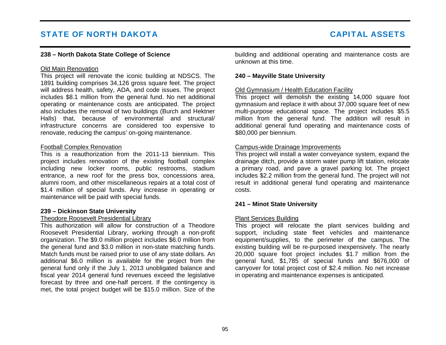#### **238 – North Dakota State College of Science**

#### Old Main Renovation

This project will renovate the iconic building at NDSCS. The 1891 building comprises 34,126 gross square feet. The project will address health, safety, ADA, and code issues. The project includes \$8.1 million from the general fund. No net additional operating or maintenance costs are anticipated. The project also includes the removal of two buildings (Burch and Hektner Halls) that, because of environmental and structural/ infrastructure concerns are considered too expensive to renovate, reducing the campus' on-going maintenance.

#### Football Complex Renovation

This is a reauthorization from the 2011-13 biennium. This project includes renovation of the existing football complex including new locker rooms, public restrooms, stadium entrance, a new roof for the press box, concessions area, alumni room, and other miscellaneous repairs at a total cost of \$1.4 million of special funds. Any increase in operating or maintenance will be paid with special funds.

#### **239 – Dickinson State University**

#### Theodore Roosevelt Presidential Library

This authorization will allow for construction of a Theodore Roosevelt Presidential Library, working through a non-profit organization. The \$9.0 million project includes \$6.0 million from the general fund and \$3.0 million in non-state matching funds. Match funds must be raised prior to use of any state dollars. An additional \$6.0 million is available for the project from the general fund only if the July 1, 2013 unobligated balance and fiscal year 2014 general fund revenues exceed the legislative forecast by three and one-half percent. If the contingency is met, the total project budget will be \$15.0 million. Size of the building and additional operating and maintenance costs are unknown at this time.

#### **240 – Mayville State University**

#### Old Gymnasium / Health Education Facility

This project will demolish the existing 14,000 square foot gymnasium and replace it with about 37,000 square feet of new multi-purpose educational space. The project includes \$5.5 million from the general fund. The addition will result in additional general fund operating and maintenance costs of \$80,000 per biennium.

#### Campus-wide Drainage Improvements

This project will install a water conveyance system, expand the drainage ditch, provide a storm water pump lift station, relocate a primary road, and pave a gravel parking lot. The project includes \$2.2 million from the general fund. The project will not result in additional general fund operating and maintenance costs.

#### **241 – Minot State University**

#### Plant Services Building

This project will relocate the plant services building and support, including state fleet vehicles and maintenance equipment/supplies, to the perimeter of the campus. The existing building will be re-purposed inexpensively. The nearly 20,000 square foot project includes \$1.7 million from the general fund, \$1,785 of special funds and \$676,000 of carryover for total project cost of \$2.4 million. No net increase in operating and maintenance expenses is anticipated.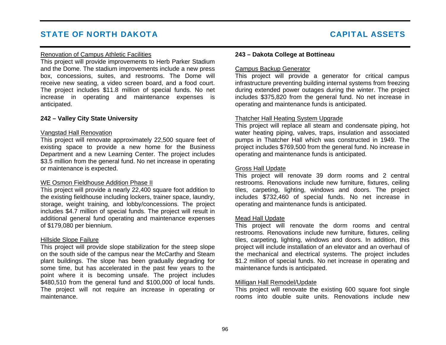#### Renovation of Campus Athletic Facilities

This project will provide improvements to Herb Parker Stadium and the Dome. The stadium improvements include a new press box, concessions, suites, and restrooms. The Dome will receive new seating, a video screen board, and a food court. The project includes \$11.8 million of special funds. No net increase in operating and maintenance expenses is anticipated.

#### **242 – Valley City State University**

#### Vangstad Hall Renovation

This project will renovate approximately 22,500 square feet of existing space to provide a new home for the Business Department and a new Learning Center. The project includes \$3.5 million from the general fund. No net increase in operating or maintenance is expected.

#### WE Osmon Fieldhouse Addition Phase II

This project will provide a nearly 22,400 square foot addition to the existing fieldhouse including lockers, trainer space, laundry, storage, weight training, and lobby/concessions. The project includes \$4.7 million of special funds. The project will result in additional general fund operating and maintenance expenses of \$179,080 per biennium.

#### Hillside Slope Failure

This project will provide slope stabilization for the steep slope on the south side of the campus near the McCarthy and Steam plant buildings. The slope has been gradually degrading for some time, but has accelerated in the past few years to the point where it is becoming unsafe. The project includes \$480,510 from the general fund and \$100,000 of local funds. The project will not require an increase in operating or maintenance.

#### **243 – Dakota College at Bottineau**

#### Campus Backup Generator

This project will provide a generator for critical campus infrastructure preventing building internal systems from freezing during extended power outages during the winter. The project includes \$375,820 from the general fund. No net increase in operating and maintenance funds is anticipated.

#### Thatcher Hall Heating System Upgrade

This project will replace all steam and condensate piping, hot water heating piping, valves, traps, insulation and associated pumps in Thatcher Hall which was constructed in 1949. The project includes \$769,500 from the general fund. No increase in operating and maintenance funds is anticipated.

#### Gross Hall Update

This project will renovate 39 dorm rooms and 2 central restrooms. Renovations include new furniture, fixtures, ceiling tiles, carpeting, lighting, windows and doors. The project includes \$732,460 of special funds. No net increase in operating and maintenance funds is anticipated.

#### Mead Hall Update

This project will renovate the dorm rooms and central restrooms. Renovations include new furniture, fixtures, ceiling tiles, carpeting, lighting, windows and doors. In addition, this project will include installation of an elevator and an overhaul of the mechanical and electrical systems. The project includes \$1.2 million of special funds. No net increase in operating and maintenance funds is anticipated.

#### Milligan Hall Remodel/Update

This project will renovate the existing 600 square foot single rooms into double suite units. Renovations include new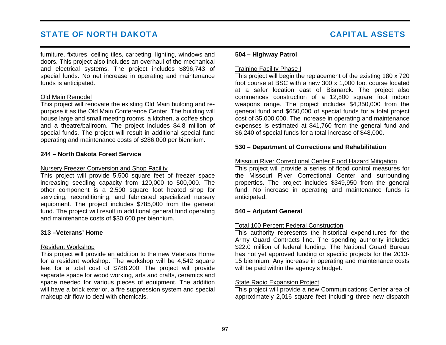furniture, fixtures, ceiling tiles, carpeting, lighting, windows and doors. This project also includes an overhaul of the mechanical and electrical systems. The project includes \$896,743 of special funds. No net increase in operating and maintenance funds is anticipated.

#### Old Main Remodel

This project will renovate the existing Old Main building and repurpose it as the Old Main Conference Center. The building will house large and small meeting rooms, a kitchen, a coffee shop, and a theatre/ballroom. The project includes \$4.8 million of special funds. The project will result in additional special fund operating and maintenance costs of \$286,000 per biennium.

#### **244 – North Dakota Forest Service**

#### Nursery Freezer Conversion and Shop Facility

This project will provide 5,500 square feet of freezer space increasing seedling capacity from 120,000 to 500,000. The other component is a 2,500 square foot heated shop for servicing, reconditioning, and fabricated specialized nursery equipment. The project includes \$785,000 from the general fund. The project will result in additional general fund operating and maintenance costs of \$30,600 per biennium.

#### **313 –Veterans' Home**

#### Resident Workshop

This project will provide an addition to the new Veterans Home for a resident workshop. The workshop will be 4,542 square feet for a total cost of \$788,200. The project will provide separate space for wood working, arts and crafts, ceramics and space needed for various pieces of equipment. The addition will have a brick exterior, a fire suppression system and special makeup air flow to deal with chemicals.

#### **504 – Highway Patrol**

#### Training Facility Phase I

This project will begin the replacement of the existing 180 x 720 foot course at BSC with a new 300 x 1,000 foot course located at a safer location east of Bismarck. The project also commences construction of a 12,800 square foot indoor weapons range. The project includes \$4,350,000 from the general fund and \$650,000 of special funds for a total project cost of \$5,000,000. The increase in operating and maintenance expenses is estimated at \$41,760 from the general fund and \$6,240 of special funds for a total increase of \$48,000.

#### **530 – Department of Corrections and Rehabilitation**

#### Missouri River Correctional Center Flood Hazard Mitigation

This project will provide a series of flood control measures for the Missouri River Correctional Center and surrounding properties. The project includes \$349,950 from the general fund. No increase in operating and maintenance funds is anticipated.

#### **540 – Adjutant General**

#### Total 100 Percent Federal Construction

This authority represents the historical expenditures for the Army Guard Contracts line. The spending authority includes \$22.0 million of federal funding. The National Guard Bureau has not yet approved funding or specific projects for the 2013- 15 biennium. Any increase in operating and maintenance costs will be paid within the agency's budget.

### State Radio Expansion Project

This project will provide a new Communications Center area of approximately 2,016 square feet including three new dispatch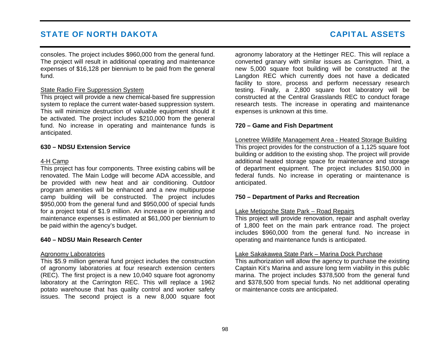consoles. The project includes \$960,000 from the general fund. The project will result in additional operating and maintenance expenses of \$16,128 per biennium to be paid from the general fund.

#### State Radio Fire Suppression System

This project will provide a new chemical-based fire suppression system to replace the current water-based suppression system. This will minimize destruction of valuable equipment should it be activated. The project includes \$210,000 from the general fund. No increase in operating and maintenance funds is anticipated.

#### **630 – NDSU Extension Service**

#### 4-H Camp

This project has four components. Three existing cabins will be renovated. The Main Lodge will become ADA accessible, and be provided with new heat and air conditioning. Outdoor program amenities will be enhanced and a new multipurpose camp building will be constructed. The project includes \$950,000 from the general fund and \$950,000 of special funds for a project total of \$1.9 million. An increase in operating and maintenance expenses is estimated at \$61,000 per biennium to be paid within the agency's budget.

#### **640 – NDSU Main Research Center**

#### Agronomy Laboratories

This \$5.9 million general fund project includes the construction of agronomy laboratories at four research extension centers (REC). The first project is a new 10,040 square foot agronomy laboratory at the Carrington REC. This will replace a 1962 potato warehouse that has quality control and worker safety issues. The second project is a new 8,000 square foot agronomy laboratory at the Hettinger REC. This will replace a converted granary with similar issues as Carrington. Third, a new 5,000 square foot building will be constructed at the Langdon REC which currently does not have a dedicated facility to store, process and perform necessary research testing. Finally, a 2,800 square foot laboratory will be constructed at the Central Grasslands REC to conduct forage research tests. The increase in operating and maintenance expenses is unknown at this time.

#### **720 – Game and Fish Department**

Lonetree Wildlife Management Area - Heated Storage Building This project provides for the construction of a 1,125 square foot building or addition to the existing shop. The project will provide additional heated storage space for maintenance and storage of department equipment. The project includes \$150,000 in federal funds. No increase in operating or maintenance is anticipated.

#### **750 – Department of Parks and Recreation**

#### Lake Metigoshe State Park – Road Repairs

This project will provide renovation, repair and asphalt overlay of 1,800 feet on the main park entrance road. The project includes \$960,000 from the general fund. No increase in operating and maintenance funds is anticipated.

#### Lake Sakakawea State Park – Marina Dock Purchase

This authorization will allow the agency to purchase the existing Captain Kit's Marina and assure long term viability in this public marina. The project includes \$378,500 from the general fund and \$378,500 from special funds. No net additional operating or maintenance costs are anticipated.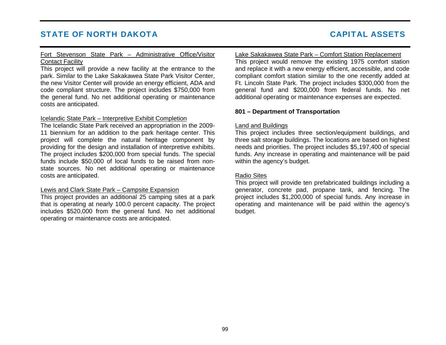#### Fort Stevenson State Park – Administrative Office/Visitor Contact Facility

This project will provide a new facility at the entrance to the park. Similar to the Lake Sakakawea State Park Visitor Center, the new Visitor Center will provide an energy efficient, ADA and code compliant structure. The project includes \$750,000 from the general fund. No net additional operating or maintenance costs are anticipated.

#### Icelandic State Park – Interpretive Exhibit Completion

The Icelandic State Park received an appropriation in the 2009- 11 biennium for an addition to the park heritage center. This project will complete the natural heritage component by providing for the design and installation of interpretive exhibits. The project includes \$200,000 from special funds. The special funds include \$50,000 of local funds to be raised from nonstate sources. No net additional operating or maintenance costs are anticipated.

#### Lewis and Clark State Park – Campsite Expansion

This project provides an additional 25 camping sites at a park that is operating at nearly 100.0 percent capacity. The project includes \$520,000 from the general fund. No net additional operating or maintenance costs are anticipated.

#### Lake Sakakawea State Park – Comfort Station Replacement

This project would remove the existing 1975 comfort station and replace it with a new energy efficient, accessible, and code compliant comfort station similar to the one recently added at Ft. Lincoln State Park. The project includes \$300,000 from the general fund and \$200,000 from federal funds. No net additional operating or maintenance expenses are expected.

#### **801 – Department of Transportation**

#### Land and Buildings

This project includes three section/equipment buildings, and three salt storage buildings. The locations are based on highest needs and priorities. The project includes \$5,197,400 of special funds. Any increase in operating and maintenance will be paid within the agency's budget.

#### Radio Sites

This project will provide ten prefabricated buildings including a generator, concrete pad, propane tank, and fencing. The project includes \$1,200,000 of special funds. Any increase in operating and maintenance will be paid within the agency's budget.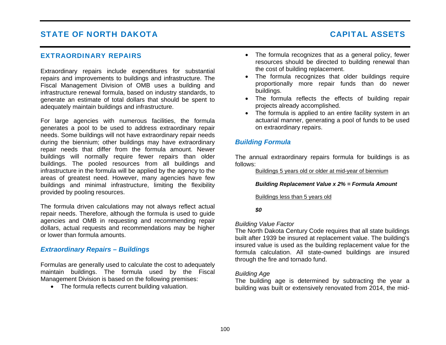#### EXTRAORDINARY REPAIRS

Extraordinary repairs include expenditures for substantial repairs and improvements to buildings and infrastructure. The Fiscal Management Division of OMB uses a building and infrastructure renewal formula, based on industry standards, to generate an estimate of total dollars that should be spent to adequately maintain buildings and infrastructure.

For large agencies with numerous facilities, the formula generates a pool to be used to address extraordinary repair needs. Some buildings will not have extraordinary repair needs during the biennium; other buildings may have extraordinary repair needs that differ from the formula amount. Newer buildings will normally require fewer repairs than older buildings. The pooled resources from all buildings and infrastructure in the formula will be applied by the agency to the areas of greatest need. However, many agencies have few buildings and minimal infrastructure, limiting the flexibility provided by pooling resources.

The formula driven calculations may not always reflect actual repair needs. Therefore, although the formula is used to guide agencies and OMB in requesting and recommending repair dollars, actual requests and recommendations may be higher or lower than formula amounts.

#### *Extraordinary Repairs – Buildings*

Formulas are generally used to calculate the cost to adequately maintain buildings. The formula used by the Fiscal Management Division is based on the following premises:

• The formula reflects current building valuation.

- The formula recognizes that as a general policy, fewer resources should be directed to building renewal than the cost of building replacement.
- The formula recognizes that older buildings require proportionally more repair funds than do newer buildings.
- The formula reflects the effects of building repair projects already accomplished.
- The formula is applied to an entire facility system in an actuarial manner, generating a pool of funds to be used on extraordinary repairs.

### *Building Formula*

The annual extraordinary repairs formula for buildings is as follows:

Buildings 5 years old or older at mid-year of biennium

*Building Replacement Value x 2% = Formula Amount* 

Buildings less than 5 years old

*\$0* 

#### *Building Value Factor*

The North Dakota Century Code requires that all state buildings built after 1939 be insured at replacement value. The building's insured value is used as the building replacement value for the formula calculation. All state-owned buildings are insured through the fire and tornado fund.

#### *Building Age*

The building age is determined by subtracting the year a building was built or extensively renovated from 2014, the mid-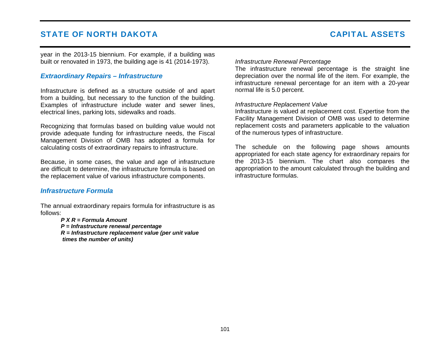year in the 2013-15 biennium. For example, if a building was built or renovated in 1973, the building age is 41 (2014-1973).

### *Extraordinary Repairs – Infrastructure*

Infrastructure is defined as a structure outside of and apart from a building, but necessary to the function of the building. Examples of infrastructure include water and sewer lines, electrical lines, parking lots, sidewalks and roads.

Recognizing that formulas based on building value would not provide adequate funding for infrastructure needs, the Fiscal Management Division of OMB has adopted a formula for calculating costs of extraordinary repairs to infrastructure.

Because, in some cases, the value and age of infrastructure are difficult to determine, the infrastructure formula is based on the replacement value of various infrastructure components.

#### *Infrastructure Formula*

The annual extraordinary repairs formula for infrastructure is as follows:

> *P X R = Formula Amount P = Infrastructure renewal percentage R = Infrastructure replacement value (per unit value times the number of units)*

#### *Infrastructure Renewal Percentage*

The infrastructure renewal percentage is the straight line depreciation over the normal life of the item. For example, the infrastructure renewal percentage for an item with a 20-year normal life is 5.0 percent.

#### *Infrastructure Replacement Value*

Infrastructure is valued at replacement cost. Expertise from the Facility Management Division of OMB was used to determine replacement costs and parameters applicable to the valuation of the numerous types of infrastructure.

The schedule on the following page shows amounts appropriated for each state agency for extraordinary repairs for the 2013-15 biennium. The chart also compares the appropriation to the amount calculated through the building and infrastructure formulas.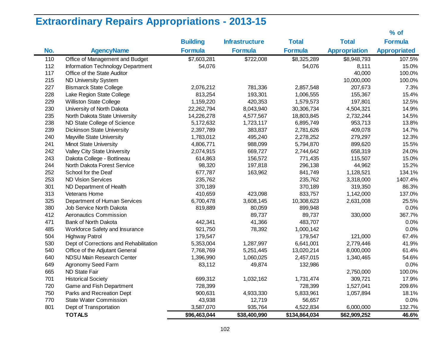# **Extraordinary Repairs Appropriations - 2013-15**

|     |                                        |                 |                       |                |                      | $%$ of              |
|-----|----------------------------------------|-----------------|-----------------------|----------------|----------------------|---------------------|
|     |                                        | <b>Building</b> | <b>Infrastructure</b> | <b>Total</b>   | <b>Total</b>         | <b>Formula</b>      |
| No. | <b>AgencyName</b>                      | <b>Formula</b>  | <b>Formula</b>        | <b>Formula</b> | <b>Appropriation</b> | <b>Appropriated</b> |
| 110 | Office of Management and Budget        | \$7,603,281     | \$722,008             | \$8,325,289    | \$8,948,793          | 107.5%              |
| 112 | Information Technology Department      | 54,076          |                       | 54,076         | 8,111                | 15.0%               |
| 117 | Office of the State Auditor            |                 |                       |                | 40,000               | 100.0%              |
| 215 | <b>ND University System</b>            |                 |                       |                | 10,000,000           | 100.0%              |
| 227 | <b>Bismarck State College</b>          | 2,076,212       | 781,336               | 2,857,548      | 207,673              | 7.3%                |
| 228 | Lake Region State College              | 813,254         | 193,301               | 1,006,555      | 155,367              | 15.4%               |
| 229 | <b>Williston State College</b>         | 1,159,220       | 420,353               | 1,579,573      | 197,801              | 12.5%               |
| 230 | University of North Dakota             | 22,262,794      | 8,043,940             | 30,306,734     | 4,504,321            | 14.9%               |
| 235 | North Dakota State University          | 14,226,278      | 4,577,567             | 18,803,845     | 2,732,244            | 14.5%               |
| 238 | ND State College of Science            | 5,172,632       | 1,723,117             | 6,895,749      | 953,713              | 13.8%               |
| 239 | <b>Dickinson State University</b>      | 2,397,789       | 383,837               | 2,781,626      | 409,078              | 14.7%               |
| 240 | Mayville State University              | 1,783,012       | 495,240               | 2,278,252      | 279,297              | 12.3%               |
| 241 | <b>Minot State University</b>          | 4,806,771       | 988,099               | 5,794,870      | 899,620              | 15.5%               |
| 242 | Valley City State University           | 2,074,915       | 669,727               | 2,744,642      | 658,319              | 24.0%               |
| 243 | Dakota College - Bottineau             | 614,863         | 156,572               | 771,435        | 115,507              | 15.0%               |
| 244 | North Dakota Forest Service            | 98,320          | 197,818               | 296,138        | 44,962               | 15.2%               |
| 252 | School for the Deaf                    | 677,787         | 163,962               | 841,749        | 1,128,521            | 134.1%              |
| 253 | <b>ND Vision Services</b>              | 235,762         |                       | 235,762        | 3,318,000            | 1407.4%             |
| 301 | ND Department of Health                | 370,189         |                       | 370,189        | 319,350              | 86.3%               |
| 313 | Veterans Home                          | 410,659         | 423,098               | 833,757        | 1,142,000            | 137.0%              |
| 325 | Department of Human Services           | 6,700,478       | 3,608,145             | 10,308,623     | 2,631,008            | 25.5%               |
| 380 | Job Service North Dakota               | 819,889         | 80,059                | 899,948        |                      | 0.0%                |
| 412 | Aeronautics Commission                 |                 | 89,737                | 89,737         | 330,000              | 367.7%              |
| 471 | Bank of North Dakota                   | 442,341         | 41,366                | 483,707        |                      | 0.0%                |
| 485 | Workforce Safety and Insurance         | 921,750         | 78,392                | 1,000,142      |                      | 0.0%                |
| 504 | <b>Highway Patrol</b>                  | 179,547         |                       | 179,547        | 121,000              | 67.4%               |
| 530 | Dept of Corrections and Rehabilitation | 5,353,004       | 1,287,997             | 6,641,001      | 2,779,446            | 41.9%               |
| 540 | Office of the Adjutant General         | 7,768,769       | 5,251,445             | 13,020,214     | 8,000,000            | 61.4%               |
| 640 | NDSU Main Research Center              | 1,396,990       | 1,060,025             | 2,457,015      | 1,340,465            | 54.6%               |
| 649 | Agronomy Seed Farm                     | 83,112          | 49,874                | 132,986        |                      | 0.0%                |
| 665 | ND State Fair                          |                 |                       |                | 2,750,000            | 100.0%              |
| 701 | <b>Historical Society</b>              | 699,312         | 1,032,162             | 1,731,474      | 309,721              | 17.9%               |
| 720 | Game and Fish Department               | 728,399         |                       | 728,399        | 1,527,041            | 209.6%              |
| 750 | Parks and Recreation Dept              | 900,631         | 4,933,330             | 5,833,961      | 1,057,894            | 18.1%               |
| 770 | <b>State Water Commission</b>          | 43,938          | 12,719                | 56,657         |                      | 0.0%                |
| 801 | Dept of Transportation                 | 3,587,070       | 935,764               | 4,522,834      | 6,000,000            | 132.7%              |
|     | <b>TOTALS</b>                          | \$96,463,044    | \$38,400,990          | \$134,864,034  | \$62,909,252         | 46.6%               |